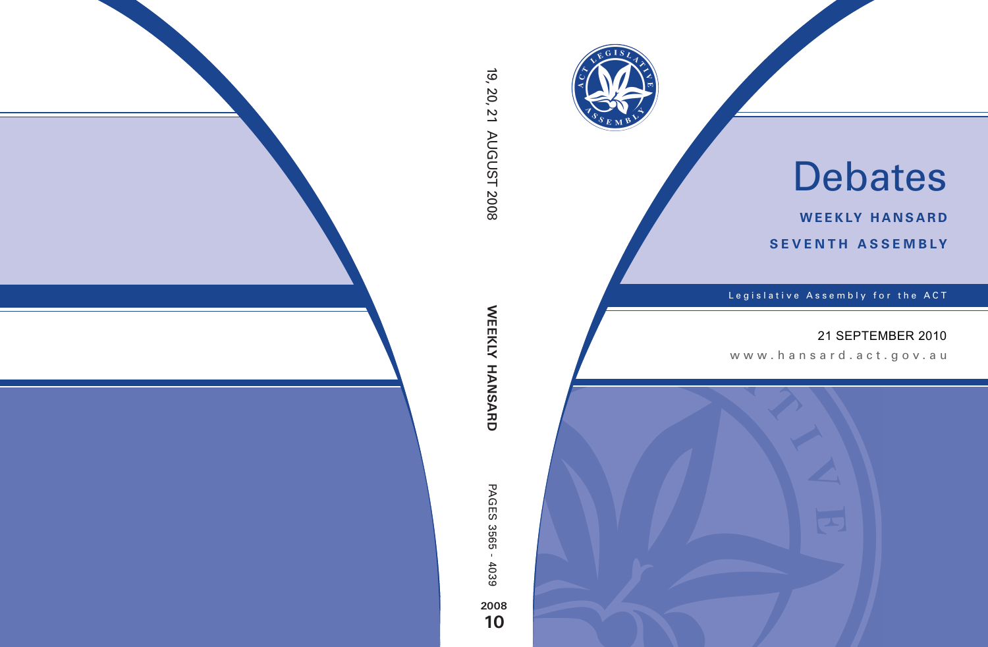

# Debates

**weekly hansard seventh asseMBly**

Legislative Assembly for the ACT

## 21 SEPTEMBER 2010

www .hansard.act.go v.au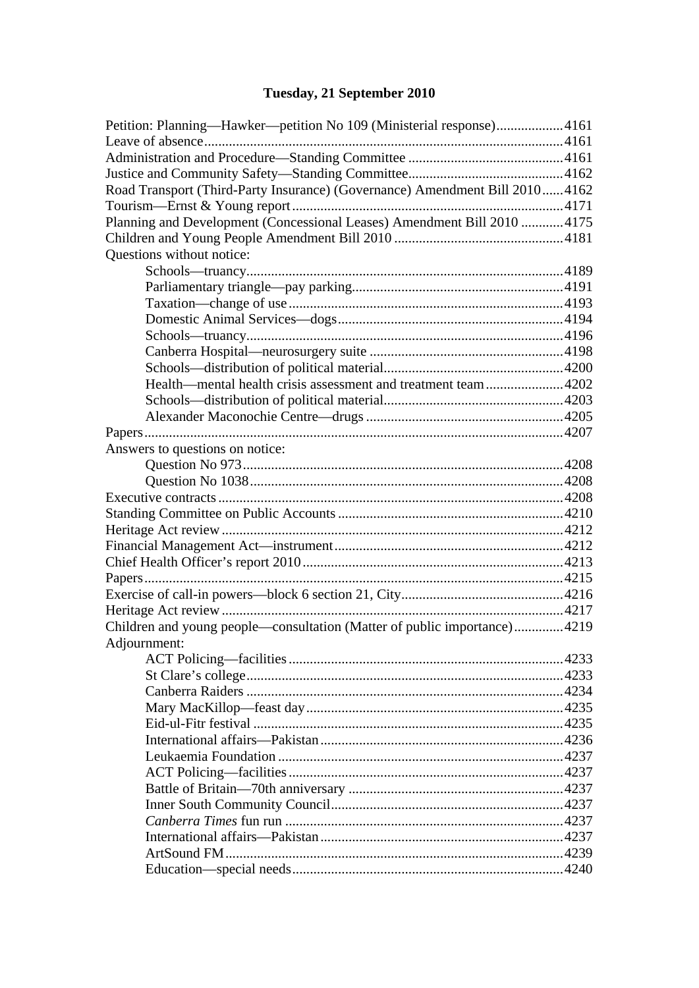## **[Tuesday, 21 September 2010](#page-2-0)**

| Petition: Planning—Hawker—petition No 109 (Ministerial response)4161         |  |
|------------------------------------------------------------------------------|--|
|                                                                              |  |
|                                                                              |  |
|                                                                              |  |
| Road Transport (Third-Party Insurance) (Governance) Amendment Bill 2010 4162 |  |
|                                                                              |  |
| Planning and Development (Concessional Leases) Amendment Bill 2010 4175      |  |
|                                                                              |  |
| Questions without notice:                                                    |  |
|                                                                              |  |
|                                                                              |  |
|                                                                              |  |
|                                                                              |  |
|                                                                              |  |
|                                                                              |  |
|                                                                              |  |
| Health—mental health crisis assessment and treatment team 4202               |  |
|                                                                              |  |
|                                                                              |  |
|                                                                              |  |
| Answers to questions on notice:                                              |  |
|                                                                              |  |
|                                                                              |  |
|                                                                              |  |
|                                                                              |  |
|                                                                              |  |
|                                                                              |  |
|                                                                              |  |
|                                                                              |  |
|                                                                              |  |
|                                                                              |  |
| Children and young people—consultation (Matter of public importance)4219     |  |
| Adjournment:                                                                 |  |
|                                                                              |  |
|                                                                              |  |
|                                                                              |  |
|                                                                              |  |
|                                                                              |  |
|                                                                              |  |
|                                                                              |  |
|                                                                              |  |
|                                                                              |  |
|                                                                              |  |
|                                                                              |  |
|                                                                              |  |
|                                                                              |  |
|                                                                              |  |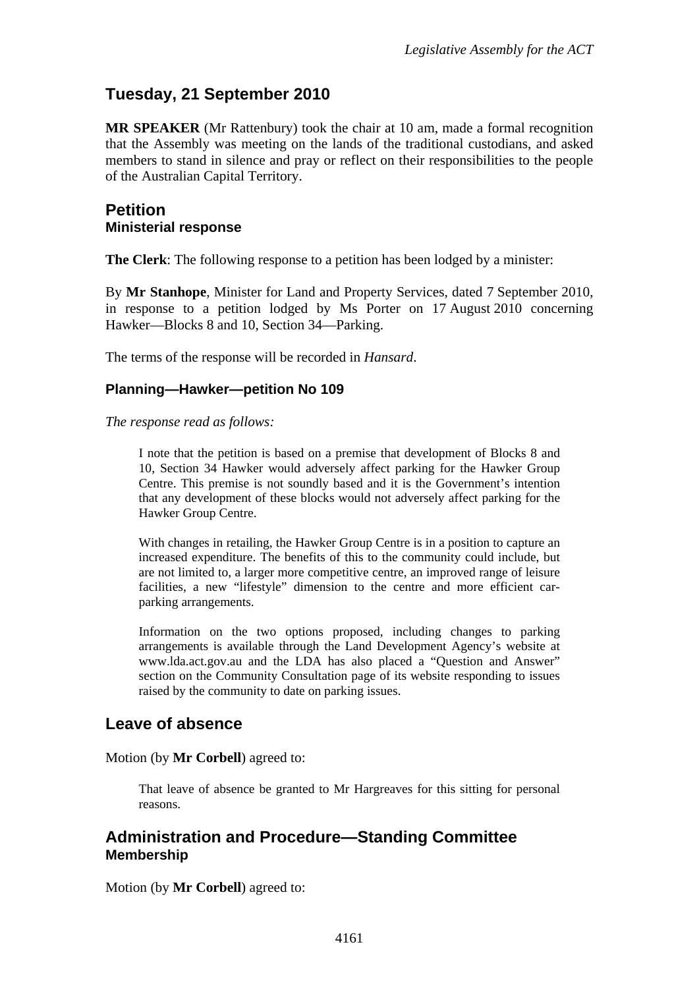## <span id="page-2-0"></span>**Tuesday, 21 September 2010**

**MR SPEAKER** (Mr Rattenbury) took the chair at 10 am, made a formal recognition that the Assembly was meeting on the lands of the traditional custodians, and asked members to stand in silence and pray or reflect on their responsibilities to the people of the Australian Capital Territory.

#### <span id="page-2-1"></span>**Petition Ministerial response**

**The Clerk**: The following response to a petition has been lodged by a minister:

By **Mr Stanhope**, Minister for Land and Property Services, dated 7 September 2010, in response to a petition lodged by Ms Porter on 17 August 2010 concerning Hawker—Blocks 8 and 10, Section 34—Parking.

The terms of the response will be recorded in *Hansard*.

#### **Planning—Hawker—petition No 109**

*The response read as follows:*

I note that the petition is based on a premise that development of Blocks 8 and 10, Section 34 Hawker would adversely affect parking for the Hawker Group Centre. This premise is not soundly based and it is the Government's intention that any development of these blocks would not adversely affect parking for the Hawker Group Centre.

With changes in retailing, the Hawker Group Centre is in a position to capture an increased expenditure. The benefits of this to the community could include, but are not limited to, a larger more competitive centre, an improved range of leisure facilities, a new "lifestyle" dimension to the centre and more efficient carparking arrangements.

Information on the two options proposed, including changes to parking arrangements is available through the Land Development Agency's website at www.lda.act.gov.au and the LDA has also placed a "Question and Answer" section on the Community Consultation page of its website responding to issues raised by the community to date on parking issues.

### <span id="page-2-2"></span>**Leave of absence**

Motion (by **Mr Corbell**) agreed to:

That leave of absence be granted to Mr Hargreaves for this sitting for personal reasons.

#### <span id="page-2-3"></span>**Administration and Procedure—Standing Committee Membership**

Motion (by **Mr Corbell**) agreed to: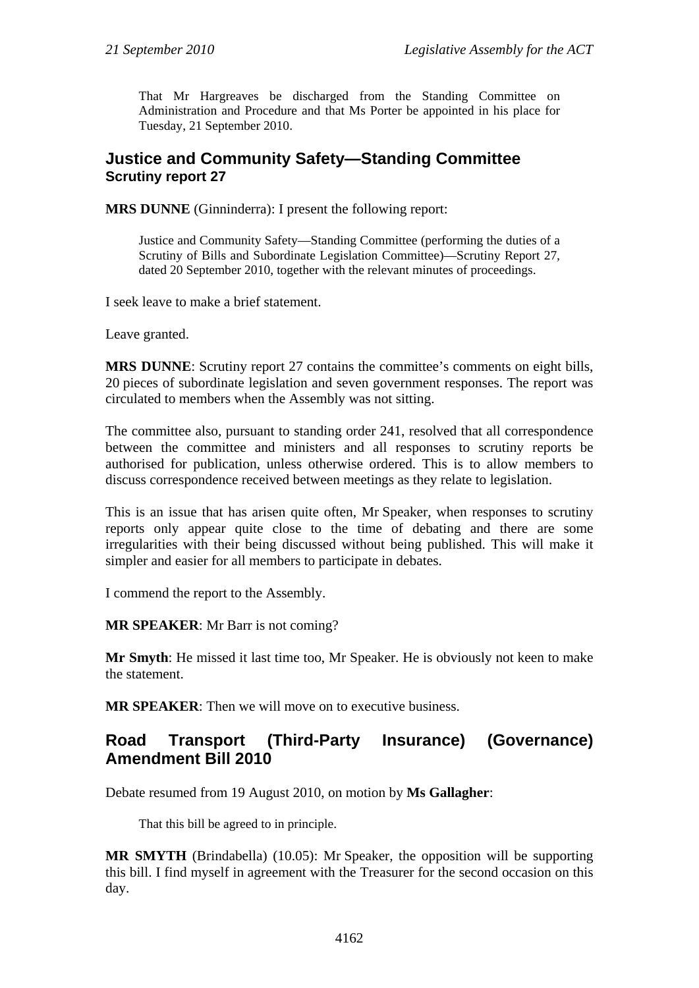That Mr Hargreaves be discharged from the Standing Committee on Administration and Procedure and that Ms Porter be appointed in his place for Tuesday, 21 September 2010.

#### <span id="page-3-0"></span>**Justice and Community Safety—Standing Committee Scrutiny report 27**

**MRS DUNNE** (Ginninderra): I present the following report:

Justice and Community Safety—Standing Committee (performing the duties of a Scrutiny of Bills and Subordinate Legislation Committee)—Scrutiny Report 27*,* dated 20 September 2010, together with the relevant minutes of proceedings.

I seek leave to make a brief statement.

Leave granted.

**MRS DUNNE**: Scrutiny report 27 contains the committee's comments on eight bills, 20 pieces of subordinate legislation and seven government responses. The report was circulated to members when the Assembly was not sitting.

The committee also, pursuant to standing order 241, resolved that all correspondence between the committee and ministers and all responses to scrutiny reports be authorised for publication, unless otherwise ordered. This is to allow members to discuss correspondence received between meetings as they relate to legislation.

This is an issue that has arisen quite often, Mr Speaker, when responses to scrutiny reports only appear quite close to the time of debating and there are some irregularities with their being discussed without being published. This will make it simpler and easier for all members to participate in debates.

I commend the report to the Assembly.

**MR SPEAKER**: Mr Barr is not coming?

**Mr Smyth**: He missed it last time too, Mr Speaker. He is obviously not keen to make the statement.

**MR SPEAKER:** Then we will move on to executive business.

## <span id="page-3-1"></span>**Road Transport (Third-Party Insurance) (Governance) Amendment Bill 2010**

Debate resumed from 19 August 2010, on motion by **Ms Gallagher**:

That this bill be agreed to in principle.

**MR SMYTH** (Brindabella) (10.05): Mr Speaker, the opposition will be supporting this bill. I find myself in agreement with the Treasurer for the second occasion on this day.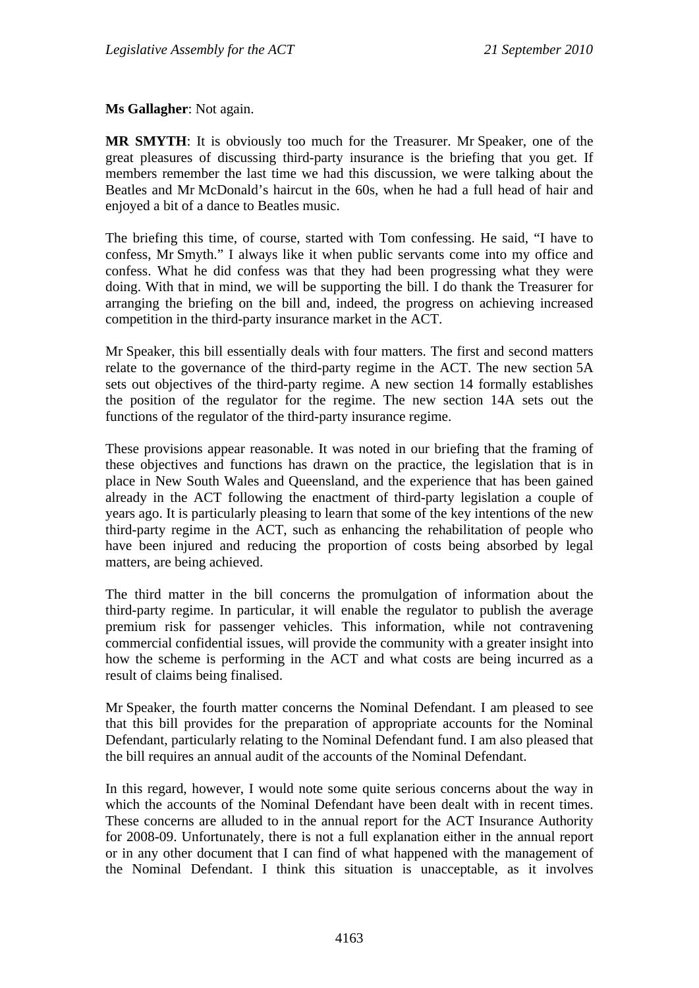**Ms Gallagher**: Not again.

**MR SMYTH**: It is obviously too much for the Treasurer. Mr Speaker, one of the great pleasures of discussing third-party insurance is the briefing that you get. If members remember the last time we had this discussion, we were talking about the Beatles and Mr McDonald's haircut in the 60s, when he had a full head of hair and enjoyed a bit of a dance to Beatles music.

The briefing this time, of course, started with Tom confessing. He said, "I have to confess, Mr Smyth." I always like it when public servants come into my office and confess. What he did confess was that they had been progressing what they were doing. With that in mind, we will be supporting the bill. I do thank the Treasurer for arranging the briefing on the bill and, indeed, the progress on achieving increased competition in the third-party insurance market in the ACT.

Mr Speaker, this bill essentially deals with four matters. The first and second matters relate to the governance of the third-party regime in the ACT. The new section 5A sets out objectives of the third-party regime. A new section 14 formally establishes the position of the regulator for the regime. The new section 14A sets out the functions of the regulator of the third-party insurance regime.

These provisions appear reasonable. It was noted in our briefing that the framing of these objectives and functions has drawn on the practice, the legislation that is in place in New South Wales and Queensland, and the experience that has been gained already in the ACT following the enactment of third-party legislation a couple of years ago. It is particularly pleasing to learn that some of the key intentions of the new third-party regime in the ACT, such as enhancing the rehabilitation of people who have been injured and reducing the proportion of costs being absorbed by legal matters, are being achieved.

The third matter in the bill concerns the promulgation of information about the third-party regime. In particular, it will enable the regulator to publish the average premium risk for passenger vehicles. This information, while not contravening commercial confidential issues, will provide the community with a greater insight into how the scheme is performing in the ACT and what costs are being incurred as a result of claims being finalised.

Mr Speaker, the fourth matter concerns the Nominal Defendant. I am pleased to see that this bill provides for the preparation of appropriate accounts for the Nominal Defendant, particularly relating to the Nominal Defendant fund. I am also pleased that the bill requires an annual audit of the accounts of the Nominal Defendant.

In this regard, however, I would note some quite serious concerns about the way in which the accounts of the Nominal Defendant have been dealt with in recent times. These concerns are alluded to in the annual report for the ACT Insurance Authority for 2008-09. Unfortunately, there is not a full explanation either in the annual report or in any other document that I can find of what happened with the management of the Nominal Defendant. I think this situation is unacceptable, as it involves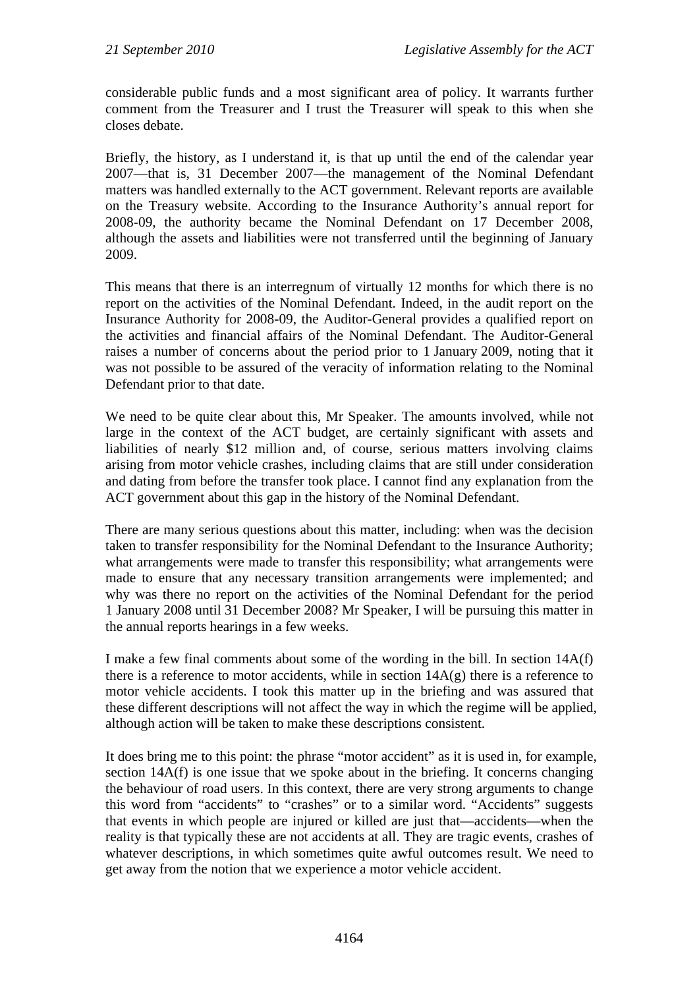considerable public funds and a most significant area of policy. It warrants further comment from the Treasurer and I trust the Treasurer will speak to this when she closes debate.

Briefly, the history, as I understand it, is that up until the end of the calendar year 2007—that is, 31 December 2007—the management of the Nominal Defendant matters was handled externally to the ACT government. Relevant reports are available on the Treasury website. According to the Insurance Authority's annual report for 2008-09, the authority became the Nominal Defendant on 17 December 2008, although the assets and liabilities were not transferred until the beginning of January 2009.

This means that there is an interregnum of virtually 12 months for which there is no report on the activities of the Nominal Defendant. Indeed, in the audit report on the Insurance Authority for 2008-09, the Auditor-General provides a qualified report on the activities and financial affairs of the Nominal Defendant. The Auditor-General raises a number of concerns about the period prior to 1 January 2009, noting that it was not possible to be assured of the veracity of information relating to the Nominal Defendant prior to that date.

We need to be quite clear about this, Mr Speaker. The amounts involved, while not large in the context of the ACT budget, are certainly significant with assets and liabilities of nearly \$12 million and, of course, serious matters involving claims arising from motor vehicle crashes, including claims that are still under consideration and dating from before the transfer took place. I cannot find any explanation from the ACT government about this gap in the history of the Nominal Defendant.

There are many serious questions about this matter, including: when was the decision taken to transfer responsibility for the Nominal Defendant to the Insurance Authority; what arrangements were made to transfer this responsibility; what arrangements were made to ensure that any necessary transition arrangements were implemented; and why was there no report on the activities of the Nominal Defendant for the period 1 January 2008 until 31 December 2008? Mr Speaker, I will be pursuing this matter in the annual reports hearings in a few weeks.

I make a few final comments about some of the wording in the bill. In section 14A(f) there is a reference to motor accidents, while in section  $14A(g)$  there is a reference to motor vehicle accidents. I took this matter up in the briefing and was assured that these different descriptions will not affect the way in which the regime will be applied, although action will be taken to make these descriptions consistent.

It does bring me to this point: the phrase "motor accident" as it is used in, for example, section 14A(f) is one issue that we spoke about in the briefing. It concerns changing the behaviour of road users. In this context, there are very strong arguments to change this word from "accidents" to "crashes" or to a similar word. "Accidents" suggests that events in which people are injured or killed are just that—accidents—when the reality is that typically these are not accidents at all. They are tragic events, crashes of whatever descriptions, in which sometimes quite awful outcomes result. We need to get away from the notion that we experience a motor vehicle accident.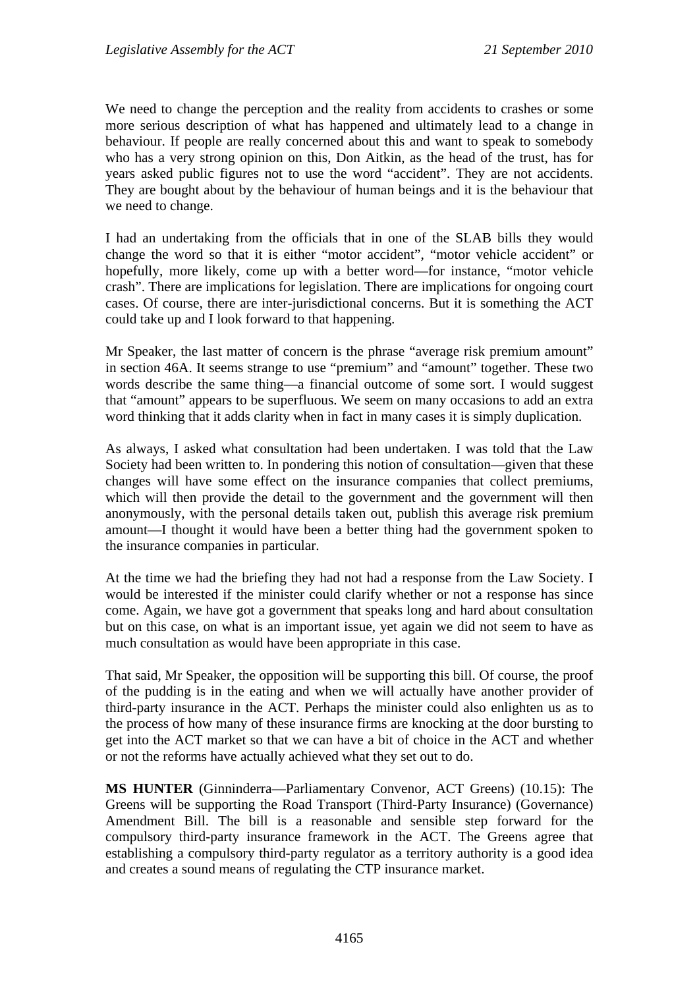We need to change the perception and the reality from accidents to crashes or some more serious description of what has happened and ultimately lead to a change in behaviour. If people are really concerned about this and want to speak to somebody who has a very strong opinion on this, Don Aitkin, as the head of the trust, has for years asked public figures not to use the word "accident". They are not accidents. They are bought about by the behaviour of human beings and it is the behaviour that we need to change.

I had an undertaking from the officials that in one of the SLAB bills they would change the word so that it is either "motor accident", "motor vehicle accident" or hopefully, more likely, come up with a better word—for instance, "motor vehicle crash". There are implications for legislation. There are implications for ongoing court cases. Of course, there are inter-jurisdictional concerns. But it is something the ACT could take up and I look forward to that happening.

Mr Speaker, the last matter of concern is the phrase "average risk premium amount" in section 46A. It seems strange to use "premium" and "amount" together. These two words describe the same thing—a financial outcome of some sort. I would suggest that "amount" appears to be superfluous. We seem on many occasions to add an extra word thinking that it adds clarity when in fact in many cases it is simply duplication.

As always, I asked what consultation had been undertaken. I was told that the Law Society had been written to. In pondering this notion of consultation—given that these changes will have some effect on the insurance companies that collect premiums, which will then provide the detail to the government and the government will then anonymously, with the personal details taken out, publish this average risk premium amount—I thought it would have been a better thing had the government spoken to the insurance companies in particular.

At the time we had the briefing they had not had a response from the Law Society. I would be interested if the minister could clarify whether or not a response has since come. Again, we have got a government that speaks long and hard about consultation but on this case, on what is an important issue, yet again we did not seem to have as much consultation as would have been appropriate in this case.

That said, Mr Speaker, the opposition will be supporting this bill. Of course, the proof of the pudding is in the eating and when we will actually have another provider of third-party insurance in the ACT. Perhaps the minister could also enlighten us as to the process of how many of these insurance firms are knocking at the door bursting to get into the ACT market so that we can have a bit of choice in the ACT and whether or not the reforms have actually achieved what they set out to do.

**MS HUNTER** (Ginninderra—Parliamentary Convenor, ACT Greens) (10.15): The Greens will be supporting the Road Transport (Third-Party Insurance) (Governance) Amendment Bill. The bill is a reasonable and sensible step forward for the compulsory third-party insurance framework in the ACT. The Greens agree that establishing a compulsory third-party regulator as a territory authority is a good idea and creates a sound means of regulating the CTP insurance market.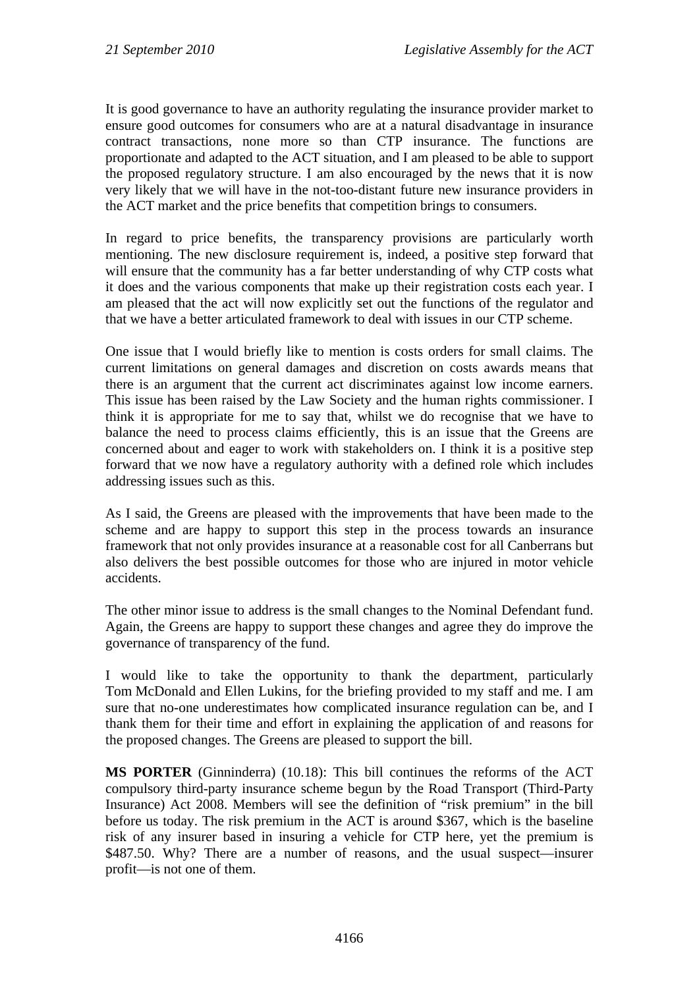It is good governance to have an authority regulating the insurance provider market to ensure good outcomes for consumers who are at a natural disadvantage in insurance contract transactions, none more so than CTP insurance. The functions are proportionate and adapted to the ACT situation, and I am pleased to be able to support the proposed regulatory structure. I am also encouraged by the news that it is now very likely that we will have in the not-too-distant future new insurance providers in the ACT market and the price benefits that competition brings to consumers.

In regard to price benefits, the transparency provisions are particularly worth mentioning. The new disclosure requirement is, indeed, a positive step forward that will ensure that the community has a far better understanding of why CTP costs what it does and the various components that make up their registration costs each year. I am pleased that the act will now explicitly set out the functions of the regulator and that we have a better articulated framework to deal with issues in our CTP scheme.

One issue that I would briefly like to mention is costs orders for small claims. The current limitations on general damages and discretion on costs awards means that there is an argument that the current act discriminates against low income earners. This issue has been raised by the Law Society and the human rights commissioner. I think it is appropriate for me to say that, whilst we do recognise that we have to balance the need to process claims efficiently, this is an issue that the Greens are concerned about and eager to work with stakeholders on. I think it is a positive step forward that we now have a regulatory authority with a defined role which includes addressing issues such as this.

As I said, the Greens are pleased with the improvements that have been made to the scheme and are happy to support this step in the process towards an insurance framework that not only provides insurance at a reasonable cost for all Canberrans but also delivers the best possible outcomes for those who are injured in motor vehicle accidents.

The other minor issue to address is the small changes to the Nominal Defendant fund. Again, the Greens are happy to support these changes and agree they do improve the governance of transparency of the fund.

I would like to take the opportunity to thank the department, particularly Tom McDonald and Ellen Lukins, for the briefing provided to my staff and me. I am sure that no-one underestimates how complicated insurance regulation can be, and I thank them for their time and effort in explaining the application of and reasons for the proposed changes. The Greens are pleased to support the bill.

**MS PORTER** (Ginninderra) (10.18): This bill continues the reforms of the ACT compulsory third-party insurance scheme begun by the Road Transport (Third-Party Insurance) Act 2008. Members will see the definition of "risk premium" in the bill before us today. The risk premium in the ACT is around \$367, which is the baseline risk of any insurer based in insuring a vehicle for CTP here, yet the premium is \$487.50. Why? There are a number of reasons, and the usual suspect—insurer profit—is not one of them.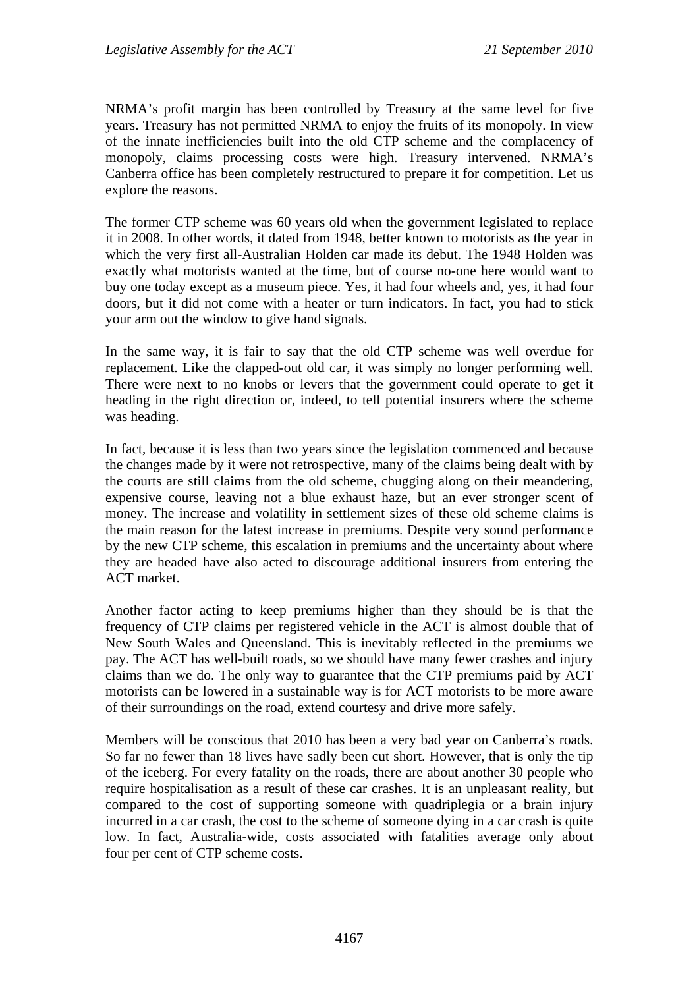NRMA's profit margin has been controlled by Treasury at the same level for five years. Treasury has not permitted NRMA to enjoy the fruits of its monopoly. In view of the innate inefficiencies built into the old CTP scheme and the complacency of monopoly, claims processing costs were high. Treasury intervened. NRMA's Canberra office has been completely restructured to prepare it for competition. Let us explore the reasons.

The former CTP scheme was 60 years old when the government legislated to replace it in 2008. In other words, it dated from 1948, better known to motorists as the year in which the very first all-Australian Holden car made its debut. The 1948 Holden was exactly what motorists wanted at the time, but of course no-one here would want to buy one today except as a museum piece. Yes, it had four wheels and, yes, it had four doors, but it did not come with a heater or turn indicators. In fact, you had to stick your arm out the window to give hand signals.

In the same way, it is fair to say that the old CTP scheme was well overdue for replacement. Like the clapped-out old car, it was simply no longer performing well. There were next to no knobs or levers that the government could operate to get it heading in the right direction or, indeed, to tell potential insurers where the scheme was heading.

In fact, because it is less than two years since the legislation commenced and because the changes made by it were not retrospective, many of the claims being dealt with by the courts are still claims from the old scheme, chugging along on their meandering, expensive course, leaving not a blue exhaust haze, but an ever stronger scent of money. The increase and volatility in settlement sizes of these old scheme claims is the main reason for the latest increase in premiums. Despite very sound performance by the new CTP scheme, this escalation in premiums and the uncertainty about where they are headed have also acted to discourage additional insurers from entering the ACT market.

Another factor acting to keep premiums higher than they should be is that the frequency of CTP claims per registered vehicle in the ACT is almost double that of New South Wales and Queensland. This is inevitably reflected in the premiums we pay. The ACT has well-built roads, so we should have many fewer crashes and injury claims than we do. The only way to guarantee that the CTP premiums paid by ACT motorists can be lowered in a sustainable way is for ACT motorists to be more aware of their surroundings on the road, extend courtesy and drive more safely.

Members will be conscious that 2010 has been a very bad year on Canberra's roads. So far no fewer than 18 lives have sadly been cut short. However, that is only the tip of the iceberg. For every fatality on the roads, there are about another 30 people who require hospitalisation as a result of these car crashes. It is an unpleasant reality, but compared to the cost of supporting someone with quadriplegia or a brain injury incurred in a car crash, the cost to the scheme of someone dying in a car crash is quite low. In fact, Australia-wide, costs associated with fatalities average only about four per cent of CTP scheme costs.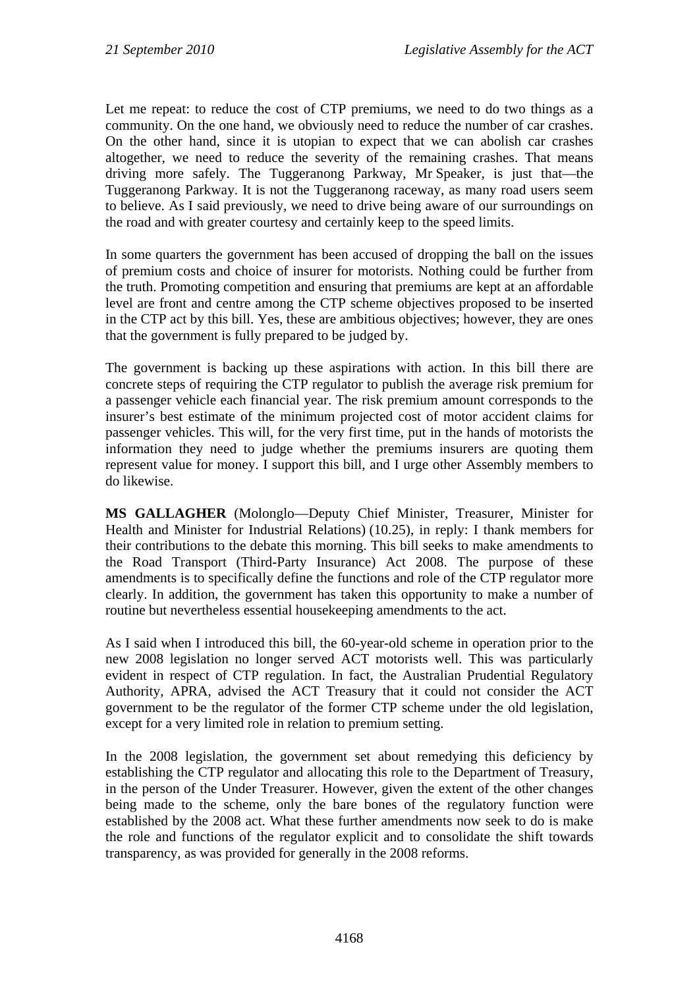Let me repeat: to reduce the cost of CTP premiums, we need to do two things as a community. On the one hand, we obviously need to reduce the number of car crashes. On the other hand, since it is utopian to expect that we can abolish car crashes altogether, we need to reduce the severity of the remaining crashes. That means driving more safely. The Tuggeranong Parkway, Mr Speaker, is just that—the Tuggeranong Parkway. It is not the Tuggeranong raceway, as many road users seem to believe. As I said previously, we need to drive being aware of our surroundings on the road and with greater courtesy and certainly keep to the speed limits.

In some quarters the government has been accused of dropping the ball on the issues of premium costs and choice of insurer for motorists. Nothing could be further from the truth. Promoting competition and ensuring that premiums are kept at an affordable level are front and centre among the CTP scheme objectives proposed to be inserted in the CTP act by this bill. Yes, these are ambitious objectives; however, they are ones that the government is fully prepared to be judged by.

The government is backing up these aspirations with action. In this bill there are concrete steps of requiring the CTP regulator to publish the average risk premium for a passenger vehicle each financial year. The risk premium amount corresponds to the insurer's best estimate of the minimum projected cost of motor accident claims for passenger vehicles. This will, for the very first time, put in the hands of motorists the information they need to judge whether the premiums insurers are quoting them represent value for money. I support this bill, and I urge other Assembly members to do likewise.

**MS GALLAGHER** (Molonglo—Deputy Chief Minister, Treasurer, Minister for Health and Minister for Industrial Relations) (10.25), in reply: I thank members for their contributions to the debate this morning. This bill seeks to make amendments to the Road Transport (Third-Party Insurance) Act 2008. The purpose of these amendments is to specifically define the functions and role of the CTP regulator more clearly. In addition, the government has taken this opportunity to make a number of routine but nevertheless essential housekeeping amendments to the act.

As I said when I introduced this bill, the 60-year-old scheme in operation prior to the new 2008 legislation no longer served ACT motorists well. This was particularly evident in respect of CTP regulation. In fact, the Australian Prudential Regulatory Authority, APRA, advised the ACT Treasury that it could not consider the ACT government to be the regulator of the former CTP scheme under the old legislation, except for a very limited role in relation to premium setting.

In the 2008 legislation, the government set about remedying this deficiency by establishing the CTP regulator and allocating this role to the Department of Treasury, in the person of the Under Treasurer. However, given the extent of the other changes being made to the scheme, only the bare bones of the regulatory function were established by the 2008 act. What these further amendments now seek to do is make the role and functions of the regulator explicit and to consolidate the shift towards transparency, as was provided for generally in the 2008 reforms.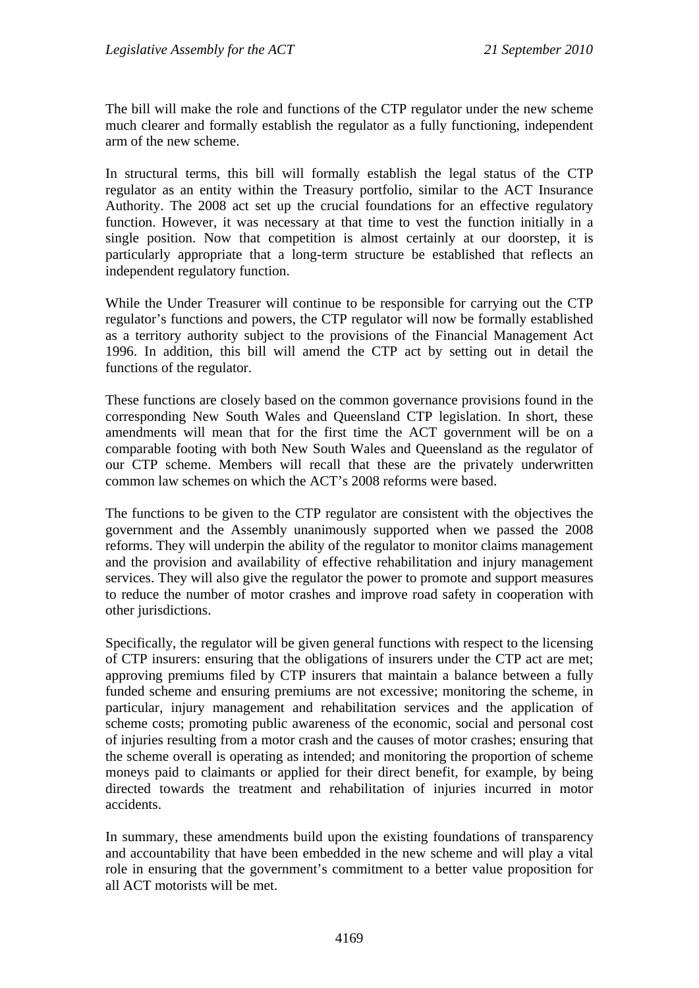The bill will make the role and functions of the CTP regulator under the new scheme much clearer and formally establish the regulator as a fully functioning, independent arm of the new scheme.

In structural terms, this bill will formally establish the legal status of the CTP regulator as an entity within the Treasury portfolio, similar to the ACT Insurance Authority. The 2008 act set up the crucial foundations for an effective regulatory function. However, it was necessary at that time to vest the function initially in a single position. Now that competition is almost certainly at our doorstep, it is particularly appropriate that a long-term structure be established that reflects an independent regulatory function.

While the Under Treasurer will continue to be responsible for carrying out the CTP regulator's functions and powers, the CTP regulator will now be formally established as a territory authority subject to the provisions of the Financial Management Act 1996. In addition, this bill will amend the CTP act by setting out in detail the functions of the regulator.

These functions are closely based on the common governance provisions found in the corresponding New South Wales and Queensland CTP legislation. In short, these amendments will mean that for the first time the ACT government will be on a comparable footing with both New South Wales and Queensland as the regulator of our CTP scheme. Members will recall that these are the privately underwritten common law schemes on which the ACT's 2008 reforms were based.

The functions to be given to the CTP regulator are consistent with the objectives the government and the Assembly unanimously supported when we passed the 2008 reforms. They will underpin the ability of the regulator to monitor claims management and the provision and availability of effective rehabilitation and injury management services. They will also give the regulator the power to promote and support measures to reduce the number of motor crashes and improve road safety in cooperation with other jurisdictions.

Specifically, the regulator will be given general functions with respect to the licensing of CTP insurers: ensuring that the obligations of insurers under the CTP act are met; approving premiums filed by CTP insurers that maintain a balance between a fully funded scheme and ensuring premiums are not excessive; monitoring the scheme, in particular, injury management and rehabilitation services and the application of scheme costs; promoting public awareness of the economic, social and personal cost of injuries resulting from a motor crash and the causes of motor crashes; ensuring that the scheme overall is operating as intended; and monitoring the proportion of scheme moneys paid to claimants or applied for their direct benefit, for example, by being directed towards the treatment and rehabilitation of injuries incurred in motor accidents.

In summary, these amendments build upon the existing foundations of transparency and accountability that have been embedded in the new scheme and will play a vital role in ensuring that the government's commitment to a better value proposition for all ACT motorists will be met.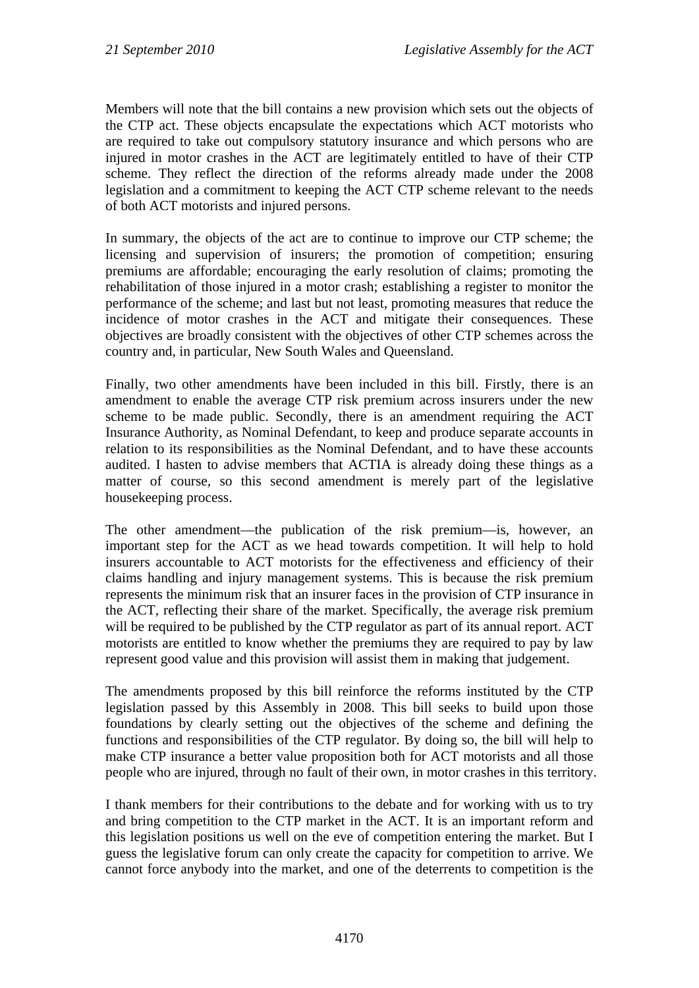Members will note that the bill contains a new provision which sets out the objects of the CTP act. These objects encapsulate the expectations which ACT motorists who are required to take out compulsory statutory insurance and which persons who are injured in motor crashes in the ACT are legitimately entitled to have of their CTP scheme. They reflect the direction of the reforms already made under the 2008 legislation and a commitment to keeping the ACT CTP scheme relevant to the needs of both ACT motorists and injured persons.

In summary, the objects of the act are to continue to improve our CTP scheme; the licensing and supervision of insurers; the promotion of competition; ensuring premiums are affordable; encouraging the early resolution of claims; promoting the rehabilitation of those injured in a motor crash; establishing a register to monitor the performance of the scheme; and last but not least, promoting measures that reduce the incidence of motor crashes in the ACT and mitigate their consequences. These objectives are broadly consistent with the objectives of other CTP schemes across the country and, in particular, New South Wales and Queensland.

Finally, two other amendments have been included in this bill. Firstly, there is an amendment to enable the average CTP risk premium across insurers under the new scheme to be made public. Secondly, there is an amendment requiring the ACT Insurance Authority, as Nominal Defendant, to keep and produce separate accounts in relation to its responsibilities as the Nominal Defendant, and to have these accounts audited. I hasten to advise members that ACTIA is already doing these things as a matter of course, so this second amendment is merely part of the legislative housekeeping process.

The other amendment—the publication of the risk premium—is, however, an important step for the ACT as we head towards competition. It will help to hold insurers accountable to ACT motorists for the effectiveness and efficiency of their claims handling and injury management systems. This is because the risk premium represents the minimum risk that an insurer faces in the provision of CTP insurance in the ACT, reflecting their share of the market. Specifically, the average risk premium will be required to be published by the CTP regulator as part of its annual report. ACT motorists are entitled to know whether the premiums they are required to pay by law represent good value and this provision will assist them in making that judgement.

The amendments proposed by this bill reinforce the reforms instituted by the CTP legislation passed by this Assembly in 2008. This bill seeks to build upon those foundations by clearly setting out the objectives of the scheme and defining the functions and responsibilities of the CTP regulator. By doing so, the bill will help to make CTP insurance a better value proposition both for ACT motorists and all those people who are injured, through no fault of their own, in motor crashes in this territory.

I thank members for their contributions to the debate and for working with us to try and bring competition to the CTP market in the ACT. It is an important reform and this legislation positions us well on the eve of competition entering the market. But I guess the legislative forum can only create the capacity for competition to arrive. We cannot force anybody into the market, and one of the deterrents to competition is the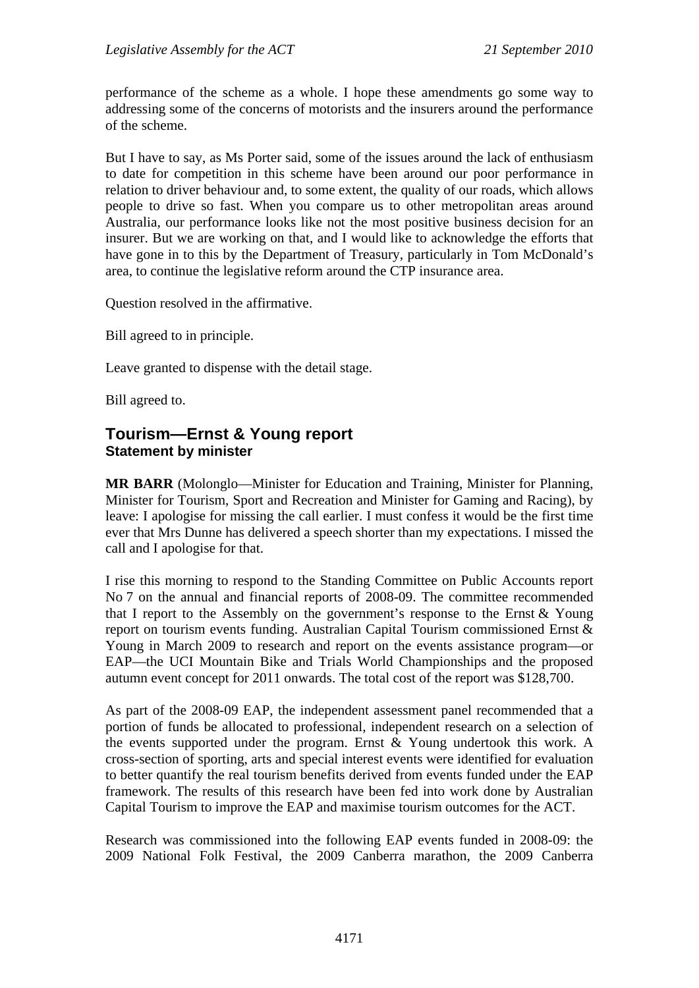performance of the scheme as a whole. I hope these amendments go some way to addressing some of the concerns of motorists and the insurers around the performance of the scheme.

But I have to say, as Ms Porter said, some of the issues around the lack of enthusiasm to date for competition in this scheme have been around our poor performance in relation to driver behaviour and, to some extent, the quality of our roads, which allows people to drive so fast. When you compare us to other metropolitan areas around Australia, our performance looks like not the most positive business decision for an insurer. But we are working on that, and I would like to acknowledge the efforts that have gone in to this by the Department of Treasury, particularly in Tom McDonald's area, to continue the legislative reform around the CTP insurance area.

Question resolved in the affirmative.

Bill agreed to in principle.

Leave granted to dispense with the detail stage.

Bill agreed to.

#### <span id="page-12-0"></span>**Tourism—Ernst & Young report Statement by minister**

**MR BARR** (Molonglo—Minister for Education and Training, Minister for Planning, Minister for Tourism, Sport and Recreation and Minister for Gaming and Racing), by leave: I apologise for missing the call earlier. I must confess it would be the first time ever that Mrs Dunne has delivered a speech shorter than my expectations. I missed the call and I apologise for that.

I rise this morning to respond to the Standing Committee on Public Accounts report No 7 on the annual and financial reports of 2008-09. The committee recommended that I report to the Assembly on the government's response to the Ernst & Young report on tourism events funding. Australian Capital Tourism commissioned Ernst & Young in March 2009 to research and report on the events assistance program—or EAP—the UCI Mountain Bike and Trials World Championships and the proposed autumn event concept for 2011 onwards. The total cost of the report was \$128,700.

As part of the 2008-09 EAP, the independent assessment panel recommended that a portion of funds be allocated to professional, independent research on a selection of the events supported under the program. Ernst & Young undertook this work. A cross-section of sporting, arts and special interest events were identified for evaluation to better quantify the real tourism benefits derived from events funded under the EAP framework. The results of this research have been fed into work done by Australian Capital Tourism to improve the EAP and maximise tourism outcomes for the ACT.

Research was commissioned into the following EAP events funded in 2008-09: the 2009 National Folk Festival, the 2009 Canberra marathon, the 2009 Canberra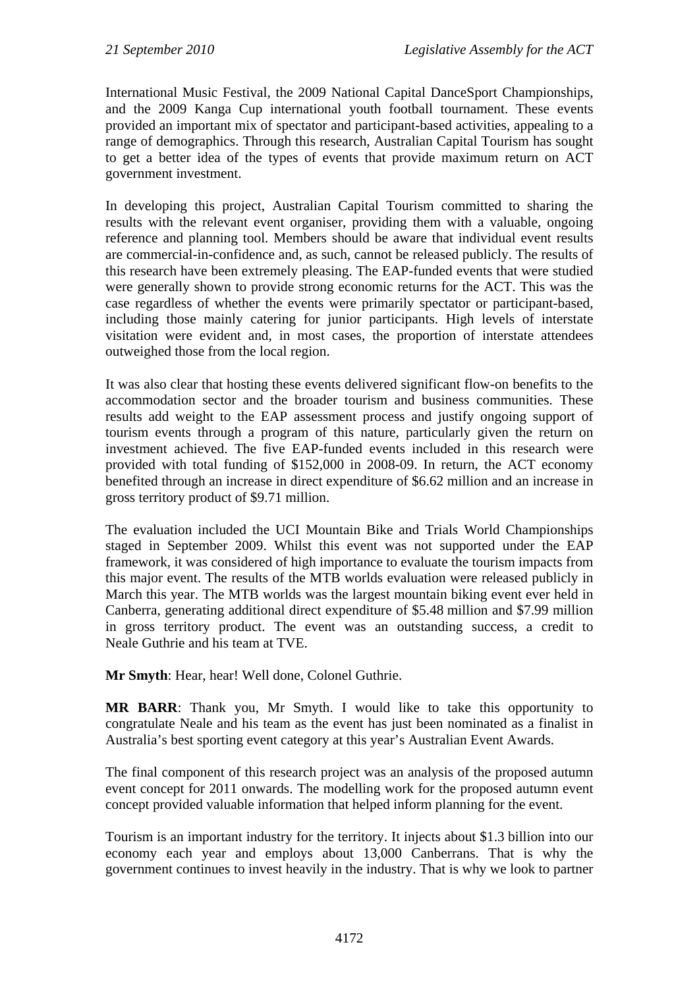International Music Festival, the 2009 National Capital DanceSport Championships, and the 2009 Kanga Cup international youth football tournament. These events provided an important mix of spectator and participant-based activities, appealing to a range of demographics. Through this research, Australian Capital Tourism has sought to get a better idea of the types of events that provide maximum return on ACT government investment.

In developing this project, Australian Capital Tourism committed to sharing the results with the relevant event organiser, providing them with a valuable, ongoing reference and planning tool. Members should be aware that individual event results are commercial-in-confidence and, as such, cannot be released publicly. The results of this research have been extremely pleasing. The EAP-funded events that were studied were generally shown to provide strong economic returns for the ACT. This was the case regardless of whether the events were primarily spectator or participant-based, including those mainly catering for junior participants. High levels of interstate visitation were evident and, in most cases, the proportion of interstate attendees outweighed those from the local region.

It was also clear that hosting these events delivered significant flow-on benefits to the accommodation sector and the broader tourism and business communities. These results add weight to the EAP assessment process and justify ongoing support of tourism events through a program of this nature, particularly given the return on investment achieved. The five EAP-funded events included in this research were provided with total funding of \$152,000 in 2008-09. In return, the ACT economy benefited through an increase in direct expenditure of \$6.62 million and an increase in gross territory product of \$9.71 million.

The evaluation included the UCI Mountain Bike and Trials World Championships staged in September 2009. Whilst this event was not supported under the EAP framework, it was considered of high importance to evaluate the tourism impacts from this major event. The results of the MTB worlds evaluation were released publicly in March this year. The MTB worlds was the largest mountain biking event ever held in Canberra, generating additional direct expenditure of \$5.48 million and \$7.99 million in gross territory product. The event was an outstanding success, a credit to Neale Guthrie and his team at TVE.

**Mr Smyth**: Hear, hear! Well done, Colonel Guthrie.

**MR BARR**: Thank you, Mr Smyth. I would like to take this opportunity to congratulate Neale and his team as the event has just been nominated as a finalist in Australia's best sporting event category at this year's Australian Event Awards.

The final component of this research project was an analysis of the proposed autumn event concept for 2011 onwards. The modelling work for the proposed autumn event concept provided valuable information that helped inform planning for the event.

Tourism is an important industry for the territory. It injects about \$1.3 billion into our economy each year and employs about 13,000 Canberrans. That is why the government continues to invest heavily in the industry. That is why we look to partner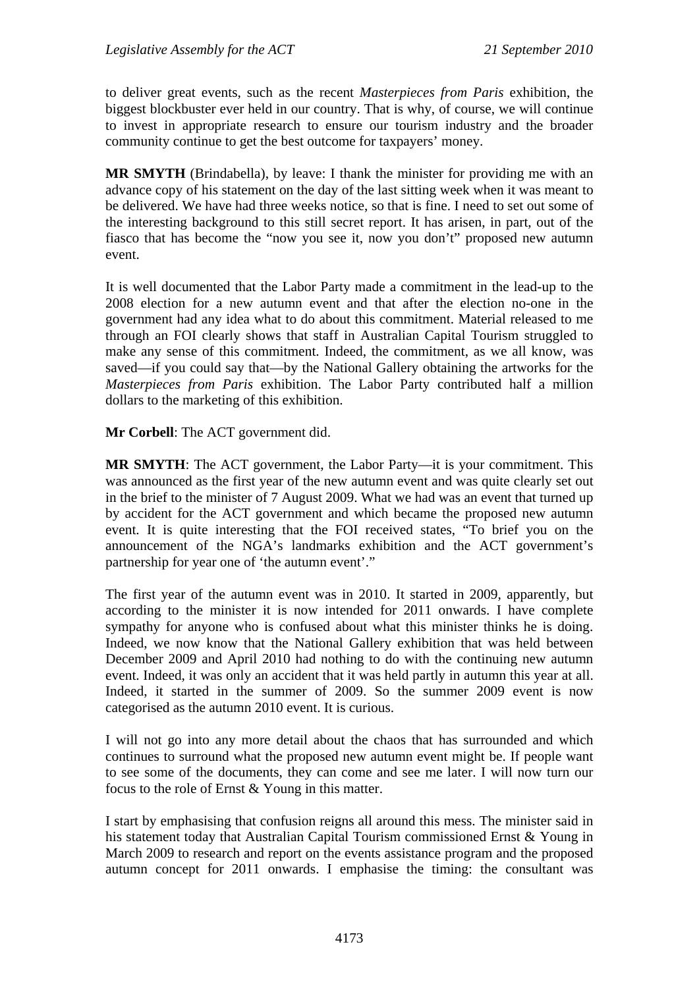to deliver great events, such as the recent *Masterpieces from Paris* exhibition, the biggest blockbuster ever held in our country. That is why, of course, we will continue to invest in appropriate research to ensure our tourism industry and the broader community continue to get the best outcome for taxpayers' money.

**MR SMYTH** (Brindabella), by leave: I thank the minister for providing me with an advance copy of his statement on the day of the last sitting week when it was meant to be delivered. We have had three weeks notice, so that is fine. I need to set out some of the interesting background to this still secret report. It has arisen, in part, out of the fiasco that has become the "now you see it, now you don't" proposed new autumn event.

It is well documented that the Labor Party made a commitment in the lead-up to the 2008 election for a new autumn event and that after the election no-one in the government had any idea what to do about this commitment. Material released to me through an FOI clearly shows that staff in Australian Capital Tourism struggled to make any sense of this commitment. Indeed, the commitment, as we all know, was saved—if you could say that—by the National Gallery obtaining the artworks for the *Masterpieces from Paris* exhibition. The Labor Party contributed half a million dollars to the marketing of this exhibition.

**Mr Corbell**: The ACT government did.

**MR SMYTH**: The ACT government, the Labor Party—it is your commitment. This was announced as the first year of the new autumn event and was quite clearly set out in the brief to the minister of 7 August 2009. What we had was an event that turned up by accident for the ACT government and which became the proposed new autumn event. It is quite interesting that the FOI received states, "To brief you on the announcement of the NGA's landmarks exhibition and the ACT government's partnership for year one of 'the autumn event'."

The first year of the autumn event was in 2010. It started in 2009, apparently, but according to the minister it is now intended for 2011 onwards. I have complete sympathy for anyone who is confused about what this minister thinks he is doing. Indeed, we now know that the National Gallery exhibition that was held between December 2009 and April 2010 had nothing to do with the continuing new autumn event. Indeed, it was only an accident that it was held partly in autumn this year at all. Indeed, it started in the summer of 2009. So the summer 2009 event is now categorised as the autumn 2010 event. It is curious.

I will not go into any more detail about the chaos that has surrounded and which continues to surround what the proposed new autumn event might be. If people want to see some of the documents, they can come and see me later. I will now turn our focus to the role of Ernst & Young in this matter.

I start by emphasising that confusion reigns all around this mess. The minister said in his statement today that Australian Capital Tourism commissioned Ernst & Young in March 2009 to research and report on the events assistance program and the proposed autumn concept for 2011 onwards. I emphasise the timing: the consultant was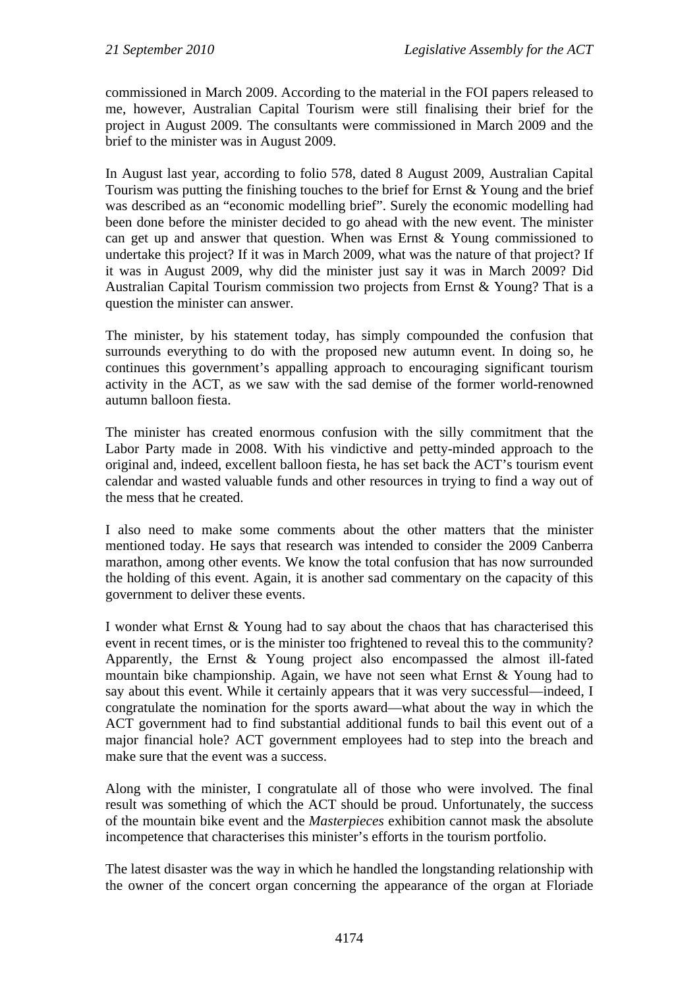commissioned in March 2009. According to the material in the FOI papers released to me, however, Australian Capital Tourism were still finalising their brief for the project in August 2009. The consultants were commissioned in March 2009 and the brief to the minister was in August 2009.

In August last year, according to folio 578, dated 8 August 2009, Australian Capital Tourism was putting the finishing touches to the brief for Ernst & Young and the brief was described as an "economic modelling brief". Surely the economic modelling had been done before the minister decided to go ahead with the new event. The minister can get up and answer that question. When was Ernst & Young commissioned to undertake this project? If it was in March 2009, what was the nature of that project? If it was in August 2009, why did the minister just say it was in March 2009? Did Australian Capital Tourism commission two projects from Ernst & Young? That is a question the minister can answer.

The minister, by his statement today, has simply compounded the confusion that surrounds everything to do with the proposed new autumn event. In doing so, he continues this government's appalling approach to encouraging significant tourism activity in the ACT, as we saw with the sad demise of the former world-renowned autumn balloon fiesta.

The minister has created enormous confusion with the silly commitment that the Labor Party made in 2008. With his vindictive and petty-minded approach to the original and, indeed, excellent balloon fiesta, he has set back the ACT's tourism event calendar and wasted valuable funds and other resources in trying to find a way out of the mess that he created.

I also need to make some comments about the other matters that the minister mentioned today. He says that research was intended to consider the 2009 Canberra marathon, among other events. We know the total confusion that has now surrounded the holding of this event. Again, it is another sad commentary on the capacity of this government to deliver these events.

I wonder what Ernst & Young had to say about the chaos that has characterised this event in recent times, or is the minister too frightened to reveal this to the community? Apparently, the Ernst & Young project also encompassed the almost ill-fated mountain bike championship. Again, we have not seen what Ernst & Young had to say about this event. While it certainly appears that it was very successful—indeed, I congratulate the nomination for the sports award—what about the way in which the ACT government had to find substantial additional funds to bail this event out of a major financial hole? ACT government employees had to step into the breach and make sure that the event was a success.

Along with the minister, I congratulate all of those who were involved. The final result was something of which the ACT should be proud. Unfortunately, the success of the mountain bike event and the *Masterpieces* exhibition cannot mask the absolute incompetence that characterises this minister's efforts in the tourism portfolio.

The latest disaster was the way in which he handled the longstanding relationship with the owner of the concert organ concerning the appearance of the organ at Floriade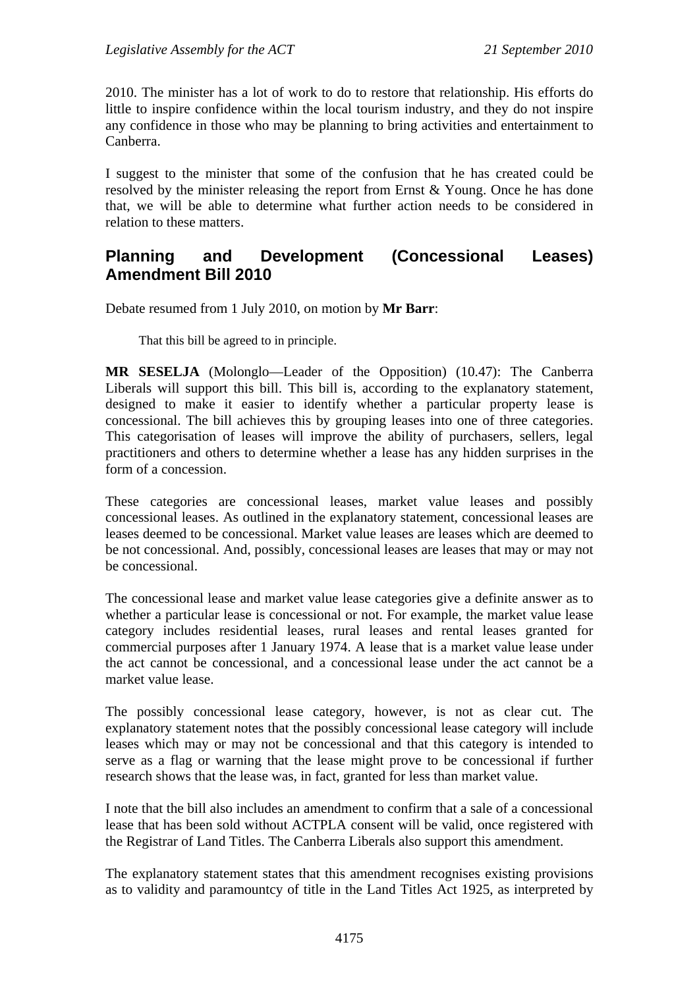2010. The minister has a lot of work to do to restore that relationship. His efforts do little to inspire confidence within the local tourism industry, and they do not inspire any confidence in those who may be planning to bring activities and entertainment to Canberra.

I suggest to the minister that some of the confusion that he has created could be resolved by the minister releasing the report from Ernst & Young. Once he has done that, we will be able to determine what further action needs to be considered in relation to these matters.

## <span id="page-16-0"></span>**Planning and Development (Concessional Leases) Amendment Bill 2010**

Debate resumed from 1 July 2010, on motion by **Mr Barr**:

That this bill be agreed to in principle.

**MR SESELJA** (Molonglo—Leader of the Opposition) (10.47): The Canberra Liberals will support this bill. This bill is, according to the explanatory statement, designed to make it easier to identify whether a particular property lease is concessional. The bill achieves this by grouping leases into one of three categories. This categorisation of leases will improve the ability of purchasers, sellers, legal practitioners and others to determine whether a lease has any hidden surprises in the form of a concession.

These categories are concessional leases, market value leases and possibly concessional leases. As outlined in the explanatory statement, concessional leases are leases deemed to be concessional. Market value leases are leases which are deemed to be not concessional. And, possibly, concessional leases are leases that may or may not be concessional.

The concessional lease and market value lease categories give a definite answer as to whether a particular lease is concessional or not. For example, the market value lease category includes residential leases, rural leases and rental leases granted for commercial purposes after 1 January 1974. A lease that is a market value lease under the act cannot be concessional, and a concessional lease under the act cannot be a market value lease.

The possibly concessional lease category, however, is not as clear cut. The explanatory statement notes that the possibly concessional lease category will include leases which may or may not be concessional and that this category is intended to serve as a flag or warning that the lease might prove to be concessional if further research shows that the lease was, in fact, granted for less than market value.

I note that the bill also includes an amendment to confirm that a sale of a concessional lease that has been sold without ACTPLA consent will be valid, once registered with the Registrar of Land Titles. The Canberra Liberals also support this amendment.

The explanatory statement states that this amendment recognises existing provisions as to validity and paramountcy of title in the Land Titles Act 1925, as interpreted by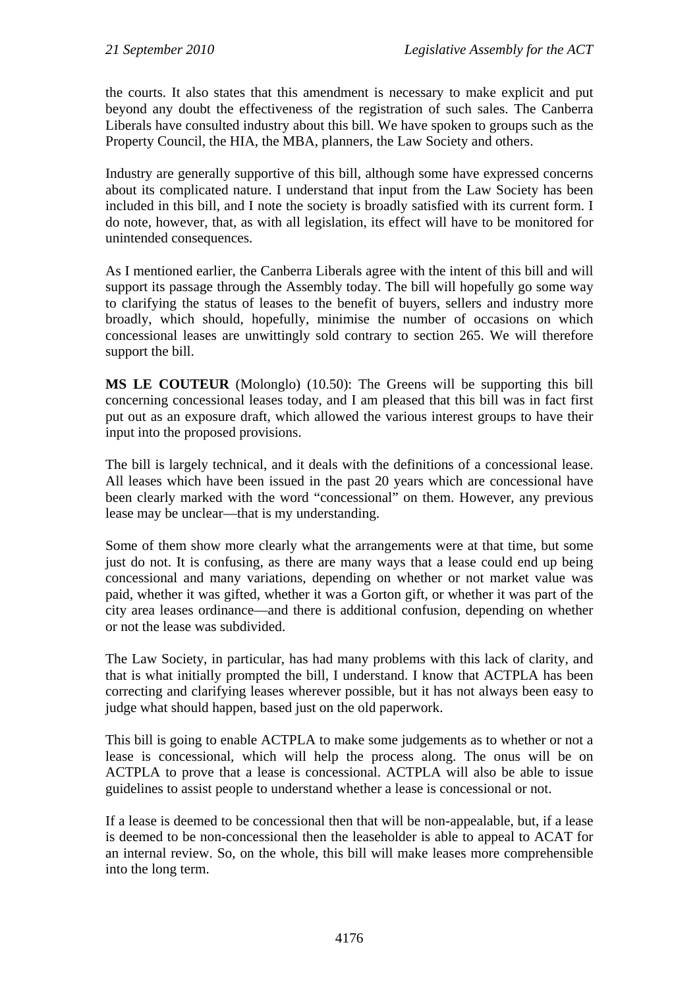the courts. It also states that this amendment is necessary to make explicit and put beyond any doubt the effectiveness of the registration of such sales. The Canberra Liberals have consulted industry about this bill. We have spoken to groups such as the Property Council, the HIA, the MBA, planners, the Law Society and others.

Industry are generally supportive of this bill, although some have expressed concerns about its complicated nature. I understand that input from the Law Society has been included in this bill, and I note the society is broadly satisfied with its current form. I do note, however, that, as with all legislation, its effect will have to be monitored for unintended consequences.

As I mentioned earlier, the Canberra Liberals agree with the intent of this bill and will support its passage through the Assembly today. The bill will hopefully go some way to clarifying the status of leases to the benefit of buyers, sellers and industry more broadly, which should, hopefully, minimise the number of occasions on which concessional leases are unwittingly sold contrary to section 265. We will therefore support the bill.

**MS LE COUTEUR** (Molonglo) (10.50): The Greens will be supporting this bill concerning concessional leases today, and I am pleased that this bill was in fact first put out as an exposure draft, which allowed the various interest groups to have their input into the proposed provisions.

The bill is largely technical, and it deals with the definitions of a concessional lease. All leases which have been issued in the past 20 years which are concessional have been clearly marked with the word "concessional" on them. However, any previous lease may be unclear—that is my understanding.

Some of them show more clearly what the arrangements were at that time, but some just do not. It is confusing, as there are many ways that a lease could end up being concessional and many variations, depending on whether or not market value was paid, whether it was gifted, whether it was a Gorton gift, or whether it was part of the city area leases ordinance—and there is additional confusion, depending on whether or not the lease was subdivided.

The Law Society, in particular, has had many problems with this lack of clarity, and that is what initially prompted the bill, I understand. I know that ACTPLA has been correcting and clarifying leases wherever possible, but it has not always been easy to judge what should happen, based just on the old paperwork.

This bill is going to enable ACTPLA to make some judgements as to whether or not a lease is concessional, which will help the process along. The onus will be on ACTPLA to prove that a lease is concessional. ACTPLA will also be able to issue guidelines to assist people to understand whether a lease is concessional or not.

If a lease is deemed to be concessional then that will be non-appealable, but, if a lease is deemed to be non-concessional then the leaseholder is able to appeal to ACAT for an internal review. So, on the whole, this bill will make leases more comprehensible into the long term.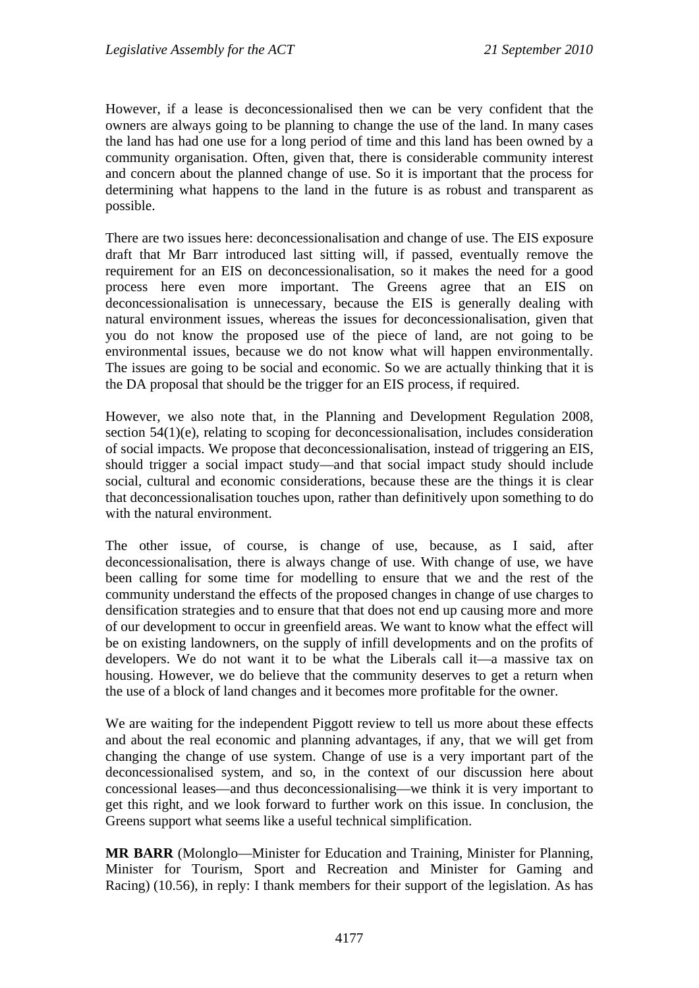However, if a lease is deconcessionalised then we can be very confident that the owners are always going to be planning to change the use of the land. In many cases the land has had one use for a long period of time and this land has been owned by a community organisation. Often, given that, there is considerable community interest and concern about the planned change of use. So it is important that the process for determining what happens to the land in the future is as robust and transparent as possible.

There are two issues here: deconcessionalisation and change of use. The EIS exposure draft that Mr Barr introduced last sitting will, if passed, eventually remove the requirement for an EIS on deconcessionalisation, so it makes the need for a good process here even more important. The Greens agree that an EIS on deconcessionalisation is unnecessary, because the EIS is generally dealing with natural environment issues, whereas the issues for deconcessionalisation, given that you do not know the proposed use of the piece of land, are not going to be environmental issues, because we do not know what will happen environmentally. The issues are going to be social and economic. So we are actually thinking that it is the DA proposal that should be the trigger for an EIS process, if required.

However, we also note that, in the Planning and Development Regulation 2008, section 54(1)(e), relating to scoping for deconcessionalisation, includes consideration of social impacts. We propose that deconcessionalisation, instead of triggering an EIS, should trigger a social impact study—and that social impact study should include social, cultural and economic considerations, because these are the things it is clear that deconcessionalisation touches upon, rather than definitively upon something to do with the natural environment.

The other issue, of course, is change of use, because, as I said, after deconcessionalisation, there is always change of use. With change of use, we have been calling for some time for modelling to ensure that we and the rest of the community understand the effects of the proposed changes in change of use charges to densification strategies and to ensure that that does not end up causing more and more of our development to occur in greenfield areas. We want to know what the effect will be on existing landowners, on the supply of infill developments and on the profits of developers. We do not want it to be what the Liberals call it—a massive tax on housing. However, we do believe that the community deserves to get a return when the use of a block of land changes and it becomes more profitable for the owner.

We are waiting for the independent Piggott review to tell us more about these effects and about the real economic and planning advantages, if any, that we will get from changing the change of use system. Change of use is a very important part of the deconcessionalised system, and so, in the context of our discussion here about concessional leases—and thus deconcessionalising—we think it is very important to get this right, and we look forward to further work on this issue. In conclusion, the Greens support what seems like a useful technical simplification.

**MR BARR** (Molonglo—Minister for Education and Training, Minister for Planning, Minister for Tourism, Sport and Recreation and Minister for Gaming and Racing) (10.56), in reply: I thank members for their support of the legislation. As has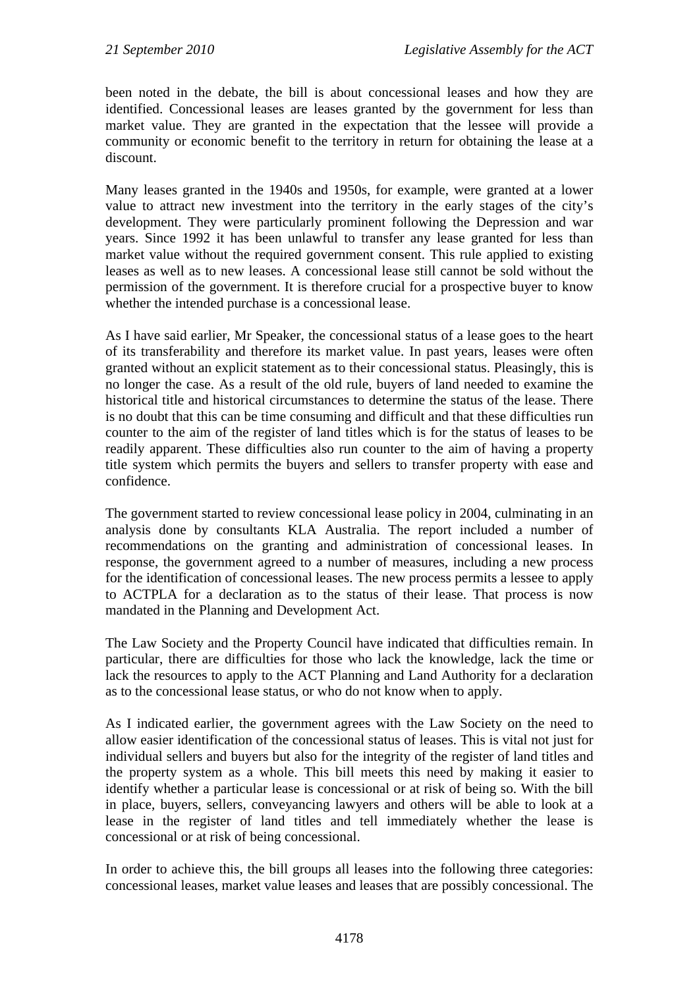been noted in the debate, the bill is about concessional leases and how they are identified. Concessional leases are leases granted by the government for less than market value. They are granted in the expectation that the lessee will provide a community or economic benefit to the territory in return for obtaining the lease at a discount.

Many leases granted in the 1940s and 1950s, for example, were granted at a lower value to attract new investment into the territory in the early stages of the city's development. They were particularly prominent following the Depression and war years. Since 1992 it has been unlawful to transfer any lease granted for less than market value without the required government consent. This rule applied to existing leases as well as to new leases. A concessional lease still cannot be sold without the permission of the government. It is therefore crucial for a prospective buyer to know whether the intended purchase is a concessional lease.

As I have said earlier, Mr Speaker, the concessional status of a lease goes to the heart of its transferability and therefore its market value. In past years, leases were often granted without an explicit statement as to their concessional status. Pleasingly, this is no longer the case. As a result of the old rule, buyers of land needed to examine the historical title and historical circumstances to determine the status of the lease. There is no doubt that this can be time consuming and difficult and that these difficulties run counter to the aim of the register of land titles which is for the status of leases to be readily apparent. These difficulties also run counter to the aim of having a property title system which permits the buyers and sellers to transfer property with ease and confidence.

The government started to review concessional lease policy in 2004, culminating in an analysis done by consultants KLA Australia. The report included a number of recommendations on the granting and administration of concessional leases. In response, the government agreed to a number of measures, including a new process for the identification of concessional leases. The new process permits a lessee to apply to ACTPLA for a declaration as to the status of their lease. That process is now mandated in the Planning and Development Act.

The Law Society and the Property Council have indicated that difficulties remain. In particular, there are difficulties for those who lack the knowledge, lack the time or lack the resources to apply to the ACT Planning and Land Authority for a declaration as to the concessional lease status, or who do not know when to apply.

As I indicated earlier, the government agrees with the Law Society on the need to allow easier identification of the concessional status of leases. This is vital not just for individual sellers and buyers but also for the integrity of the register of land titles and the property system as a whole. This bill meets this need by making it easier to identify whether a particular lease is concessional or at risk of being so. With the bill in place, buyers, sellers, conveyancing lawyers and others will be able to look at a lease in the register of land titles and tell immediately whether the lease is concessional or at risk of being concessional.

In order to achieve this, the bill groups all leases into the following three categories: concessional leases, market value leases and leases that are possibly concessional. The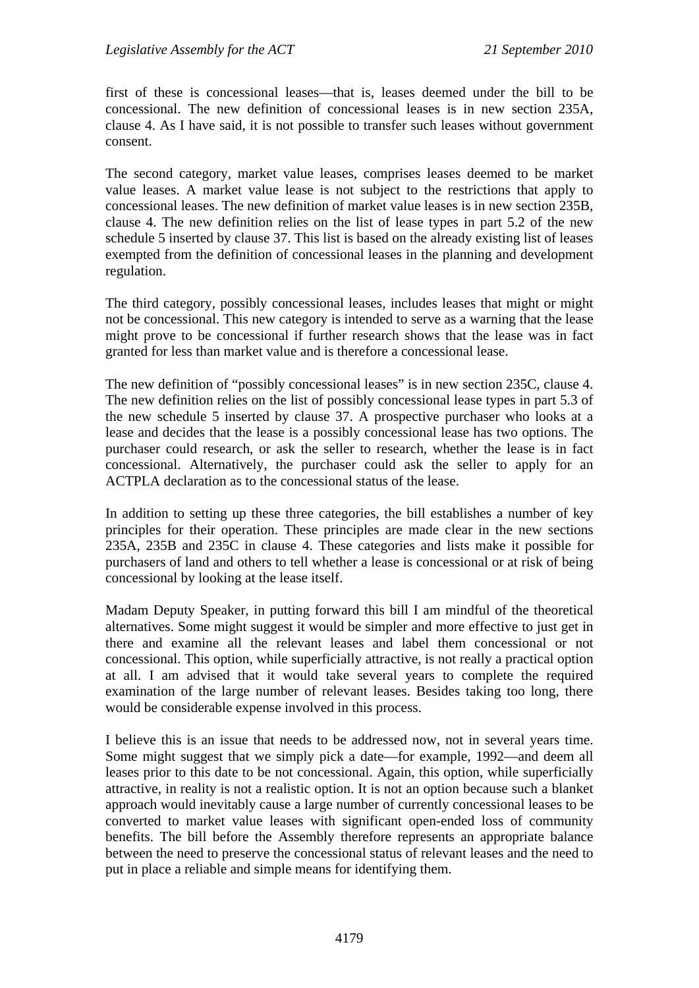first of these is concessional leases—that is, leases deemed under the bill to be concessional. The new definition of concessional leases is in new section 235A, clause 4. As I have said, it is not possible to transfer such leases without government consent.

The second category, market value leases, comprises leases deemed to be market value leases. A market value lease is not subject to the restrictions that apply to concessional leases. The new definition of market value leases is in new section 235B, clause 4. The new definition relies on the list of lease types in part 5.2 of the new schedule 5 inserted by clause 37. This list is based on the already existing list of leases exempted from the definition of concessional leases in the planning and development regulation.

The third category, possibly concessional leases, includes leases that might or might not be concessional. This new category is intended to serve as a warning that the lease might prove to be concessional if further research shows that the lease was in fact granted for less than market value and is therefore a concessional lease.

The new definition of "possibly concessional leases" is in new section 235C, clause 4. The new definition relies on the list of possibly concessional lease types in part 5.3 of the new schedule 5 inserted by clause 37. A prospective purchaser who looks at a lease and decides that the lease is a possibly concessional lease has two options. The purchaser could research, or ask the seller to research, whether the lease is in fact concessional. Alternatively, the purchaser could ask the seller to apply for an ACTPLA declaration as to the concessional status of the lease.

In addition to setting up these three categories, the bill establishes a number of key principles for their operation. These principles are made clear in the new sections 235A, 235B and 235C in clause 4. These categories and lists make it possible for purchasers of land and others to tell whether a lease is concessional or at risk of being concessional by looking at the lease itself.

Madam Deputy Speaker, in putting forward this bill I am mindful of the theoretical alternatives. Some might suggest it would be simpler and more effective to just get in there and examine all the relevant leases and label them concessional or not concessional. This option, while superficially attractive, is not really a practical option at all. I am advised that it would take several years to complete the required examination of the large number of relevant leases. Besides taking too long, there would be considerable expense involved in this process.

I believe this is an issue that needs to be addressed now, not in several years time. Some might suggest that we simply pick a date—for example, 1992—and deem all leases prior to this date to be not concessional. Again, this option, while superficially attractive, in reality is not a realistic option. It is not an option because such a blanket approach would inevitably cause a large number of currently concessional leases to be converted to market value leases with significant open-ended loss of community benefits. The bill before the Assembly therefore represents an appropriate balance between the need to preserve the concessional status of relevant leases and the need to put in place a reliable and simple means for identifying them.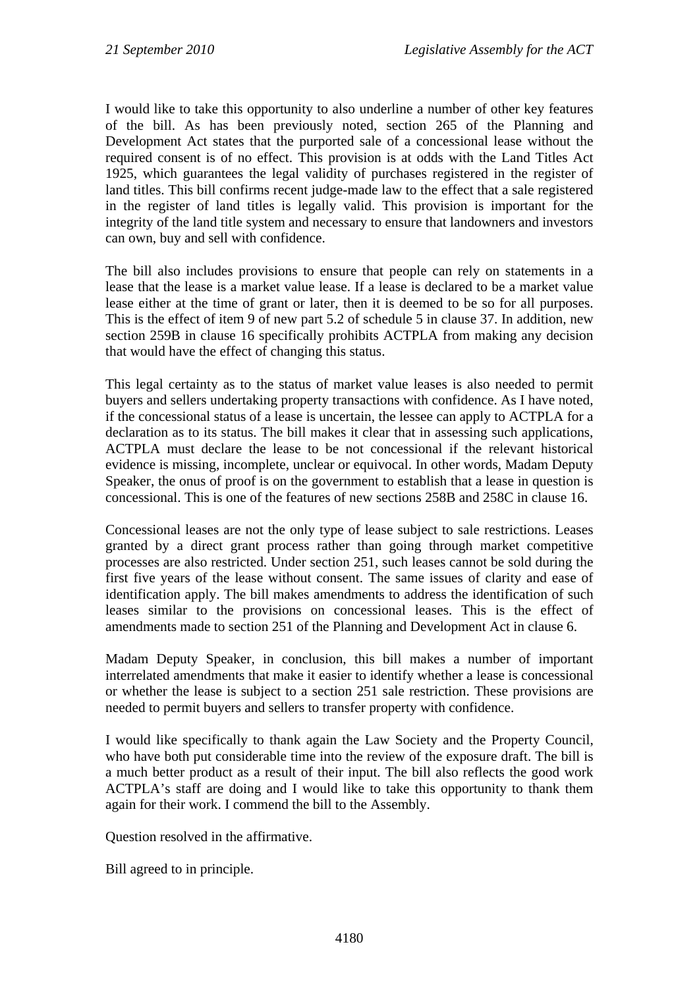I would like to take this opportunity to also underline a number of other key features of the bill. As has been previously noted, section 265 of the Planning and Development Act states that the purported sale of a concessional lease without the required consent is of no effect. This provision is at odds with the Land Titles Act 1925, which guarantees the legal validity of purchases registered in the register of land titles. This bill confirms recent judge-made law to the effect that a sale registered in the register of land titles is legally valid. This provision is important for the integrity of the land title system and necessary to ensure that landowners and investors can own, buy and sell with confidence.

The bill also includes provisions to ensure that people can rely on statements in a lease that the lease is a market value lease. If a lease is declared to be a market value lease either at the time of grant or later, then it is deemed to be so for all purposes. This is the effect of item 9 of new part 5.2 of schedule 5 in clause 37. In addition, new section 259B in clause 16 specifically prohibits ACTPLA from making any decision that would have the effect of changing this status.

This legal certainty as to the status of market value leases is also needed to permit buyers and sellers undertaking property transactions with confidence. As I have noted, if the concessional status of a lease is uncertain, the lessee can apply to ACTPLA for a declaration as to its status. The bill makes it clear that in assessing such applications, ACTPLA must declare the lease to be not concessional if the relevant historical evidence is missing, incomplete, unclear or equivocal. In other words, Madam Deputy Speaker, the onus of proof is on the government to establish that a lease in question is concessional. This is one of the features of new sections 258B and 258C in clause 16.

Concessional leases are not the only type of lease subject to sale restrictions. Leases granted by a direct grant process rather than going through market competitive processes are also restricted. Under section 251, such leases cannot be sold during the first five years of the lease without consent. The same issues of clarity and ease of identification apply. The bill makes amendments to address the identification of such leases similar to the provisions on concessional leases. This is the effect of amendments made to section 251 of the Planning and Development Act in clause 6.

Madam Deputy Speaker, in conclusion, this bill makes a number of important interrelated amendments that make it easier to identify whether a lease is concessional or whether the lease is subject to a section 251 sale restriction. These provisions are needed to permit buyers and sellers to transfer property with confidence.

I would like specifically to thank again the Law Society and the Property Council, who have both put considerable time into the review of the exposure draft. The bill is a much better product as a result of their input. The bill also reflects the good work ACTPLA's staff are doing and I would like to take this opportunity to thank them again for their work. I commend the bill to the Assembly.

Question resolved in the affirmative.

Bill agreed to in principle.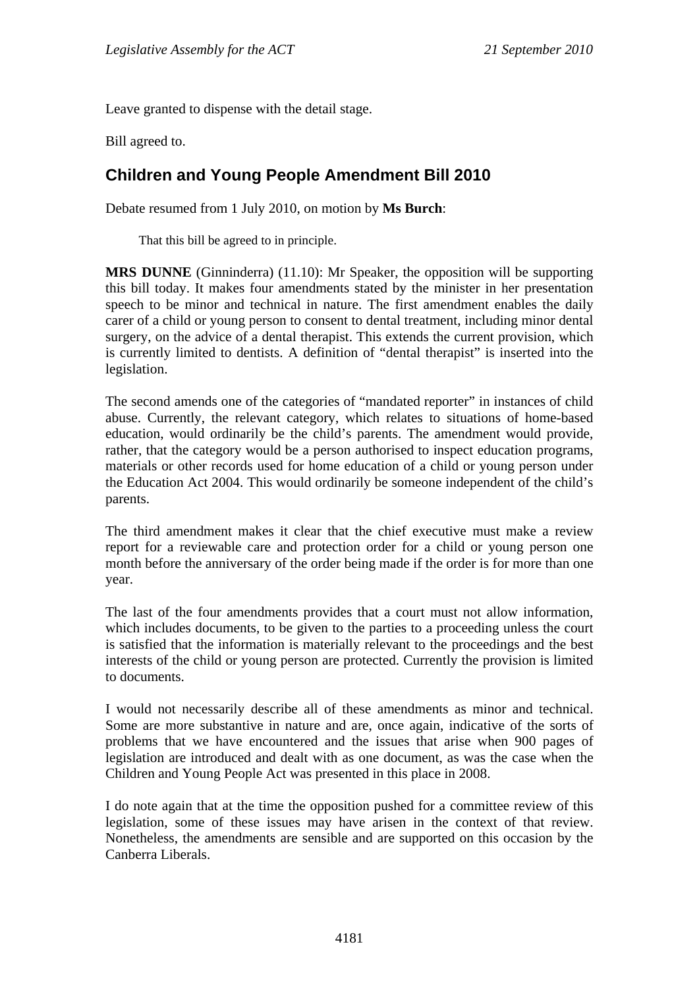Leave granted to dispense with the detail stage.

Bill agreed to.

## <span id="page-22-0"></span>**Children and Young People Amendment Bill 2010**

Debate resumed from 1 July 2010, on motion by **Ms Burch**:

That this bill be agreed to in principle.

**MRS DUNNE** (Ginninderra) (11.10): Mr Speaker, the opposition will be supporting this bill today. It makes four amendments stated by the minister in her presentation speech to be minor and technical in nature. The first amendment enables the daily carer of a child or young person to consent to dental treatment, including minor dental surgery, on the advice of a dental therapist. This extends the current provision, which is currently limited to dentists. A definition of "dental therapist" is inserted into the legislation.

The second amends one of the categories of "mandated reporter" in instances of child abuse. Currently, the relevant category, which relates to situations of home-based education, would ordinarily be the child's parents. The amendment would provide, rather, that the category would be a person authorised to inspect education programs, materials or other records used for home education of a child or young person under the Education Act 2004. This would ordinarily be someone independent of the child's parents.

The third amendment makes it clear that the chief executive must make a review report for a reviewable care and protection order for a child or young person one month before the anniversary of the order being made if the order is for more than one year.

The last of the four amendments provides that a court must not allow information, which includes documents, to be given to the parties to a proceeding unless the court is satisfied that the information is materially relevant to the proceedings and the best interests of the child or young person are protected. Currently the provision is limited to documents.

I would not necessarily describe all of these amendments as minor and technical. Some are more substantive in nature and are, once again, indicative of the sorts of problems that we have encountered and the issues that arise when 900 pages of legislation are introduced and dealt with as one document, as was the case when the Children and Young People Act was presented in this place in 2008.

I do note again that at the time the opposition pushed for a committee review of this legislation, some of these issues may have arisen in the context of that review. Nonetheless, the amendments are sensible and are supported on this occasion by the Canberra Liberals.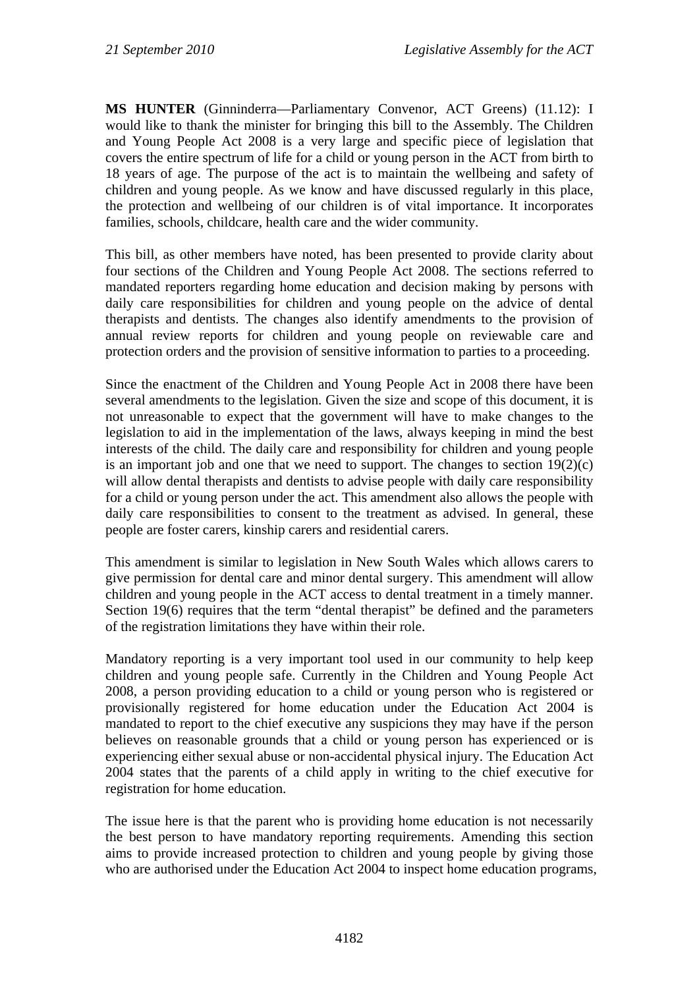**MS HUNTER** (Ginninderra—Parliamentary Convenor, ACT Greens) (11.12): I would like to thank the minister for bringing this bill to the Assembly. The Children and Young People Act 2008 is a very large and specific piece of legislation that covers the entire spectrum of life for a child or young person in the ACT from birth to 18 years of age. The purpose of the act is to maintain the wellbeing and safety of children and young people. As we know and have discussed regularly in this place, the protection and wellbeing of our children is of vital importance. It incorporates families, schools, childcare, health care and the wider community.

This bill, as other members have noted, has been presented to provide clarity about four sections of the Children and Young People Act 2008. The sections referred to mandated reporters regarding home education and decision making by persons with daily care responsibilities for children and young people on the advice of dental therapists and dentists. The changes also identify amendments to the provision of annual review reports for children and young people on reviewable care and protection orders and the provision of sensitive information to parties to a proceeding.

Since the enactment of the Children and Young People Act in 2008 there have been several amendments to the legislation. Given the size and scope of this document, it is not unreasonable to expect that the government will have to make changes to the legislation to aid in the implementation of the laws, always keeping in mind the best interests of the child. The daily care and responsibility for children and young people is an important job and one that we need to support. The changes to section  $19(2)(c)$ will allow dental therapists and dentists to advise people with daily care responsibility for a child or young person under the act. This amendment also allows the people with daily care responsibilities to consent to the treatment as advised. In general, these people are foster carers, kinship carers and residential carers.

This amendment is similar to legislation in New South Wales which allows carers to give permission for dental care and minor dental surgery. This amendment will allow children and young people in the ACT access to dental treatment in a timely manner. Section 19(6) requires that the term "dental therapist" be defined and the parameters of the registration limitations they have within their role.

Mandatory reporting is a very important tool used in our community to help keep children and young people safe. Currently in the Children and Young People Act 2008, a person providing education to a child or young person who is registered or provisionally registered for home education under the Education Act 2004 is mandated to report to the chief executive any suspicions they may have if the person believes on reasonable grounds that a child or young person has experienced or is experiencing either sexual abuse or non-accidental physical injury. The Education Act 2004 states that the parents of a child apply in writing to the chief executive for registration for home education.

The issue here is that the parent who is providing home education is not necessarily the best person to have mandatory reporting requirements. Amending this section aims to provide increased protection to children and young people by giving those who are authorised under the Education Act 2004 to inspect home education programs,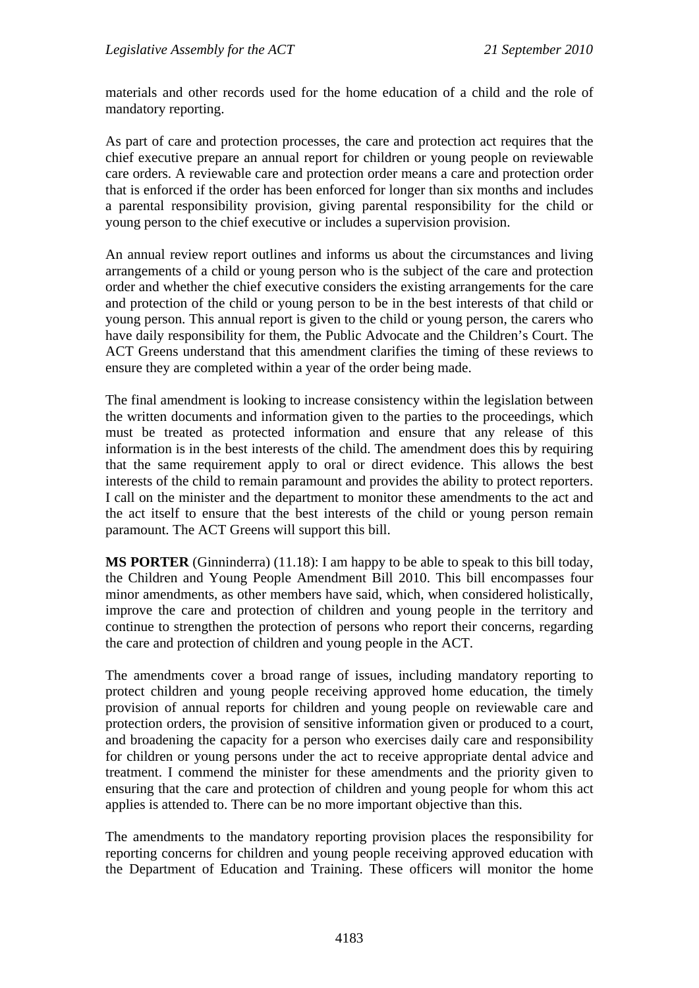materials and other records used for the home education of a child and the role of mandatory reporting.

As part of care and protection processes, the care and protection act requires that the chief executive prepare an annual report for children or young people on reviewable care orders. A reviewable care and protection order means a care and protection order that is enforced if the order has been enforced for longer than six months and includes a parental responsibility provision, giving parental responsibility for the child or young person to the chief executive or includes a supervision provision.

An annual review report outlines and informs us about the circumstances and living arrangements of a child or young person who is the subject of the care and protection order and whether the chief executive considers the existing arrangements for the care and protection of the child or young person to be in the best interests of that child or young person. This annual report is given to the child or young person, the carers who have daily responsibility for them, the Public Advocate and the Children's Court. The ACT Greens understand that this amendment clarifies the timing of these reviews to ensure they are completed within a year of the order being made.

The final amendment is looking to increase consistency within the legislation between the written documents and information given to the parties to the proceedings, which must be treated as protected information and ensure that any release of this information is in the best interests of the child. The amendment does this by requiring that the same requirement apply to oral or direct evidence. This allows the best interests of the child to remain paramount and provides the ability to protect reporters. I call on the minister and the department to monitor these amendments to the act and the act itself to ensure that the best interests of the child or young person remain paramount. The ACT Greens will support this bill.

**MS PORTER** (Ginninderra) (11.18): I am happy to be able to speak to this bill today, the Children and Young People Amendment Bill 2010. This bill encompasses four minor amendments, as other members have said, which, when considered holistically, improve the care and protection of children and young people in the territory and continue to strengthen the protection of persons who report their concerns, regarding the care and protection of children and young people in the ACT.

The amendments cover a broad range of issues, including mandatory reporting to protect children and young people receiving approved home education, the timely provision of annual reports for children and young people on reviewable care and protection orders, the provision of sensitive information given or produced to a court, and broadening the capacity for a person who exercises daily care and responsibility for children or young persons under the act to receive appropriate dental advice and treatment. I commend the minister for these amendments and the priority given to ensuring that the care and protection of children and young people for whom this act applies is attended to. There can be no more important objective than this.

The amendments to the mandatory reporting provision places the responsibility for reporting concerns for children and young people receiving approved education with the Department of Education and Training. These officers will monitor the home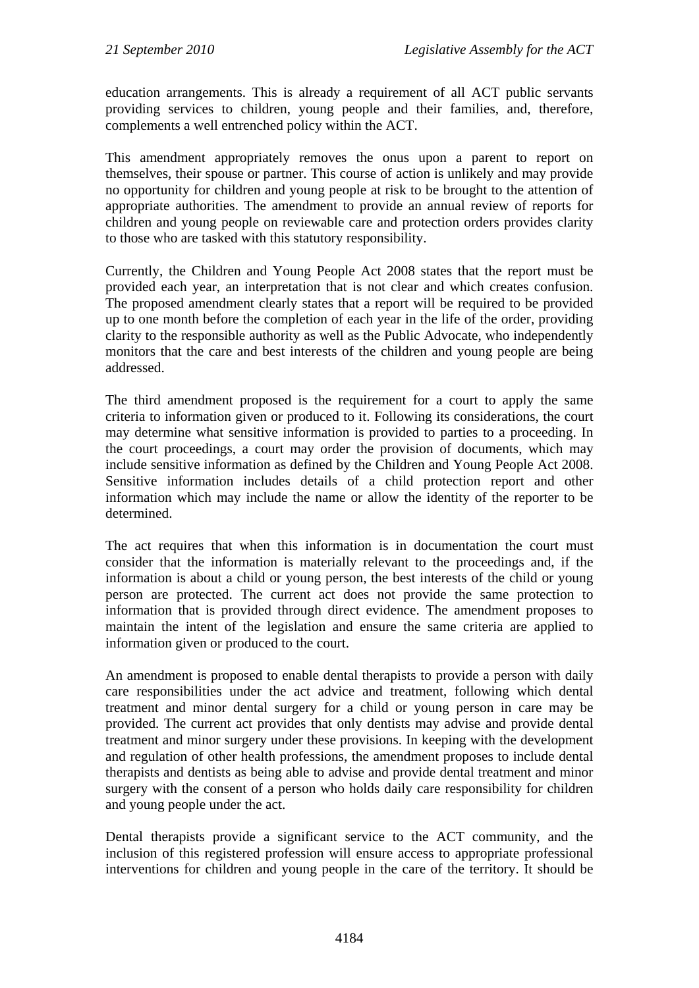education arrangements. This is already a requirement of all ACT public servants providing services to children, young people and their families, and, therefore, complements a well entrenched policy within the ACT.

This amendment appropriately removes the onus upon a parent to report on themselves, their spouse or partner. This course of action is unlikely and may provide no opportunity for children and young people at risk to be brought to the attention of appropriate authorities. The amendment to provide an annual review of reports for children and young people on reviewable care and protection orders provides clarity to those who are tasked with this statutory responsibility.

Currently, the Children and Young People Act 2008 states that the report must be provided each year, an interpretation that is not clear and which creates confusion. The proposed amendment clearly states that a report will be required to be provided up to one month before the completion of each year in the life of the order, providing clarity to the responsible authority as well as the Public Advocate, who independently monitors that the care and best interests of the children and young people are being addressed.

The third amendment proposed is the requirement for a court to apply the same criteria to information given or produced to it. Following its considerations, the court may determine what sensitive information is provided to parties to a proceeding. In the court proceedings, a court may order the provision of documents, which may include sensitive information as defined by the Children and Young People Act 2008. Sensitive information includes details of a child protection report and other information which may include the name or allow the identity of the reporter to be determined.

The act requires that when this information is in documentation the court must consider that the information is materially relevant to the proceedings and, if the information is about a child or young person, the best interests of the child or young person are protected. The current act does not provide the same protection to information that is provided through direct evidence. The amendment proposes to maintain the intent of the legislation and ensure the same criteria are applied to information given or produced to the court.

An amendment is proposed to enable dental therapists to provide a person with daily care responsibilities under the act advice and treatment, following which dental treatment and minor dental surgery for a child or young person in care may be provided. The current act provides that only dentists may advise and provide dental treatment and minor surgery under these provisions. In keeping with the development and regulation of other health professions, the amendment proposes to include dental therapists and dentists as being able to advise and provide dental treatment and minor surgery with the consent of a person who holds daily care responsibility for children and young people under the act.

Dental therapists provide a significant service to the ACT community, and the inclusion of this registered profession will ensure access to appropriate professional interventions for children and young people in the care of the territory. It should be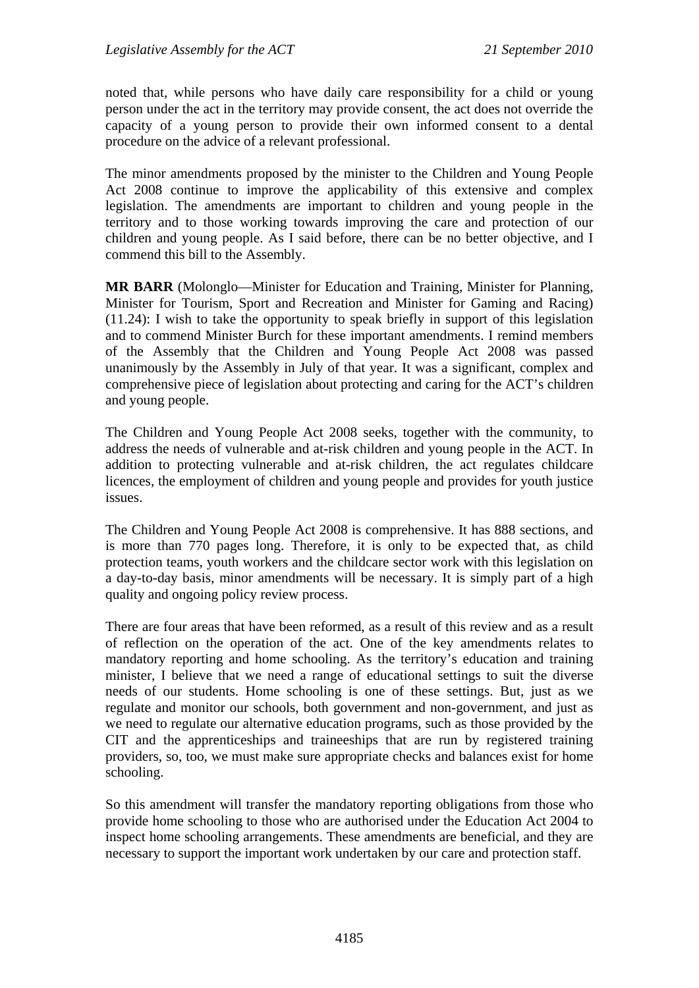noted that, while persons who have daily care responsibility for a child or young person under the act in the territory may provide consent, the act does not override the capacity of a young person to provide their own informed consent to a dental procedure on the advice of a relevant professional.

The minor amendments proposed by the minister to the Children and Young People Act 2008 continue to improve the applicability of this extensive and complex legislation. The amendments are important to children and young people in the territory and to those working towards improving the care and protection of our children and young people. As I said before, there can be no better objective, and I commend this bill to the Assembly.

**MR BARR** (Molonglo—Minister for Education and Training, Minister for Planning, Minister for Tourism, Sport and Recreation and Minister for Gaming and Racing) (11.24): I wish to take the opportunity to speak briefly in support of this legislation and to commend Minister Burch for these important amendments. I remind members of the Assembly that the Children and Young People Act 2008 was passed unanimously by the Assembly in July of that year. It was a significant, complex and comprehensive piece of legislation about protecting and caring for the ACT's children and young people.

The Children and Young People Act 2008 seeks, together with the community, to address the needs of vulnerable and at-risk children and young people in the ACT. In addition to protecting vulnerable and at-risk children, the act regulates childcare licences, the employment of children and young people and provides for youth justice issues.

The Children and Young People Act 2008 is comprehensive. It has 888 sections, and is more than 770 pages long. Therefore, it is only to be expected that, as child protection teams, youth workers and the childcare sector work with this legislation on a day-to-day basis, minor amendments will be necessary. It is simply part of a high quality and ongoing policy review process.

There are four areas that have been reformed, as a result of this review and as a result of reflection on the operation of the act. One of the key amendments relates to mandatory reporting and home schooling. As the territory's education and training minister, I believe that we need a range of educational settings to suit the diverse needs of our students. Home schooling is one of these settings. But, just as we regulate and monitor our schools, both government and non-government, and just as we need to regulate our alternative education programs, such as those provided by the CIT and the apprenticeships and traineeships that are run by registered training providers, so, too, we must make sure appropriate checks and balances exist for home schooling.

So this amendment will transfer the mandatory reporting obligations from those who provide home schooling to those who are authorised under the Education Act 2004 to inspect home schooling arrangements. These amendments are beneficial, and they are necessary to support the important work undertaken by our care and protection staff.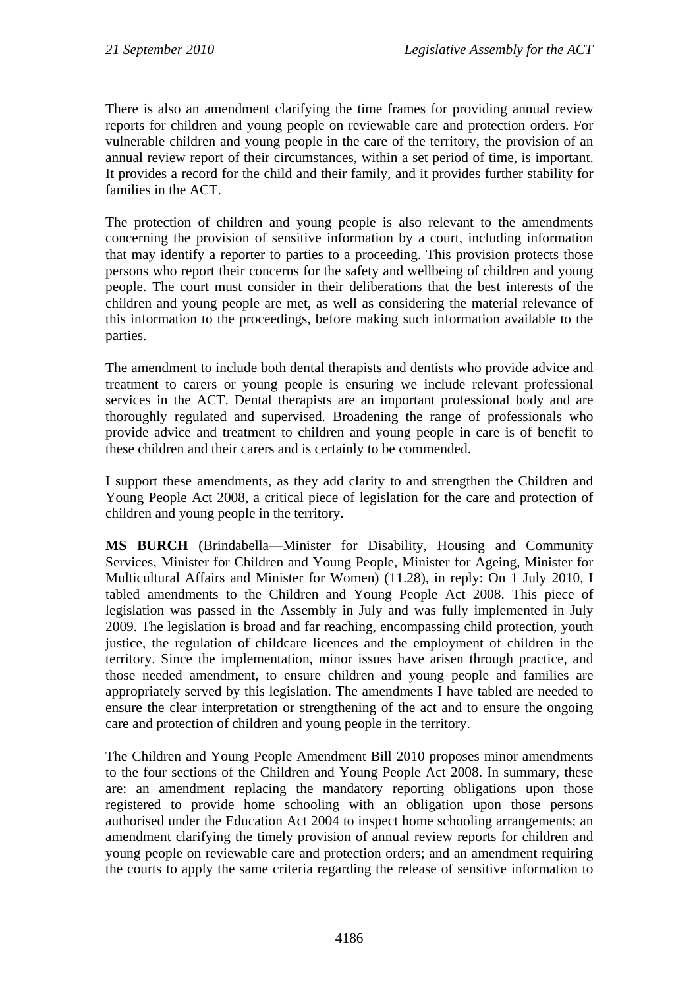There is also an amendment clarifying the time frames for providing annual review reports for children and young people on reviewable care and protection orders. For vulnerable children and young people in the care of the territory, the provision of an annual review report of their circumstances, within a set period of time, is important. It provides a record for the child and their family, and it provides further stability for families in the ACT.

The protection of children and young people is also relevant to the amendments concerning the provision of sensitive information by a court, including information that may identify a reporter to parties to a proceeding. This provision protects those persons who report their concerns for the safety and wellbeing of children and young people. The court must consider in their deliberations that the best interests of the children and young people are met, as well as considering the material relevance of this information to the proceedings, before making such information available to the parties.

The amendment to include both dental therapists and dentists who provide advice and treatment to carers or young people is ensuring we include relevant professional services in the ACT. Dental therapists are an important professional body and are thoroughly regulated and supervised. Broadening the range of professionals who provide advice and treatment to children and young people in care is of benefit to these children and their carers and is certainly to be commended.

I support these amendments, as they add clarity to and strengthen the Children and Young People Act 2008, a critical piece of legislation for the care and protection of children and young people in the territory.

**MS BURCH** (Brindabella—Minister for Disability, Housing and Community Services, Minister for Children and Young People, Minister for Ageing, Minister for Multicultural Affairs and Minister for Women) (11.28), in reply: On 1 July 2010, I tabled amendments to the Children and Young People Act 2008. This piece of legislation was passed in the Assembly in July and was fully implemented in July 2009. The legislation is broad and far reaching, encompassing child protection, youth justice, the regulation of childcare licences and the employment of children in the territory. Since the implementation, minor issues have arisen through practice, and those needed amendment, to ensure children and young people and families are appropriately served by this legislation. The amendments I have tabled are needed to ensure the clear interpretation or strengthening of the act and to ensure the ongoing care and protection of children and young people in the territory.

The Children and Young People Amendment Bill 2010 proposes minor amendments to the four sections of the Children and Young People Act 2008. In summary, these are: an amendment replacing the mandatory reporting obligations upon those registered to provide home schooling with an obligation upon those persons authorised under the Education Act 2004 to inspect home schooling arrangements; an amendment clarifying the timely provision of annual review reports for children and young people on reviewable care and protection orders; and an amendment requiring the courts to apply the same criteria regarding the release of sensitive information to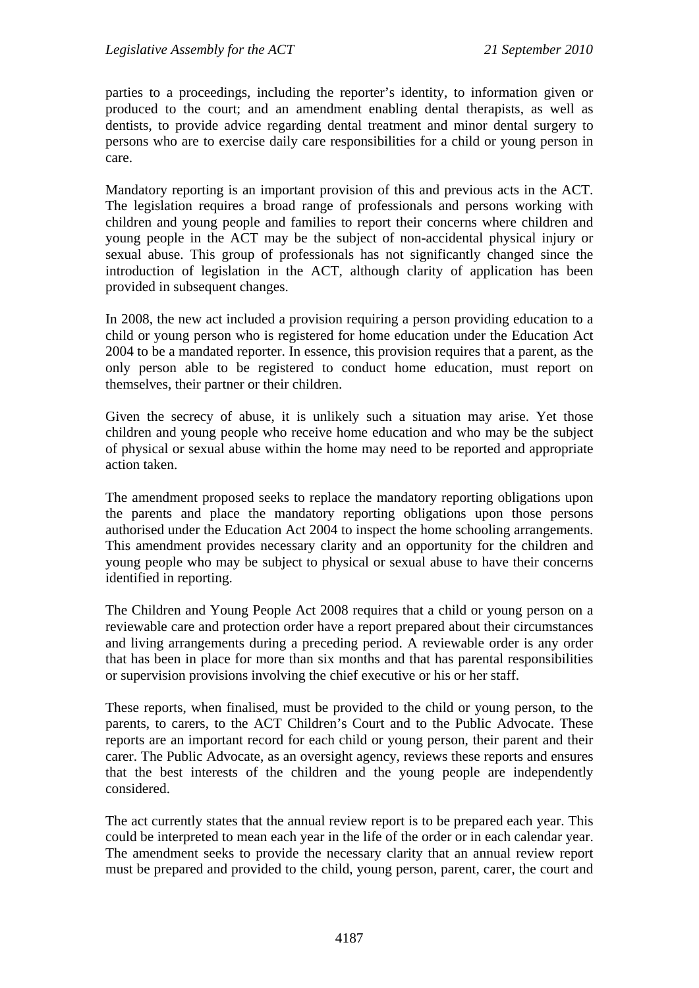parties to a proceedings, including the reporter's identity, to information given or produced to the court; and an amendment enabling dental therapists, as well as dentists, to provide advice regarding dental treatment and minor dental surgery to persons who are to exercise daily care responsibilities for a child or young person in care.

Mandatory reporting is an important provision of this and previous acts in the ACT. The legislation requires a broad range of professionals and persons working with children and young people and families to report their concerns where children and young people in the ACT may be the subject of non-accidental physical injury or sexual abuse. This group of professionals has not significantly changed since the introduction of legislation in the ACT, although clarity of application has been provided in subsequent changes.

In 2008, the new act included a provision requiring a person providing education to a child or young person who is registered for home education under the Education Act 2004 to be a mandated reporter. In essence, this provision requires that a parent, as the only person able to be registered to conduct home education, must report on themselves, their partner or their children.

Given the secrecy of abuse, it is unlikely such a situation may arise. Yet those children and young people who receive home education and who may be the subject of physical or sexual abuse within the home may need to be reported and appropriate action taken.

The amendment proposed seeks to replace the mandatory reporting obligations upon the parents and place the mandatory reporting obligations upon those persons authorised under the Education Act 2004 to inspect the home schooling arrangements. This amendment provides necessary clarity and an opportunity for the children and young people who may be subject to physical or sexual abuse to have their concerns identified in reporting.

The Children and Young People Act 2008 requires that a child or young person on a reviewable care and protection order have a report prepared about their circumstances and living arrangements during a preceding period. A reviewable order is any order that has been in place for more than six months and that has parental responsibilities or supervision provisions involving the chief executive or his or her staff.

These reports, when finalised, must be provided to the child or young person, to the parents, to carers, to the ACT Children's Court and to the Public Advocate. These reports are an important record for each child or young person, their parent and their carer. The Public Advocate, as an oversight agency, reviews these reports and ensures that the best interests of the children and the young people are independently considered.

The act currently states that the annual review report is to be prepared each year. This could be interpreted to mean each year in the life of the order or in each calendar year. The amendment seeks to provide the necessary clarity that an annual review report must be prepared and provided to the child, young person, parent, carer, the court and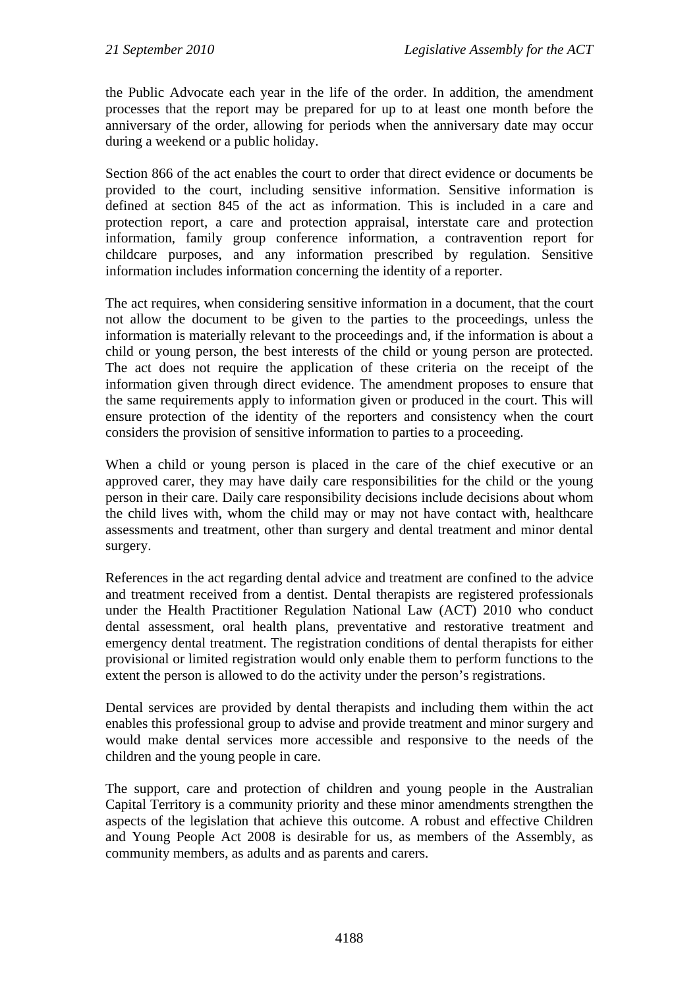the Public Advocate each year in the life of the order. In addition, the amendment processes that the report may be prepared for up to at least one month before the anniversary of the order, allowing for periods when the anniversary date may occur during a weekend or a public holiday.

Section 866 of the act enables the court to order that direct evidence or documents be provided to the court, including sensitive information. Sensitive information is defined at section 845 of the act as information. This is included in a care and protection report, a care and protection appraisal, interstate care and protection information, family group conference information, a contravention report for childcare purposes, and any information prescribed by regulation. Sensitive information includes information concerning the identity of a reporter.

The act requires, when considering sensitive information in a document, that the court not allow the document to be given to the parties to the proceedings, unless the information is materially relevant to the proceedings and, if the information is about a child or young person, the best interests of the child or young person are protected. The act does not require the application of these criteria on the receipt of the information given through direct evidence. The amendment proposes to ensure that the same requirements apply to information given or produced in the court. This will ensure protection of the identity of the reporters and consistency when the court considers the provision of sensitive information to parties to a proceeding.

When a child or young person is placed in the care of the chief executive or an approved carer, they may have daily care responsibilities for the child or the young person in their care. Daily care responsibility decisions include decisions about whom the child lives with, whom the child may or may not have contact with, healthcare assessments and treatment, other than surgery and dental treatment and minor dental surgery.

References in the act regarding dental advice and treatment are confined to the advice and treatment received from a dentist. Dental therapists are registered professionals under the Health Practitioner Regulation National Law (ACT) 2010 who conduct dental assessment, oral health plans, preventative and restorative treatment and emergency dental treatment. The registration conditions of dental therapists for either provisional or limited registration would only enable them to perform functions to the extent the person is allowed to do the activity under the person's registrations.

Dental services are provided by dental therapists and including them within the act enables this professional group to advise and provide treatment and minor surgery and would make dental services more accessible and responsive to the needs of the children and the young people in care.

The support, care and protection of children and young people in the Australian Capital Territory is a community priority and these minor amendments strengthen the aspects of the legislation that achieve this outcome. A robust and effective Children and Young People Act 2008 is desirable for us, as members of the Assembly, as community members, as adults and as parents and carers.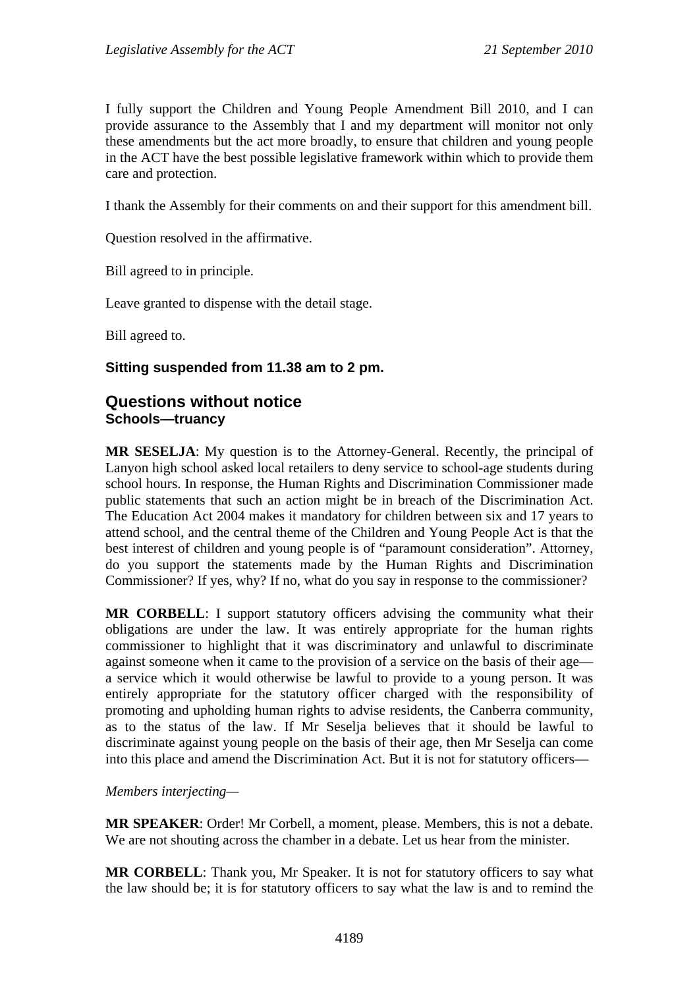I fully support the Children and Young People Amendment Bill 2010, and I can provide assurance to the Assembly that I and my department will monitor not only these amendments but the act more broadly, to ensure that children and young people in the ACT have the best possible legislative framework within which to provide them care and protection.

I thank the Assembly for their comments on and their support for this amendment bill.

Question resolved in the affirmative.

Bill agreed to in principle.

Leave granted to dispense with the detail stage.

Bill agreed to.

#### **Sitting suspended from 11.38 am to 2 pm.**

#### <span id="page-30-1"></span><span id="page-30-0"></span>**Questions without notice Schools—truancy**

**MR SESELJA**: My question is to the Attorney-General. Recently, the principal of Lanyon high school asked local retailers to deny service to school-age students during school hours. In response, the Human Rights and Discrimination Commissioner made public statements that such an action might be in breach of the Discrimination Act. The Education Act 2004 makes it mandatory for children between six and 17 years to attend school, and the central theme of the Children and Young People Act is that the best interest of children and young people is of "paramount consideration". Attorney, do you support the statements made by the Human Rights and Discrimination Commissioner? If yes, why? If no, what do you say in response to the commissioner?

**MR CORBELL**: I support statutory officers advising the community what their obligations are under the law. It was entirely appropriate for the human rights commissioner to highlight that it was discriminatory and unlawful to discriminate against someone when it came to the provision of a service on the basis of their age a service which it would otherwise be lawful to provide to a young person. It was entirely appropriate for the statutory officer charged with the responsibility of promoting and upholding human rights to advise residents, the Canberra community, as to the status of the law. If Mr Seselja believes that it should be lawful to discriminate against young people on the basis of their age, then Mr Seselja can come into this place and amend the Discrimination Act. But it is not for statutory officers—

#### *Members interjecting—*

**MR SPEAKER**: Order! Mr Corbell, a moment, please. Members, this is not a debate. We are not shouting across the chamber in a debate. Let us hear from the minister.

**MR CORBELL**: Thank you, Mr Speaker. It is not for statutory officers to say what the law should be; it is for statutory officers to say what the law is and to remind the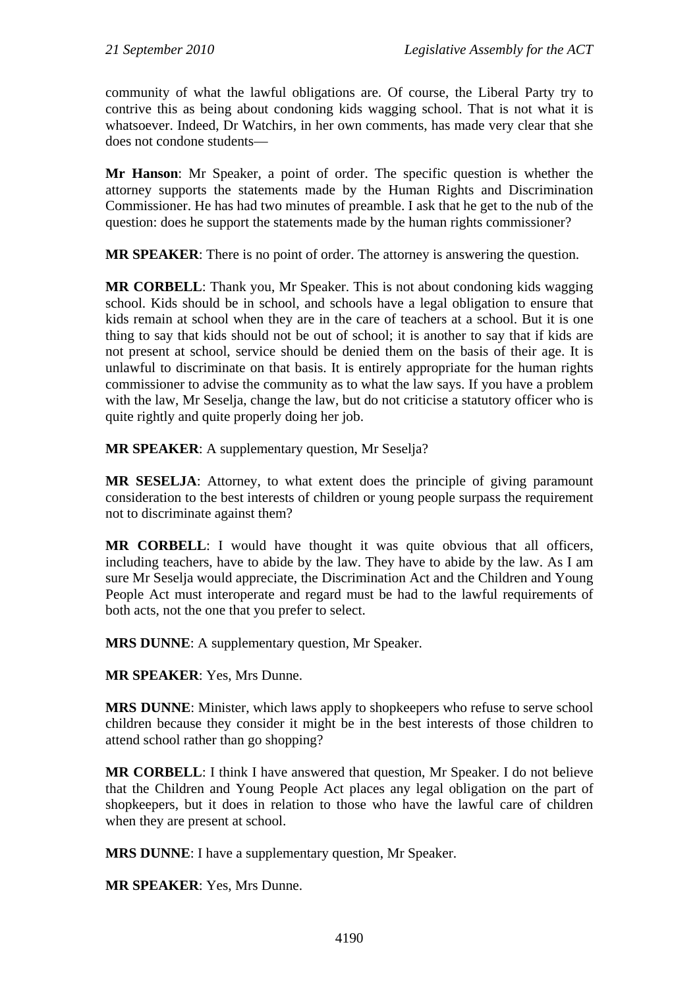community of what the lawful obligations are. Of course, the Liberal Party try to contrive this as being about condoning kids wagging school. That is not what it is whatsoever. Indeed, Dr Watchirs, in her own comments, has made very clear that she does not condone students—

**Mr Hanson**: Mr Speaker, a point of order. The specific question is whether the attorney supports the statements made by the Human Rights and Discrimination Commissioner. He has had two minutes of preamble. I ask that he get to the nub of the question: does he support the statements made by the human rights commissioner?

**MR SPEAKER**: There is no point of order. The attorney is answering the question.

**MR CORBELL**: Thank you, Mr Speaker. This is not about condoning kids wagging school. Kids should be in school, and schools have a legal obligation to ensure that kids remain at school when they are in the care of teachers at a school. But it is one thing to say that kids should not be out of school; it is another to say that if kids are not present at school, service should be denied them on the basis of their age. It is unlawful to discriminate on that basis. It is entirely appropriate for the human rights commissioner to advise the community as to what the law says. If you have a problem with the law, Mr Seselja, change the law, but do not criticise a statutory officer who is quite rightly and quite properly doing her job.

**MR SPEAKER**: A supplementary question, Mr Seselja?

**MR SESELJA**: Attorney, to what extent does the principle of giving paramount consideration to the best interests of children or young people surpass the requirement not to discriminate against them?

**MR CORBELL**: I would have thought it was quite obvious that all officers, including teachers, have to abide by the law. They have to abide by the law. As I am sure Mr Seselja would appreciate, the Discrimination Act and the Children and Young People Act must interoperate and regard must be had to the lawful requirements of both acts, not the one that you prefer to select.

**MRS DUNNE**: A supplementary question, Mr Speaker.

**MR SPEAKER**: Yes, Mrs Dunne.

**MRS DUNNE**: Minister, which laws apply to shopkeepers who refuse to serve school children because they consider it might be in the best interests of those children to attend school rather than go shopping?

**MR CORBELL**: I think I have answered that question, Mr Speaker. I do not believe that the Children and Young People Act places any legal obligation on the part of shopkeepers, but it does in relation to those who have the lawful care of children when they are present at school.

**MRS DUNNE**: I have a supplementary question, Mr Speaker.

**MR SPEAKER**: Yes, Mrs Dunne.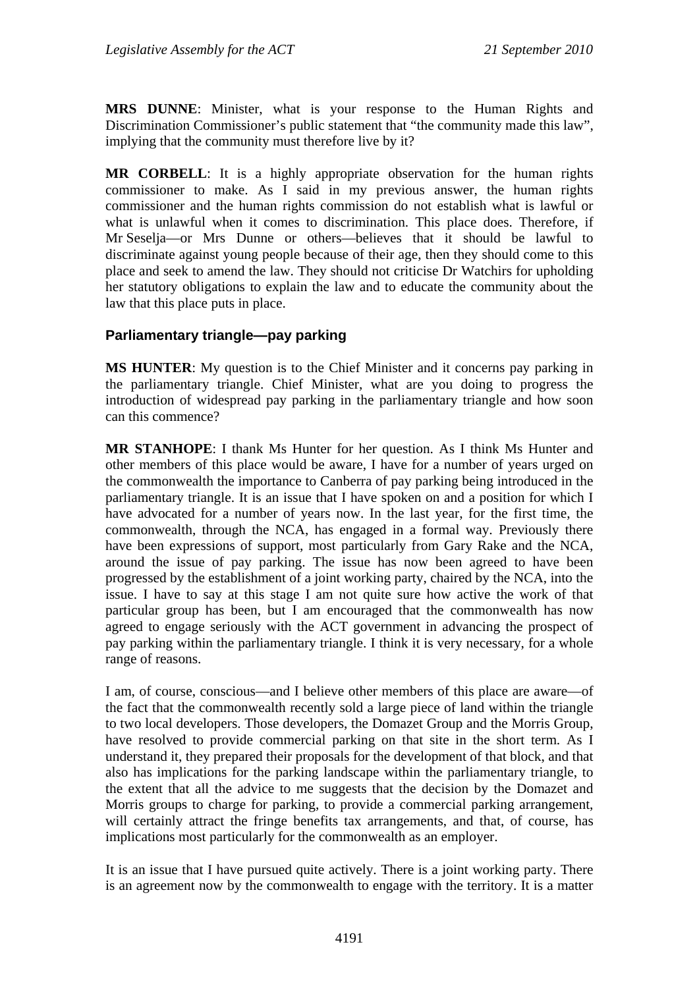**MRS DUNNE**: Minister, what is your response to the Human Rights and Discrimination Commissioner's public statement that "the community made this law", implying that the community must therefore live by it?

**MR CORBELL**: It is a highly appropriate observation for the human rights commissioner to make. As I said in my previous answer, the human rights commissioner and the human rights commission do not establish what is lawful or what is unlawful when it comes to discrimination. This place does. Therefore, if Mr Seselja—or Mrs Dunne or others—believes that it should be lawful to discriminate against young people because of their age, then they should come to this place and seek to amend the law. They should not criticise Dr Watchirs for upholding her statutory obligations to explain the law and to educate the community about the law that this place puts in place.

#### <span id="page-32-0"></span>**Parliamentary triangle—pay parking**

**MS HUNTER**: My question is to the Chief Minister and it concerns pay parking in the parliamentary triangle. Chief Minister, what are you doing to progress the introduction of widespread pay parking in the parliamentary triangle and how soon can this commence?

**MR STANHOPE**: I thank Ms Hunter for her question. As I think Ms Hunter and other members of this place would be aware, I have for a number of years urged on the commonwealth the importance to Canberra of pay parking being introduced in the parliamentary triangle. It is an issue that I have spoken on and a position for which I have advocated for a number of years now. In the last year, for the first time, the commonwealth, through the NCA, has engaged in a formal way. Previously there have been expressions of support, most particularly from Gary Rake and the NCA, around the issue of pay parking. The issue has now been agreed to have been progressed by the establishment of a joint working party, chaired by the NCA, into the issue. I have to say at this stage I am not quite sure how active the work of that particular group has been, but I am encouraged that the commonwealth has now agreed to engage seriously with the ACT government in advancing the prospect of pay parking within the parliamentary triangle. I think it is very necessary, for a whole range of reasons.

I am, of course, conscious—and I believe other members of this place are aware—of the fact that the commonwealth recently sold a large piece of land within the triangle to two local developers. Those developers, the Domazet Group and the Morris Group, have resolved to provide commercial parking on that site in the short term. As I understand it, they prepared their proposals for the development of that block, and that also has implications for the parking landscape within the parliamentary triangle, to the extent that all the advice to me suggests that the decision by the Domazet and Morris groups to charge for parking, to provide a commercial parking arrangement, will certainly attract the fringe benefits tax arrangements, and that, of course, has implications most particularly for the commonwealth as an employer.

It is an issue that I have pursued quite actively. There is a joint working party. There is an agreement now by the commonwealth to engage with the territory. It is a matter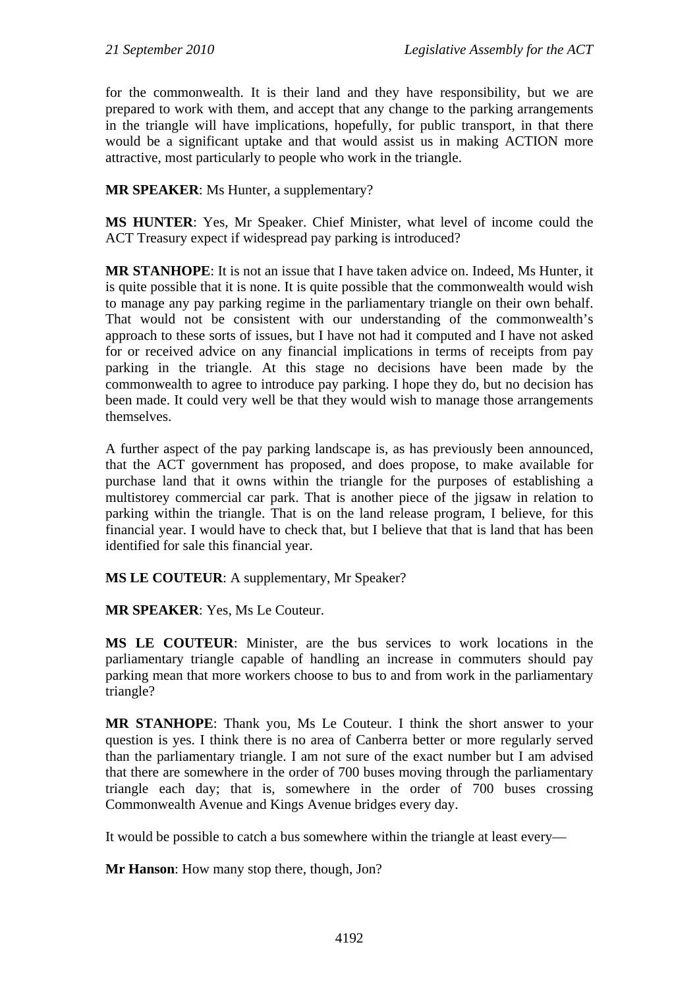for the commonwealth. It is their land and they have responsibility, but we are prepared to work with them, and accept that any change to the parking arrangements in the triangle will have implications, hopefully, for public transport, in that there would be a significant uptake and that would assist us in making ACTION more attractive, most particularly to people who work in the triangle.

**MR SPEAKER**: Ms Hunter, a supplementary?

**MS HUNTER**: Yes, Mr Speaker. Chief Minister, what level of income could the ACT Treasury expect if widespread pay parking is introduced?

**MR STANHOPE**: It is not an issue that I have taken advice on. Indeed, Ms Hunter, it is quite possible that it is none. It is quite possible that the commonwealth would wish to manage any pay parking regime in the parliamentary triangle on their own behalf. That would not be consistent with our understanding of the commonwealth's approach to these sorts of issues, but I have not had it computed and I have not asked for or received advice on any financial implications in terms of receipts from pay parking in the triangle. At this stage no decisions have been made by the commonwealth to agree to introduce pay parking. I hope they do, but no decision has been made. It could very well be that they would wish to manage those arrangements themselves.

A further aspect of the pay parking landscape is, as has previously been announced, that the ACT government has proposed, and does propose, to make available for purchase land that it owns within the triangle for the purposes of establishing a multistorey commercial car park. That is another piece of the jigsaw in relation to parking within the triangle. That is on the land release program, I believe, for this financial year. I would have to check that, but I believe that that is land that has been identified for sale this financial year.

**MS LE COUTEUR**: A supplementary, Mr Speaker?

**MR SPEAKER**: Yes, Ms Le Couteur.

**MS LE COUTEUR**: Minister, are the bus services to work locations in the parliamentary triangle capable of handling an increase in commuters should pay parking mean that more workers choose to bus to and from work in the parliamentary triangle?

**MR STANHOPE**: Thank you, Ms Le Couteur. I think the short answer to your question is yes. I think there is no area of Canberra better or more regularly served than the parliamentary triangle. I am not sure of the exact number but I am advised that there are somewhere in the order of 700 buses moving through the parliamentary triangle each day; that is, somewhere in the order of 700 buses crossing Commonwealth Avenue and Kings Avenue bridges every day.

It would be possible to catch a bus somewhere within the triangle at least every—

**Mr Hanson**: How many stop there, though, Jon?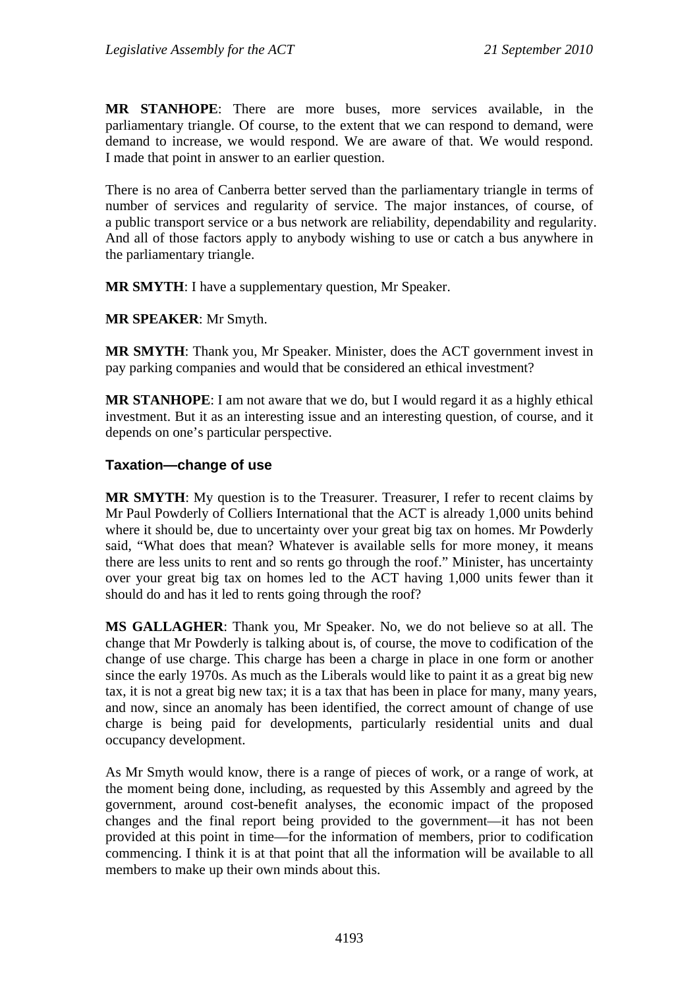**MR STANHOPE**: There are more buses, more services available, in the parliamentary triangle. Of course, to the extent that we can respond to demand, were demand to increase, we would respond. We are aware of that. We would respond. I made that point in answer to an earlier question.

There is no area of Canberra better served than the parliamentary triangle in terms of number of services and regularity of service. The major instances, of course, of a public transport service or a bus network are reliability, dependability and regularity. And all of those factors apply to anybody wishing to use or catch a bus anywhere in the parliamentary triangle.

**MR SMYTH**: I have a supplementary question, Mr Speaker.

**MR SPEAKER**: Mr Smyth.

**MR SMYTH**: Thank you, Mr Speaker. Minister, does the ACT government invest in pay parking companies and would that be considered an ethical investment?

**MR STANHOPE**: I am not aware that we do, but I would regard it as a highly ethical investment. But it as an interesting issue and an interesting question, of course, and it depends on one's particular perspective.

#### <span id="page-34-0"></span>**Taxation—change of use**

**MR SMYTH**: My question is to the Treasurer. Treasurer, I refer to recent claims by Mr Paul Powderly of Colliers International that the ACT is already 1,000 units behind where it should be, due to uncertainty over your great big tax on homes. Mr Powderly said, "What does that mean? Whatever is available sells for more money, it means there are less units to rent and so rents go through the roof." Minister, has uncertainty over your great big tax on homes led to the ACT having 1,000 units fewer than it should do and has it led to rents going through the roof?

**MS GALLAGHER**: Thank you, Mr Speaker. No, we do not believe so at all. The change that Mr Powderly is talking about is, of course, the move to codification of the change of use charge. This charge has been a charge in place in one form or another since the early 1970s. As much as the Liberals would like to paint it as a great big new tax, it is not a great big new tax; it is a tax that has been in place for many, many years, and now, since an anomaly has been identified, the correct amount of change of use charge is being paid for developments, particularly residential units and dual occupancy development.

As Mr Smyth would know, there is a range of pieces of work, or a range of work, at the moment being done, including, as requested by this Assembly and agreed by the government, around cost-benefit analyses, the economic impact of the proposed changes and the final report being provided to the government—it has not been provided at this point in time—for the information of members, prior to codification commencing. I think it is at that point that all the information will be available to all members to make up their own minds about this.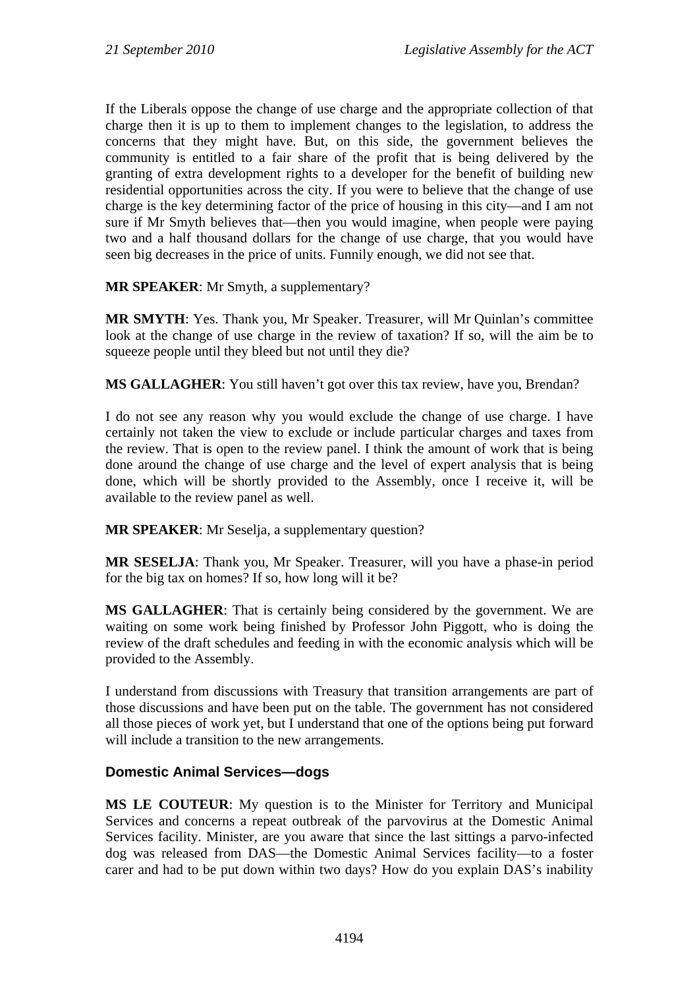If the Liberals oppose the change of use charge and the appropriate collection of that charge then it is up to them to implement changes to the legislation, to address the concerns that they might have. But, on this side, the government believes the community is entitled to a fair share of the profit that is being delivered by the granting of extra development rights to a developer for the benefit of building new residential opportunities across the city. If you were to believe that the change of use charge is the key determining factor of the price of housing in this city—and I am not sure if Mr Smyth believes that—then you would imagine, when people were paying two and a half thousand dollars for the change of use charge, that you would have seen big decreases in the price of units. Funnily enough, we did not see that.

**MR SPEAKER**: Mr Smyth, a supplementary?

**MR SMYTH**: Yes. Thank you, Mr Speaker. Treasurer, will Mr Quinlan's committee look at the change of use charge in the review of taxation? If so, will the aim be to squeeze people until they bleed but not until they die?

**MS GALLAGHER**: You still haven't got over this tax review, have you, Brendan?

I do not see any reason why you would exclude the change of use charge. I have certainly not taken the view to exclude or include particular charges and taxes from the review. That is open to the review panel. I think the amount of work that is being done around the change of use charge and the level of expert analysis that is being done, which will be shortly provided to the Assembly, once I receive it, will be available to the review panel as well.

**MR SPEAKER:** Mr Seselja, a supplementary question?

**MR SESELJA**: Thank you, Mr Speaker. Treasurer, will you have a phase-in period for the big tax on homes? If so, how long will it be?

**MS GALLAGHER**: That is certainly being considered by the government. We are waiting on some work being finished by Professor John Piggott, who is doing the review of the draft schedules and feeding in with the economic analysis which will be provided to the Assembly.

I understand from discussions with Treasury that transition arrangements are part of those discussions and have been put on the table. The government has not considered all those pieces of work yet, but I understand that one of the options being put forward will include a transition to the new arrangements.

#### <span id="page-35-0"></span>**Domestic Animal Services—dogs**

**MS LE COUTEUR**: My question is to the Minister for Territory and Municipal Services and concerns a repeat outbreak of the parvovirus at the Domestic Animal Services facility. Minister, are you aware that since the last sittings a parvo-infected dog was released from DAS—the Domestic Animal Services facility—to a foster carer and had to be put down within two days? How do you explain DAS's inability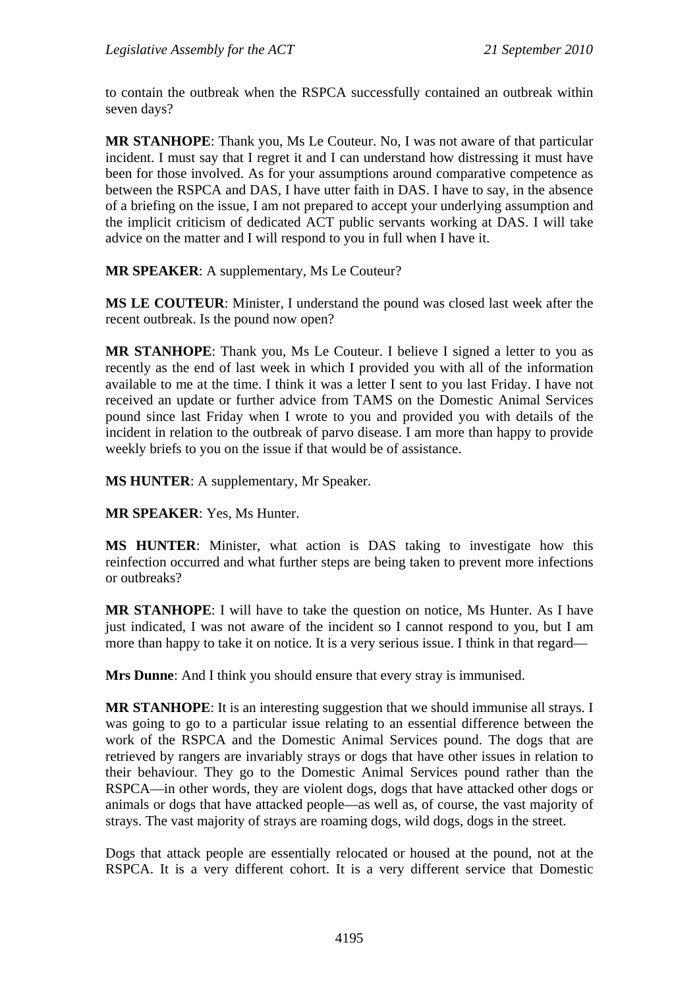to contain the outbreak when the RSPCA successfully contained an outbreak within seven days?

**MR STANHOPE**: Thank you, Ms Le Couteur. No, I was not aware of that particular incident. I must say that I regret it and I can understand how distressing it must have been for those involved. As for your assumptions around comparative competence as between the RSPCA and DAS, I have utter faith in DAS. I have to say, in the absence of a briefing on the issue, I am not prepared to accept your underlying assumption and the implicit criticism of dedicated ACT public servants working at DAS. I will take advice on the matter and I will respond to you in full when I have it.

**MR SPEAKER**: A supplementary, Ms Le Couteur?

**MS LE COUTEUR**: Minister, I understand the pound was closed last week after the recent outbreak. Is the pound now open?

**MR STANHOPE**: Thank you, Ms Le Couteur. I believe I signed a letter to you as recently as the end of last week in which I provided you with all of the information available to me at the time. I think it was a letter I sent to you last Friday. I have not received an update or further advice from TAMS on the Domestic Animal Services pound since last Friday when I wrote to you and provided you with details of the incident in relation to the outbreak of parvo disease. I am more than happy to provide weekly briefs to you on the issue if that would be of assistance.

**MS HUNTER**: A supplementary, Mr Speaker.

**MR SPEAKER**: Yes, Ms Hunter.

**MS HUNTER**: Minister, what action is DAS taking to investigate how this reinfection occurred and what further steps are being taken to prevent more infections or outbreaks?

**MR STANHOPE**: I will have to take the question on notice, Ms Hunter. As I have just indicated, I was not aware of the incident so I cannot respond to you, but I am more than happy to take it on notice. It is a very serious issue. I think in that regard—

**Mrs Dunne**: And I think you should ensure that every stray is immunised.

**MR STANHOPE**: It is an interesting suggestion that we should immunise all strays. I was going to go to a particular issue relating to an essential difference between the work of the RSPCA and the Domestic Animal Services pound. The dogs that are retrieved by rangers are invariably strays or dogs that have other issues in relation to their behaviour. They go to the Domestic Animal Services pound rather than the RSPCA—in other words, they are violent dogs, dogs that have attacked other dogs or animals or dogs that have attacked people—as well as, of course, the vast majority of strays. The vast majority of strays are roaming dogs, wild dogs, dogs in the street.

Dogs that attack people are essentially relocated or housed at the pound, not at the RSPCA. It is a very different cohort. It is a very different service that Domestic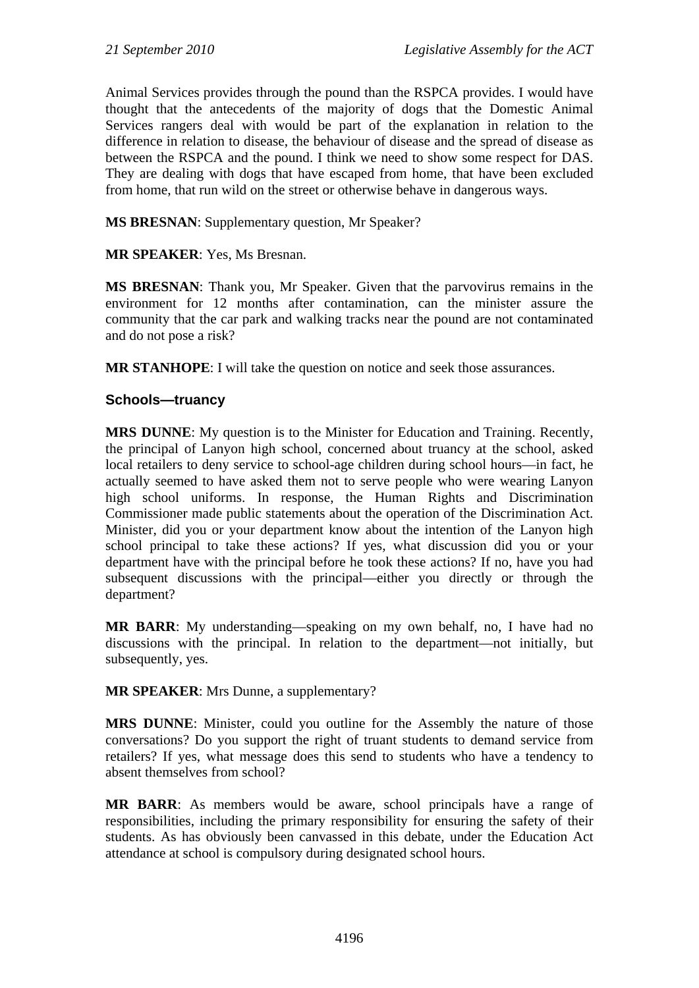Animal Services provides through the pound than the RSPCA provides. I would have thought that the antecedents of the majority of dogs that the Domestic Animal Services rangers deal with would be part of the explanation in relation to the difference in relation to disease, the behaviour of disease and the spread of disease as between the RSPCA and the pound. I think we need to show some respect for DAS. They are dealing with dogs that have escaped from home, that have been excluded from home, that run wild on the street or otherwise behave in dangerous ways.

**MS BRESNAN**: Supplementary question, Mr Speaker?

#### **MR SPEAKER**: Yes, Ms Bresnan.

**MS BRESNAN**: Thank you, Mr Speaker. Given that the parvovirus remains in the environment for 12 months after contamination, can the minister assure the community that the car park and walking tracks near the pound are not contaminated and do not pose a risk?

**MR STANHOPE**: I will take the question on notice and seek those assurances.

### **Schools—truancy**

**MRS DUNNE**: My question is to the Minister for Education and Training. Recently, the principal of Lanyon high school, concerned about truancy at the school, asked local retailers to deny service to school-age children during school hours—in fact, he actually seemed to have asked them not to serve people who were wearing Lanyon high school uniforms. In response, the Human Rights and Discrimination Commissioner made public statements about the operation of the Discrimination Act. Minister, did you or your department know about the intention of the Lanyon high school principal to take these actions? If yes, what discussion did you or your department have with the principal before he took these actions? If no, have you had subsequent discussions with the principal—either you directly or through the department?

**MR BARR**: My understanding—speaking on my own behalf, no, I have had no discussions with the principal. In relation to the department—not initially, but subsequently, yes.

#### **MR SPEAKER**: Mrs Dunne, a supplementary?

**MRS DUNNE**: Minister, could you outline for the Assembly the nature of those conversations? Do you support the right of truant students to demand service from retailers? If yes, what message does this send to students who have a tendency to absent themselves from school?

**MR BARR**: As members would be aware, school principals have a range of responsibilities, including the primary responsibility for ensuring the safety of their students. As has obviously been canvassed in this debate, under the Education Act attendance at school is compulsory during designated school hours.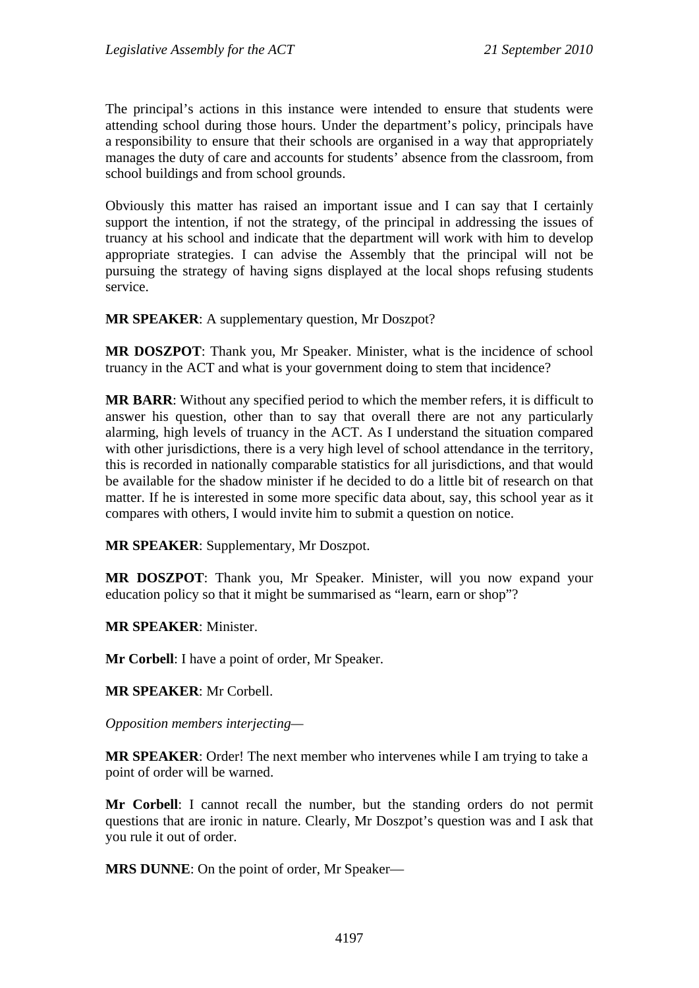The principal's actions in this instance were intended to ensure that students were attending school during those hours. Under the department's policy, principals have a responsibility to ensure that their schools are organised in a way that appropriately manages the duty of care and accounts for students' absence from the classroom, from school buildings and from school grounds.

Obviously this matter has raised an important issue and I can say that I certainly support the intention, if not the strategy, of the principal in addressing the issues of truancy at his school and indicate that the department will work with him to develop appropriate strategies. I can advise the Assembly that the principal will not be pursuing the strategy of having signs displayed at the local shops refusing students service.

**MR SPEAKER**: A supplementary question, Mr Doszpot?

**MR DOSZPOT**: Thank you, Mr Speaker. Minister, what is the incidence of school truancy in the ACT and what is your government doing to stem that incidence?

**MR BARR**: Without any specified period to which the member refers, it is difficult to answer his question, other than to say that overall there are not any particularly alarming, high levels of truancy in the ACT. As I understand the situation compared with other jurisdictions, there is a very high level of school attendance in the territory, this is recorded in nationally comparable statistics for all jurisdictions, and that would be available for the shadow minister if he decided to do a little bit of research on that matter. If he is interested in some more specific data about, say, this school year as it compares with others, I would invite him to submit a question on notice.

**MR SPEAKER**: Supplementary, Mr Doszpot.

**MR DOSZPOT**: Thank you, Mr Speaker. Minister, will you now expand your education policy so that it might be summarised as "learn, earn or shop"?

**MR SPEAKER**: Minister.

**Mr Corbell**: I have a point of order, Mr Speaker.

**MR SPEAKER**: Mr Corbell.

*Opposition members interjecting—* 

**MR SPEAKER**: Order! The next member who intervenes while I am trying to take a point of order will be warned.

**Mr Corbell**: I cannot recall the number, but the standing orders do not permit questions that are ironic in nature. Clearly, Mr Doszpot's question was and I ask that you rule it out of order.

**MRS DUNNE**: On the point of order, Mr Speaker—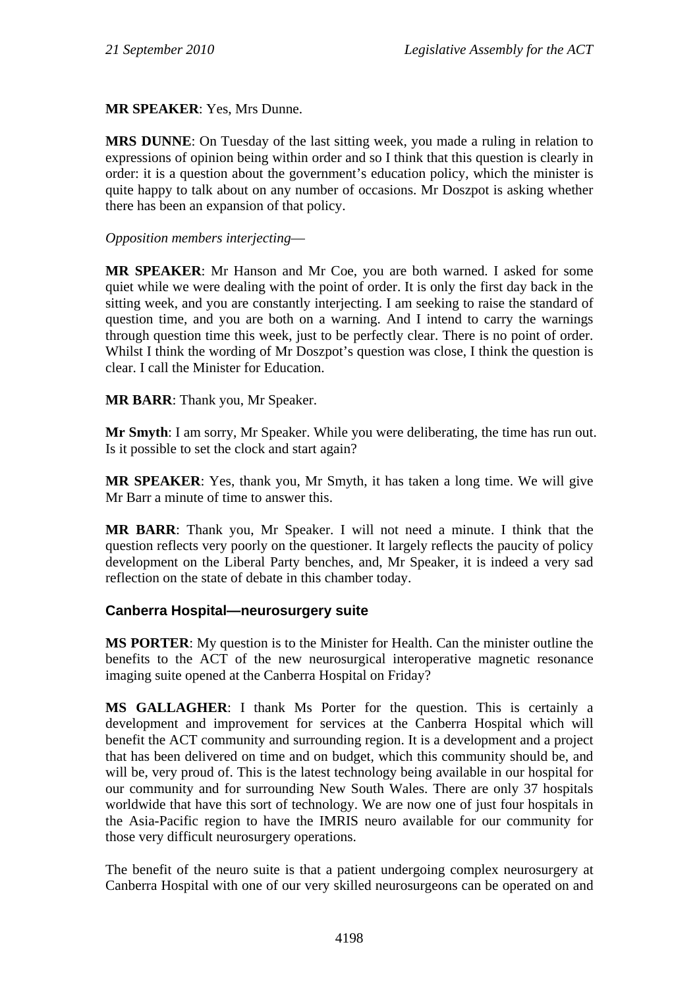**MR SPEAKER**: Yes, Mrs Dunne.

**MRS DUNNE**: On Tuesday of the last sitting week, you made a ruling in relation to expressions of opinion being within order and so I think that this question is clearly in order: it is a question about the government's education policy, which the minister is quite happy to talk about on any number of occasions. Mr Doszpot is asking whether there has been an expansion of that policy.

*Opposition members interjecting*—

**MR SPEAKER**: Mr Hanson and Mr Coe, you are both warned. I asked for some quiet while we were dealing with the point of order. It is only the first day back in the sitting week, and you are constantly interjecting. I am seeking to raise the standard of question time, and you are both on a warning. And I intend to carry the warnings through question time this week, just to be perfectly clear. There is no point of order. Whilst I think the wording of Mr Doszpot's question was close, I think the question is clear. I call the Minister for Education.

**MR BARR**: Thank you, Mr Speaker.

**Mr Smyth**: I am sorry, Mr Speaker. While you were deliberating, the time has run out. Is it possible to set the clock and start again?

**MR SPEAKER**: Yes, thank you, Mr Smyth, it has taken a long time. We will give Mr Barr a minute of time to answer this.

**MR BARR**: Thank you, Mr Speaker. I will not need a minute. I think that the question reflects very poorly on the questioner. It largely reflects the paucity of policy development on the Liberal Party benches, and, Mr Speaker, it is indeed a very sad reflection on the state of debate in this chamber today.

### **Canberra Hospital—neurosurgery suite**

**MS PORTER**: My question is to the Minister for Health. Can the minister outline the benefits to the ACT of the new neurosurgical interoperative magnetic resonance imaging suite opened at the Canberra Hospital on Friday?

**MS GALLAGHER**: I thank Ms Porter for the question. This is certainly a development and improvement for services at the Canberra Hospital which will benefit the ACT community and surrounding region. It is a development and a project that has been delivered on time and on budget, which this community should be, and will be, very proud of. This is the latest technology being available in our hospital for our community and for surrounding New South Wales. There are only 37 hospitals worldwide that have this sort of technology. We are now one of just four hospitals in the Asia-Pacific region to have the IMRIS neuro available for our community for those very difficult neurosurgery operations.

The benefit of the neuro suite is that a patient undergoing complex neurosurgery at Canberra Hospital with one of our very skilled neurosurgeons can be operated on and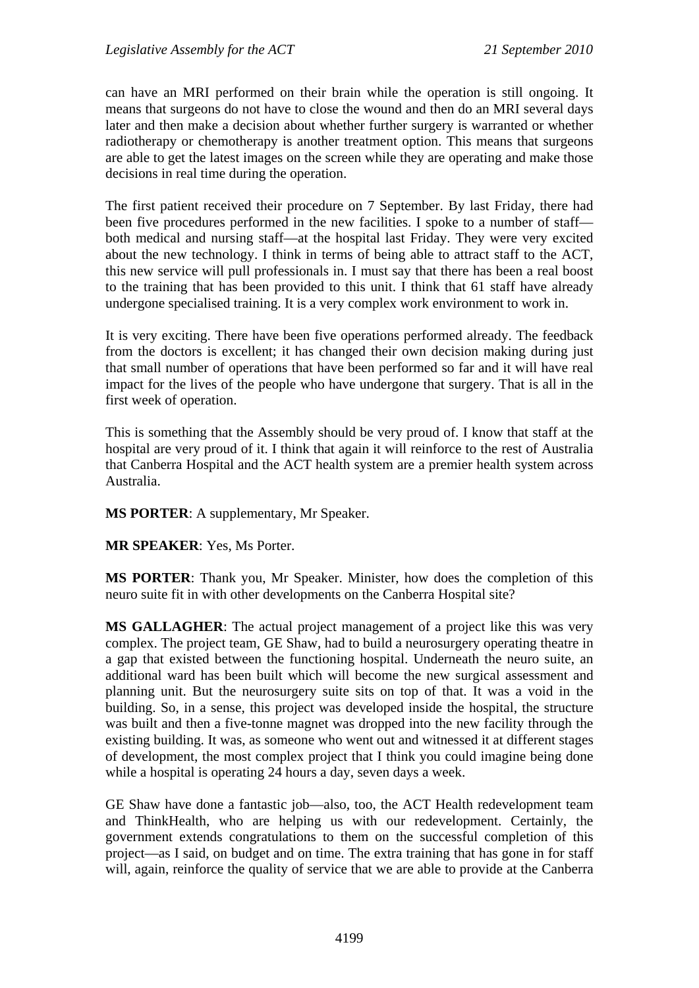can have an MRI performed on their brain while the operation is still ongoing. It means that surgeons do not have to close the wound and then do an MRI several days later and then make a decision about whether further surgery is warranted or whether radiotherapy or chemotherapy is another treatment option. This means that surgeons are able to get the latest images on the screen while they are operating and make those decisions in real time during the operation.

The first patient received their procedure on 7 September. By last Friday, there had been five procedures performed in the new facilities. I spoke to a number of staff both medical and nursing staff—at the hospital last Friday. They were very excited about the new technology. I think in terms of being able to attract staff to the ACT, this new service will pull professionals in. I must say that there has been a real boost to the training that has been provided to this unit. I think that 61 staff have already undergone specialised training. It is a very complex work environment to work in.

It is very exciting. There have been five operations performed already. The feedback from the doctors is excellent; it has changed their own decision making during just that small number of operations that have been performed so far and it will have real impact for the lives of the people who have undergone that surgery. That is all in the first week of operation.

This is something that the Assembly should be very proud of. I know that staff at the hospital are very proud of it. I think that again it will reinforce to the rest of Australia that Canberra Hospital and the ACT health system are a premier health system across Australia.

**MS PORTER**: A supplementary, Mr Speaker.

**MR SPEAKER**: Yes, Ms Porter.

**MS PORTER**: Thank you, Mr Speaker. Minister, how does the completion of this neuro suite fit in with other developments on the Canberra Hospital site?

**MS GALLAGHER**: The actual project management of a project like this was very complex. The project team, GE Shaw, had to build a neurosurgery operating theatre in a gap that existed between the functioning hospital. Underneath the neuro suite, an additional ward has been built which will become the new surgical assessment and planning unit. But the neurosurgery suite sits on top of that. It was a void in the building. So, in a sense, this project was developed inside the hospital, the structure was built and then a five-tonne magnet was dropped into the new facility through the existing building. It was, as someone who went out and witnessed it at different stages of development, the most complex project that I think you could imagine being done while a hospital is operating 24 hours a day, seven days a week.

GE Shaw have done a fantastic job—also, too, the ACT Health redevelopment team and ThinkHealth, who are helping us with our redevelopment. Certainly, the government extends congratulations to them on the successful completion of this project—as I said, on budget and on time. The extra training that has gone in for staff will, again, reinforce the quality of service that we are able to provide at the Canberra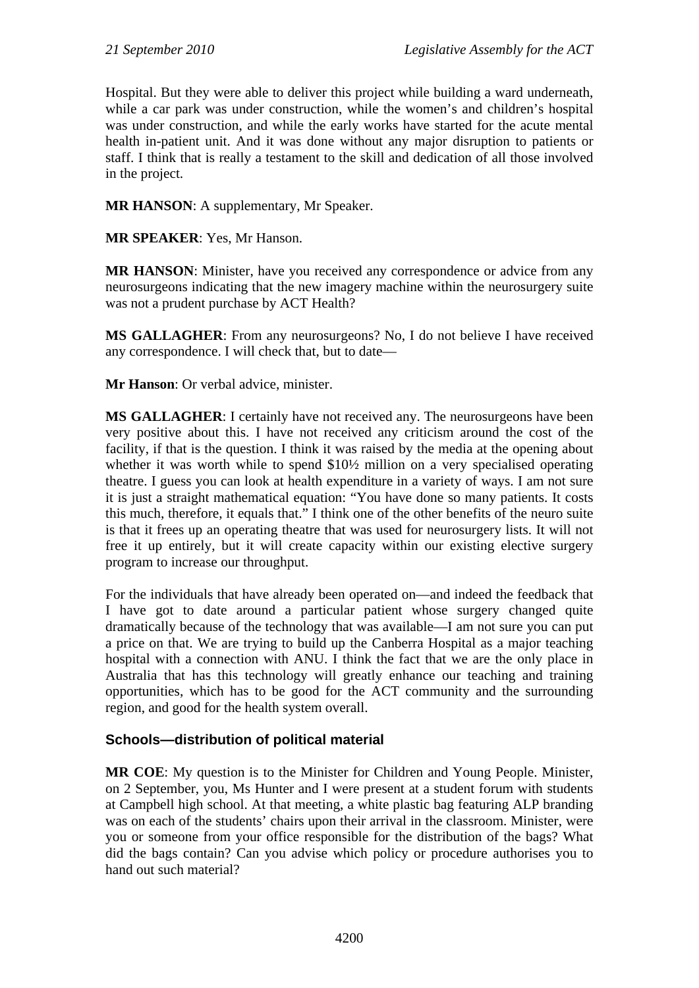Hospital. But they were able to deliver this project while building a ward underneath, while a car park was under construction, while the women's and children's hospital was under construction, and while the early works have started for the acute mental health in-patient unit. And it was done without any major disruption to patients or staff. I think that is really a testament to the skill and dedication of all those involved in the project.

**MR HANSON**: A supplementary, Mr Speaker.

**MR SPEAKER**: Yes, Mr Hanson.

**MR HANSON**: Minister, have you received any correspondence or advice from any neurosurgeons indicating that the new imagery machine within the neurosurgery suite was not a prudent purchase by ACT Health?

**MS GALLAGHER**: From any neurosurgeons? No, I do not believe I have received any correspondence. I will check that, but to date—

**Mr Hanson**: Or verbal advice, minister.

**MS GALLAGHER**: I certainly have not received any. The neurosurgeons have been very positive about this. I have not received any criticism around the cost of the facility, if that is the question. I think it was raised by the media at the opening about whether it was worth while to spend \$10<sup>1</sup>/<sub>2</sub> million on a very specialised operating theatre. I guess you can look at health expenditure in a variety of ways. I am not sure it is just a straight mathematical equation: "You have done so many patients. It costs this much, therefore, it equals that." I think one of the other benefits of the neuro suite is that it frees up an operating theatre that was used for neurosurgery lists. It will not free it up entirely, but it will create capacity within our existing elective surgery program to increase our throughput.

For the individuals that have already been operated on—and indeed the feedback that I have got to date around a particular patient whose surgery changed quite dramatically because of the technology that was available—I am not sure you can put a price on that. We are trying to build up the Canberra Hospital as a major teaching hospital with a connection with ANU. I think the fact that we are the only place in Australia that has this technology will greatly enhance our teaching and training opportunities, which has to be good for the ACT community and the surrounding region, and good for the health system overall.

### **Schools—distribution of political material**

**MR COE**: My question is to the Minister for Children and Young People. Minister, on 2 September, you, Ms Hunter and I were present at a student forum with students at Campbell high school. At that meeting, a white plastic bag featuring ALP branding was on each of the students' chairs upon their arrival in the classroom. Minister, were you or someone from your office responsible for the distribution of the bags? What did the bags contain? Can you advise which policy or procedure authorises you to hand out such material?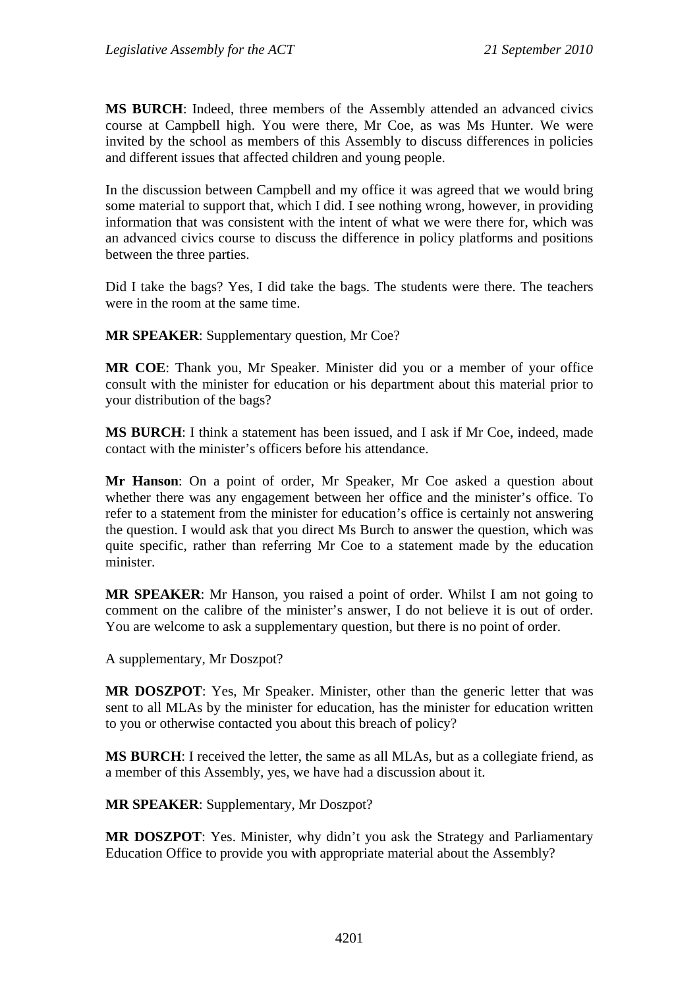**MS BURCH**: Indeed, three members of the Assembly attended an advanced civics course at Campbell high. You were there, Mr Coe, as was Ms Hunter. We were invited by the school as members of this Assembly to discuss differences in policies and different issues that affected children and young people.

In the discussion between Campbell and my office it was agreed that we would bring some material to support that, which I did. I see nothing wrong, however, in providing information that was consistent with the intent of what we were there for, which was an advanced civics course to discuss the difference in policy platforms and positions between the three parties.

Did I take the bags? Yes, I did take the bags. The students were there. The teachers were in the room at the same time.

**MR SPEAKER**: Supplementary question, Mr Coe?

**MR COE**: Thank you, Mr Speaker. Minister did you or a member of your office consult with the minister for education or his department about this material prior to your distribution of the bags?

**MS BURCH**: I think a statement has been issued, and I ask if Mr Coe, indeed, made contact with the minister's officers before his attendance.

**Mr Hanson**: On a point of order, Mr Speaker, Mr Coe asked a question about whether there was any engagement between her office and the minister's office. To refer to a statement from the minister for education's office is certainly not answering the question. I would ask that you direct Ms Burch to answer the question, which was quite specific, rather than referring Mr Coe to a statement made by the education minister.

**MR SPEAKER**: Mr Hanson, you raised a point of order. Whilst I am not going to comment on the calibre of the minister's answer, I do not believe it is out of order. You are welcome to ask a supplementary question, but there is no point of order.

A supplementary, Mr Doszpot?

**MR DOSZPOT**: Yes, Mr Speaker. Minister, other than the generic letter that was sent to all MLAs by the minister for education, has the minister for education written to you or otherwise contacted you about this breach of policy?

**MS BURCH**: I received the letter, the same as all MLAs, but as a collegiate friend, as a member of this Assembly, yes, we have had a discussion about it.

**MR SPEAKER**: Supplementary, Mr Doszpot?

**MR DOSZPOT**: Yes. Minister, why didn't you ask the Strategy and Parliamentary Education Office to provide you with appropriate material about the Assembly?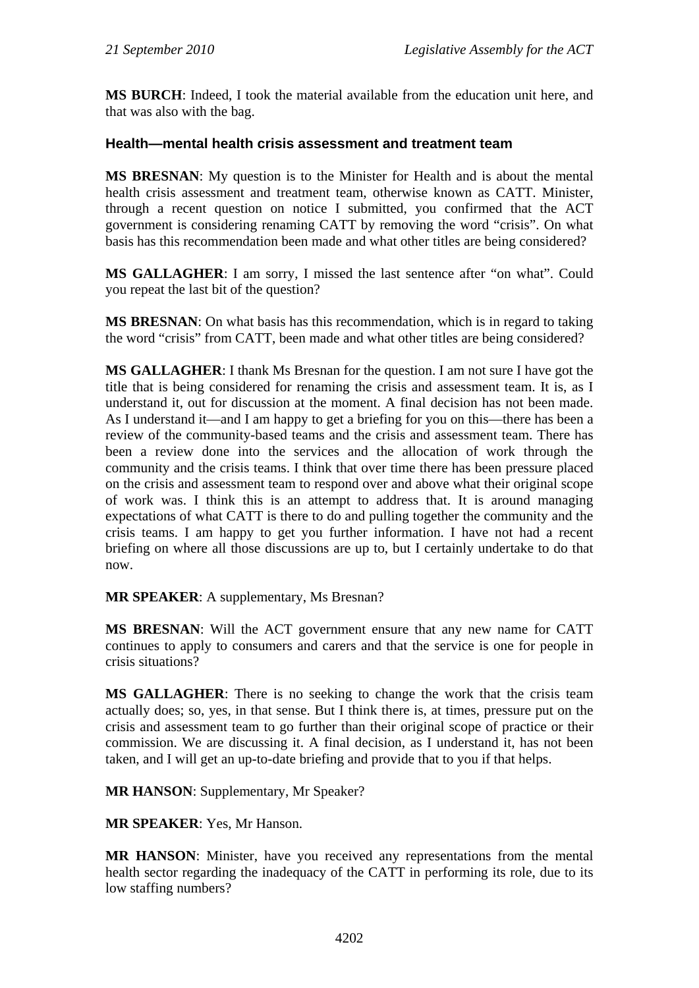**MS BURCH**: Indeed, I took the material available from the education unit here, and that was also with the bag.

### **Health—mental health crisis assessment and treatment team**

**MS BRESNAN**: My question is to the Minister for Health and is about the mental health crisis assessment and treatment team, otherwise known as CATT. Minister, through a recent question on notice I submitted, you confirmed that the ACT government is considering renaming CATT by removing the word "crisis". On what basis has this recommendation been made and what other titles are being considered?

**MS GALLAGHER**: I am sorry, I missed the last sentence after "on what". Could you repeat the last bit of the question?

**MS BRESNAN**: On what basis has this recommendation, which is in regard to taking the word "crisis" from CATT, been made and what other titles are being considered?

**MS GALLAGHER**: I thank Ms Bresnan for the question. I am not sure I have got the title that is being considered for renaming the crisis and assessment team. It is, as I understand it, out for discussion at the moment. A final decision has not been made. As I understand it—and I am happy to get a briefing for you on this—there has been a review of the community-based teams and the crisis and assessment team. There has been a review done into the services and the allocation of work through the community and the crisis teams. I think that over time there has been pressure placed on the crisis and assessment team to respond over and above what their original scope of work was. I think this is an attempt to address that. It is around managing expectations of what CATT is there to do and pulling together the community and the crisis teams. I am happy to get you further information. I have not had a recent briefing on where all those discussions are up to, but I certainly undertake to do that now.

**MR SPEAKER**: A supplementary, Ms Bresnan?

**MS BRESNAN**: Will the ACT government ensure that any new name for CATT continues to apply to consumers and carers and that the service is one for people in crisis situations?

**MS GALLAGHER**: There is no seeking to change the work that the crisis team actually does; so, yes, in that sense. But I think there is, at times, pressure put on the crisis and assessment team to go further than their original scope of practice or their commission. We are discussing it. A final decision, as I understand it, has not been taken, and I will get an up-to-date briefing and provide that to you if that helps.

**MR HANSON**: Supplementary, Mr Speaker?

**MR SPEAKER**: Yes, Mr Hanson.

**MR HANSON**: Minister, have you received any representations from the mental health sector regarding the inadequacy of the CATT in performing its role, due to its low staffing numbers?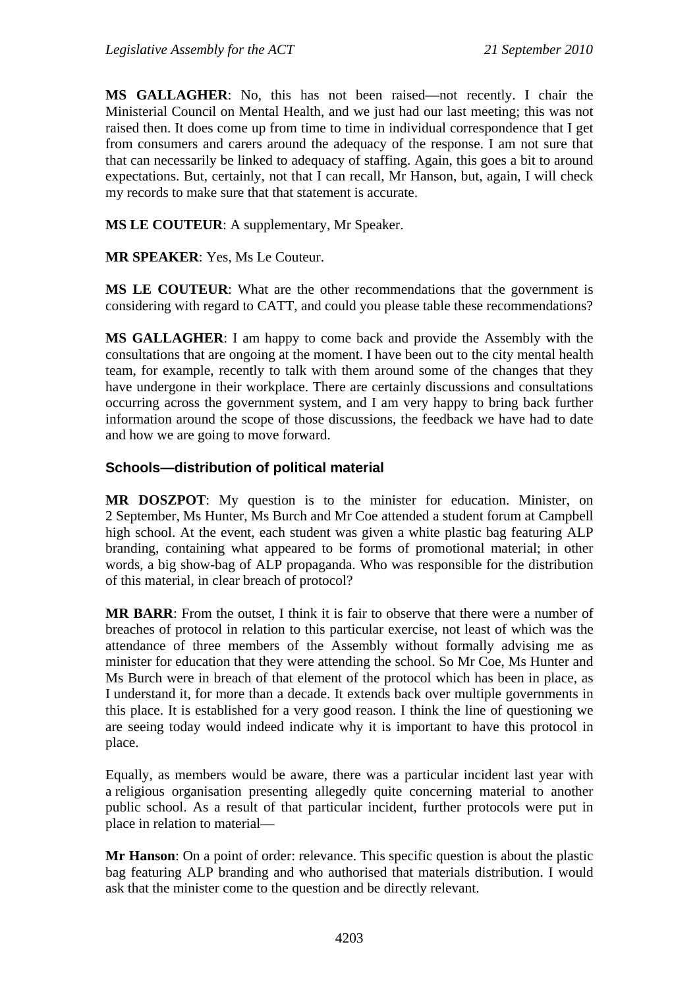**MS GALLAGHER**: No, this has not been raised—not recently. I chair the Ministerial Council on Mental Health, and we just had our last meeting; this was not raised then. It does come up from time to time in individual correspondence that I get from consumers and carers around the adequacy of the response. I am not sure that that can necessarily be linked to adequacy of staffing. Again, this goes a bit to around expectations. But, certainly, not that I can recall, Mr Hanson, but, again, I will check my records to make sure that that statement is accurate.

**MS LE COUTEUR**: A supplementary, Mr Speaker.

**MR SPEAKER**: Yes, Ms Le Couteur.

**MS LE COUTEUR**: What are the other recommendations that the government is considering with regard to CATT, and could you please table these recommendations?

**MS GALLAGHER**: I am happy to come back and provide the Assembly with the consultations that are ongoing at the moment. I have been out to the city mental health team, for example, recently to talk with them around some of the changes that they have undergone in their workplace. There are certainly discussions and consultations occurring across the government system, and I am very happy to bring back further information around the scope of those discussions, the feedback we have had to date and how we are going to move forward.

### **Schools—distribution of political material**

**MR DOSZPOT**: My question is to the minister for education. Minister, on 2 September, Ms Hunter, Ms Burch and Mr Coe attended a student forum at Campbell high school. At the event, each student was given a white plastic bag featuring ALP branding, containing what appeared to be forms of promotional material; in other words, a big show-bag of ALP propaganda. Who was responsible for the distribution of this material, in clear breach of protocol?

**MR BARR**: From the outset, I think it is fair to observe that there were a number of breaches of protocol in relation to this particular exercise, not least of which was the attendance of three members of the Assembly without formally advising me as minister for education that they were attending the school. So Mr Coe, Ms Hunter and Ms Burch were in breach of that element of the protocol which has been in place, as I understand it, for more than a decade. It extends back over multiple governments in this place. It is established for a very good reason. I think the line of questioning we are seeing today would indeed indicate why it is important to have this protocol in place.

Equally, as members would be aware, there was a particular incident last year with a religious organisation presenting allegedly quite concerning material to another public school. As a result of that particular incident, further protocols were put in place in relation to material—

**Mr Hanson**: On a point of order: relevance. This specific question is about the plastic bag featuring ALP branding and who authorised that materials distribution. I would ask that the minister come to the question and be directly relevant.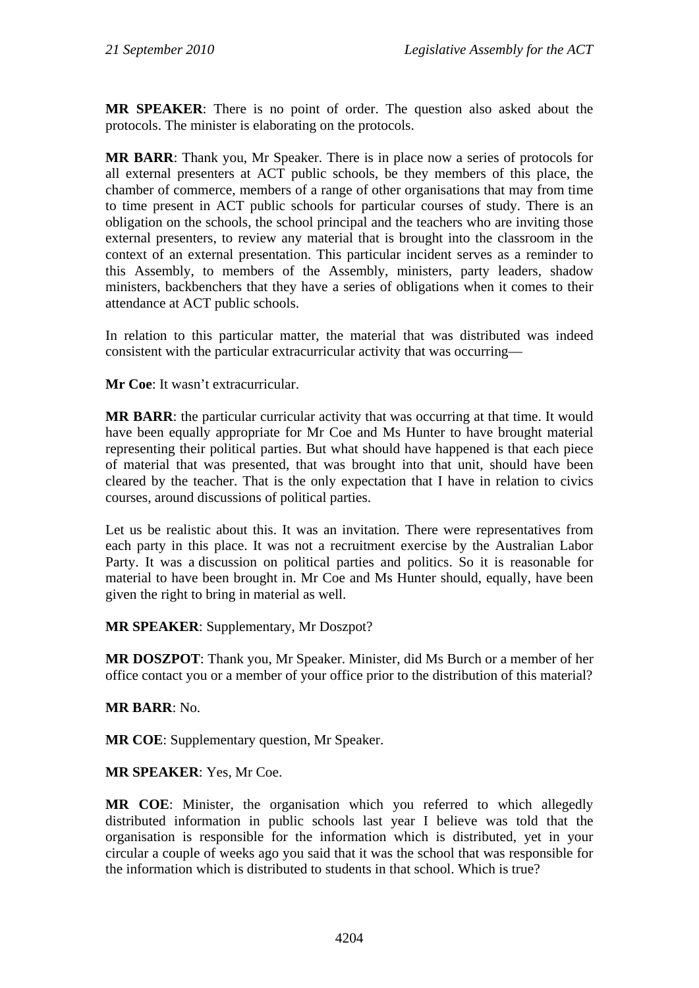**MR SPEAKER**: There is no point of order. The question also asked about the protocols. The minister is elaborating on the protocols.

**MR BARR**: Thank you, Mr Speaker. There is in place now a series of protocols for all external presenters at ACT public schools, be they members of this place, the chamber of commerce, members of a range of other organisations that may from time to time present in ACT public schools for particular courses of study. There is an obligation on the schools, the school principal and the teachers who are inviting those external presenters, to review any material that is brought into the classroom in the context of an external presentation. This particular incident serves as a reminder to this Assembly, to members of the Assembly, ministers, party leaders, shadow ministers, backbenchers that they have a series of obligations when it comes to their attendance at ACT public schools.

In relation to this particular matter, the material that was distributed was indeed consistent with the particular extracurricular activity that was occurring—

**Mr Coe**: It wasn't extracurricular.

**MR BARR**: the particular curricular activity that was occurring at that time. It would have been equally appropriate for Mr Coe and Ms Hunter to have brought material representing their political parties. But what should have happened is that each piece of material that was presented, that was brought into that unit, should have been cleared by the teacher. That is the only expectation that I have in relation to civics courses, around discussions of political parties.

Let us be realistic about this. It was an invitation. There were representatives from each party in this place. It was not a recruitment exercise by the Australian Labor Party. It was a discussion on political parties and politics. So it is reasonable for material to have been brought in. Mr Coe and Ms Hunter should, equally, have been given the right to bring in material as well.

### **MR SPEAKER**: Supplementary, Mr Doszpot?

**MR DOSZPOT**: Thank you, Mr Speaker. Minister, did Ms Burch or a member of her office contact you or a member of your office prior to the distribution of this material?

### **MR BARR**: No.

**MR COE**: Supplementary question, Mr Speaker.

**MR SPEAKER**: Yes, Mr Coe.

**MR COE**: Minister, the organisation which you referred to which allegedly distributed information in public schools last year I believe was told that the organisation is responsible for the information which is distributed, yet in your circular a couple of weeks ago you said that it was the school that was responsible for the information which is distributed to students in that school. Which is true?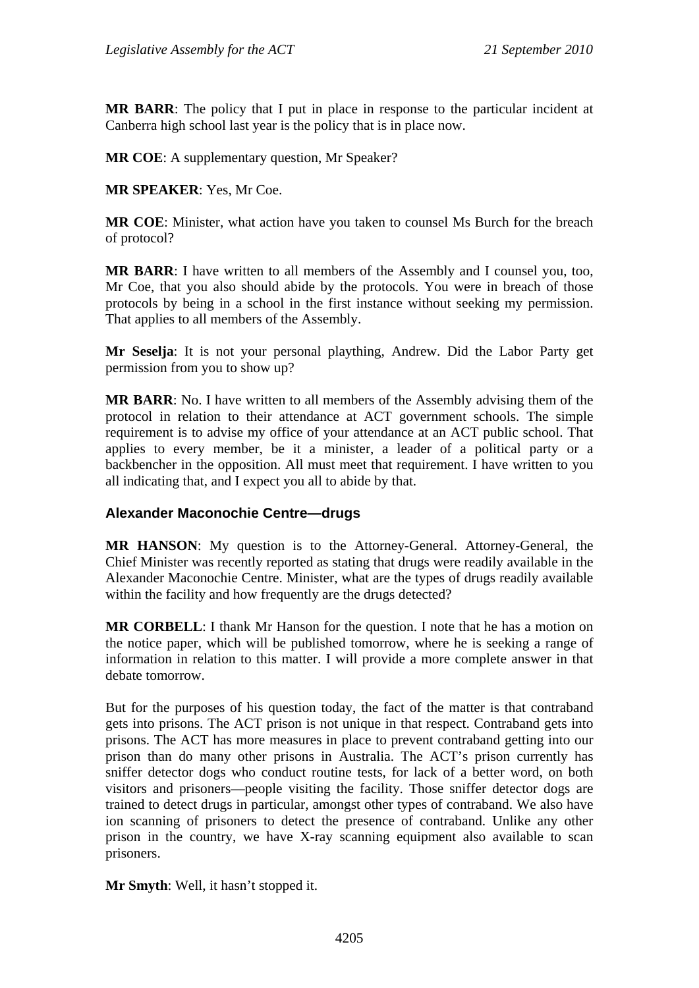**MR BARR**: The policy that I put in place in response to the particular incident at Canberra high school last year is the policy that is in place now.

**MR COE:** A supplementary question, Mr Speaker?

**MR SPEAKER**: Yes, Mr Coe.

**MR COE**: Minister, what action have you taken to counsel Ms Burch for the breach of protocol?

**MR BARR**: I have written to all members of the Assembly and I counsel you, too, Mr Coe, that you also should abide by the protocols. You were in breach of those protocols by being in a school in the first instance without seeking my permission. That applies to all members of the Assembly.

**Mr Seselja**: It is not your personal plaything, Andrew. Did the Labor Party get permission from you to show up?

**MR BARR**: No. I have written to all members of the Assembly advising them of the protocol in relation to their attendance at ACT government schools. The simple requirement is to advise my office of your attendance at an ACT public school. That applies to every member, be it a minister, a leader of a political party or a backbencher in the opposition. All must meet that requirement. I have written to you all indicating that, and I expect you all to abide by that.

### **Alexander Maconochie Centre—drugs**

**MR HANSON**: My question is to the Attorney-General. Attorney-General, the Chief Minister was recently reported as stating that drugs were readily available in the Alexander Maconochie Centre. Minister, what are the types of drugs readily available within the facility and how frequently are the drugs detected?

**MR CORBELL**: I thank Mr Hanson for the question. I note that he has a motion on the notice paper, which will be published tomorrow, where he is seeking a range of information in relation to this matter. I will provide a more complete answer in that debate tomorrow.

But for the purposes of his question today, the fact of the matter is that contraband gets into prisons. The ACT prison is not unique in that respect. Contraband gets into prisons. The ACT has more measures in place to prevent contraband getting into our prison than do many other prisons in Australia. The ACT's prison currently has sniffer detector dogs who conduct routine tests, for lack of a better word, on both visitors and prisoners—people visiting the facility. Those sniffer detector dogs are trained to detect drugs in particular, amongst other types of contraband. We also have ion scanning of prisoners to detect the presence of contraband. Unlike any other prison in the country, we have X-ray scanning equipment also available to scan prisoners.

**Mr Smyth**: Well, it hasn't stopped it.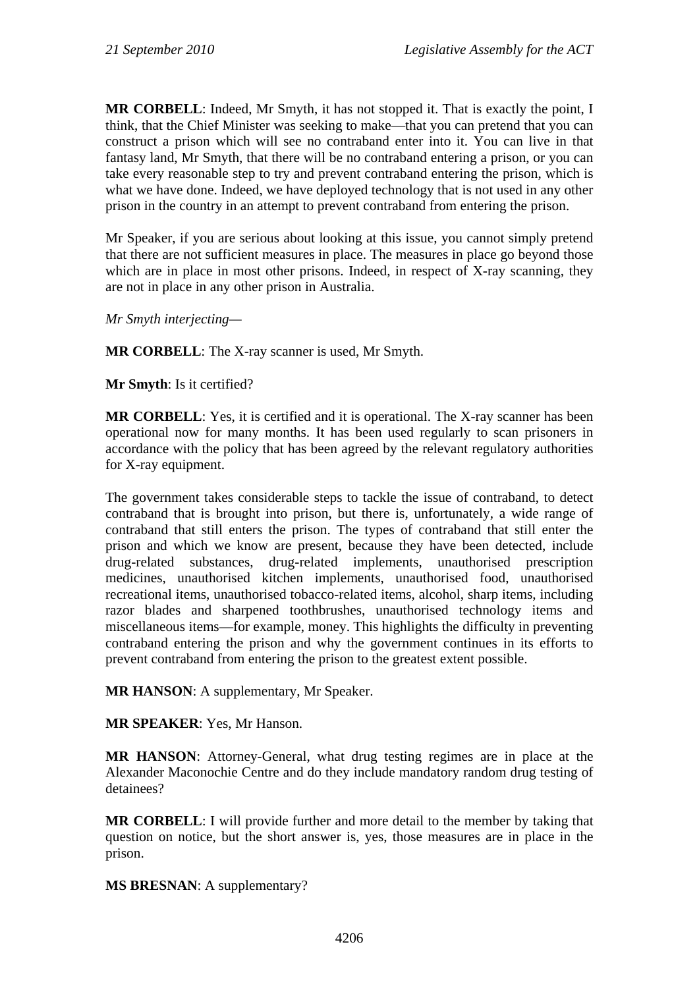**MR CORBELL**: Indeed, Mr Smyth, it has not stopped it. That is exactly the point, I think, that the Chief Minister was seeking to make—that you can pretend that you can construct a prison which will see no contraband enter into it. You can live in that fantasy land, Mr Smyth, that there will be no contraband entering a prison, or you can take every reasonable step to try and prevent contraband entering the prison, which is what we have done. Indeed, we have deployed technology that is not used in any other prison in the country in an attempt to prevent contraband from entering the prison.

Mr Speaker, if you are serious about looking at this issue, you cannot simply pretend that there are not sufficient measures in place. The measures in place go beyond those which are in place in most other prisons. Indeed, in respect of X-ray scanning, they are not in place in any other prison in Australia.

*Mr Smyth interjecting—*

**MR CORBELL**: The X-ray scanner is used, Mr Smyth.

**Mr Smyth**: Is it certified?

**MR CORBELL:** Yes, it is certified and it is operational. The X-ray scanner has been operational now for many months. It has been used regularly to scan prisoners in accordance with the policy that has been agreed by the relevant regulatory authorities for X-ray equipment.

The government takes considerable steps to tackle the issue of contraband, to detect contraband that is brought into prison, but there is, unfortunately, a wide range of contraband that still enters the prison. The types of contraband that still enter the prison and which we know are present, because they have been detected, include drug-related substances, drug-related implements, unauthorised prescription medicines, unauthorised kitchen implements, unauthorised food, unauthorised recreational items, unauthorised tobacco-related items, alcohol, sharp items, including razor blades and sharpened toothbrushes, unauthorised technology items and miscellaneous items—for example, money. This highlights the difficulty in preventing contraband entering the prison and why the government continues in its efforts to prevent contraband from entering the prison to the greatest extent possible.

**MR HANSON**: A supplementary, Mr Speaker.

**MR SPEAKER**: Yes, Mr Hanson.

**MR HANSON**: Attorney-General, what drug testing regimes are in place at the Alexander Maconochie Centre and do they include mandatory random drug testing of detainees?

**MR CORBELL**: I will provide further and more detail to the member by taking that question on notice, but the short answer is, yes, those measures are in place in the prison.

**MS BRESNAN**: A supplementary?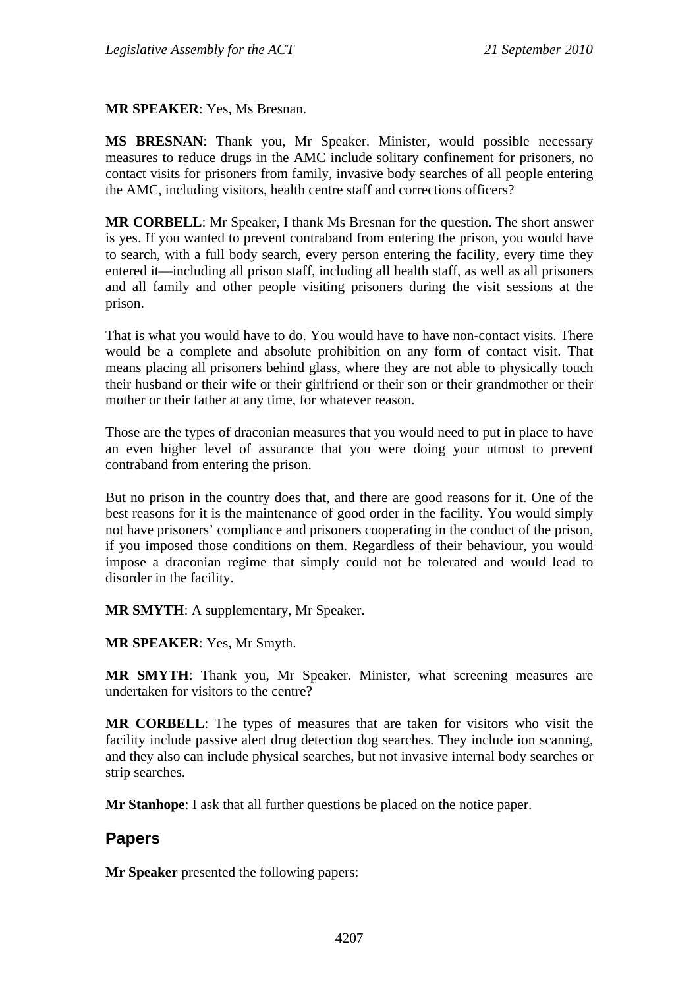#### **MR SPEAKER**: Yes, Ms Bresnan.

**MS BRESNAN**: Thank you, Mr Speaker. Minister, would possible necessary measures to reduce drugs in the AMC include solitary confinement for prisoners, no contact visits for prisoners from family, invasive body searches of all people entering the AMC, including visitors, health centre staff and corrections officers?

**MR CORBELL**: Mr Speaker, I thank Ms Bresnan for the question. The short answer is yes. If you wanted to prevent contraband from entering the prison, you would have to search, with a full body search, every person entering the facility, every time they entered it—including all prison staff, including all health staff, as well as all prisoners and all family and other people visiting prisoners during the visit sessions at the prison.

That is what you would have to do. You would have to have non-contact visits. There would be a complete and absolute prohibition on any form of contact visit. That means placing all prisoners behind glass, where they are not able to physically touch their husband or their wife or their girlfriend or their son or their grandmother or their mother or their father at any time, for whatever reason.

Those are the types of draconian measures that you would need to put in place to have an even higher level of assurance that you were doing your utmost to prevent contraband from entering the prison.

But no prison in the country does that, and there are good reasons for it. One of the best reasons for it is the maintenance of good order in the facility. You would simply not have prisoners' compliance and prisoners cooperating in the conduct of the prison, if you imposed those conditions on them. Regardless of their behaviour, you would impose a draconian regime that simply could not be tolerated and would lead to disorder in the facility.

**MR SMYTH**: A supplementary, Mr Speaker.

**MR SPEAKER**: Yes, Mr Smyth.

**MR SMYTH**: Thank you, Mr Speaker. Minister, what screening measures are undertaken for visitors to the centre?

**MR CORBELL**: The types of measures that are taken for visitors who visit the facility include passive alert drug detection dog searches. They include ion scanning, and they also can include physical searches, but not invasive internal body searches or strip searches.

**Mr Stanhope**: I ask that all further questions be placed on the notice paper.

# **Papers**

**Mr Speaker** presented the following papers: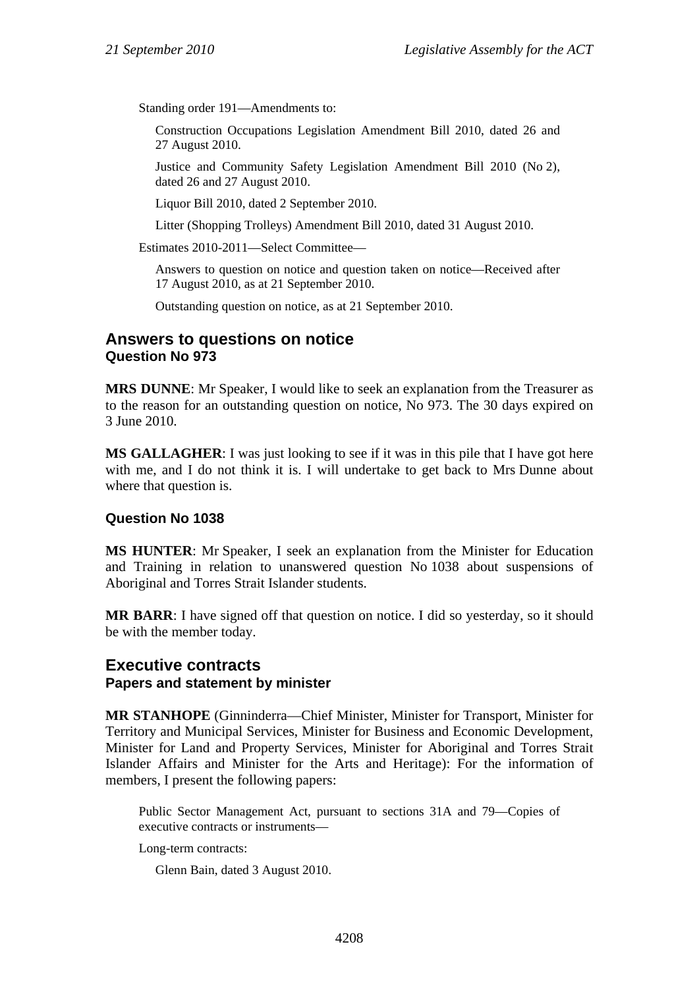Standing order 191—Amendments to:

Construction Occupations Legislation Amendment Bill 2010, dated 26 and 27 August 2010.

Justice and Community Safety Legislation Amendment Bill 2010 (No 2), dated 26 and 27 August 2010.

Liquor Bill 2010, dated 2 September 2010.

Litter (Shopping Trolleys) Amendment Bill 2010, dated 31 August 2010.

Estimates 2010-2011—Select Committee—

Answers to question on notice and question taken on notice—Received after 17 August 2010, as at 21 September 2010.

Outstanding question on notice, as at 21 September 2010.

## **Answers to questions on notice Question No 973**

**MRS DUNNE**: Mr Speaker, I would like to seek an explanation from the Treasurer as to the reason for an outstanding question on notice, No 973. The 30 days expired on 3 June 2010.

**MS GALLAGHER**: I was just looking to see if it was in this pile that I have got here with me, and I do not think it is. I will undertake to get back to Mrs Dunne about where that question is.

### **Question No 1038**

**MS HUNTER**: Mr Speaker, I seek an explanation from the Minister for Education and Training in relation to unanswered question No 1038 about suspensions of Aboriginal and Torres Strait Islander students.

**MR BARR**: I have signed off that question on notice. I did so yesterday, so it should be with the member today.

## **Executive contracts Papers and statement by minister**

**MR STANHOPE** (Ginninderra—Chief Minister, Minister for Transport, Minister for Territory and Municipal Services, Minister for Business and Economic Development, Minister for Land and Property Services, Minister for Aboriginal and Torres Strait Islander Affairs and Minister for the Arts and Heritage): For the information of members, I present the following papers:

Public Sector Management Act, pursuant to sections 31A and 79—Copies of executive contracts or instruments—

Long-term contracts:

Glenn Bain, dated 3 August 2010.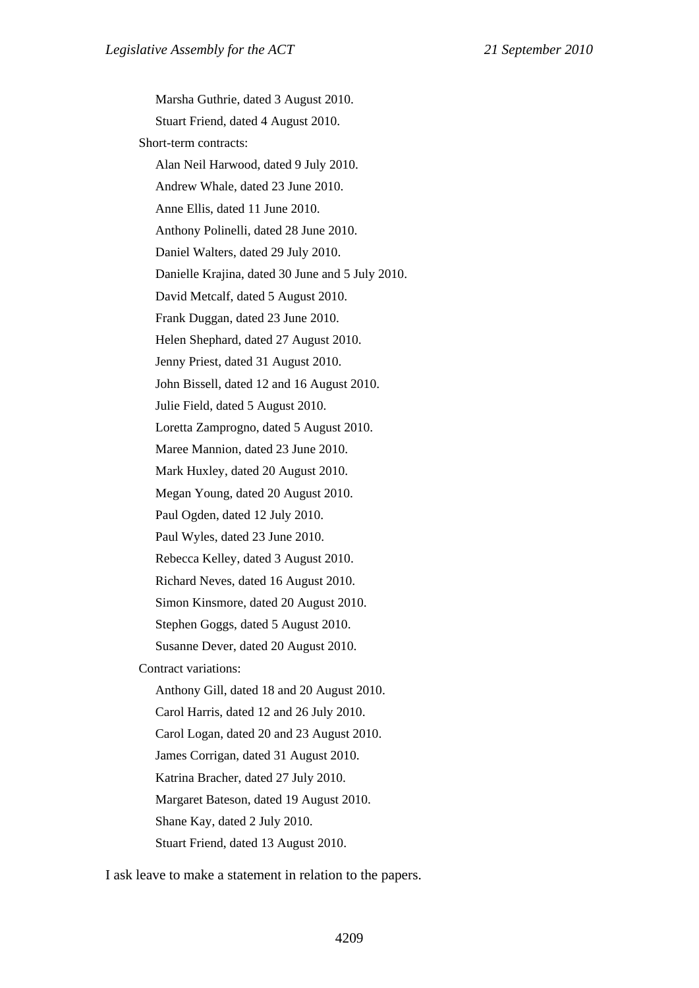Marsha Guthrie, dated 3 August 2010. Stuart Friend, dated 4 August 2010. Short-term contracts: Alan Neil Harwood, dated 9 July 2010. Andrew Whale, dated 23 June 2010. Anne Ellis, dated 11 June 2010. Anthony Polinelli, dated 28 June 2010. Daniel Walters, dated 29 July 2010. Danielle Krajina, dated 30 June and 5 July 2010. David Metcalf, dated 5 August 2010. Frank Duggan, dated 23 June 2010. Helen Shephard, dated 27 August 2010. Jenny Priest, dated 31 August 2010. John Bissell, dated 12 and 16 August 2010. Julie Field, dated 5 August 2010. Loretta Zamprogno, dated 5 August 2010. Maree Mannion, dated 23 June 2010. Mark Huxley, dated 20 August 2010. Megan Young, dated 20 August 2010. Paul Ogden, dated 12 July 2010. Paul Wyles, dated 23 June 2010. Rebecca Kelley, dated 3 August 2010. Richard Neves, dated 16 August 2010. Simon Kinsmore, dated 20 August 2010. Stephen Goggs, dated 5 August 2010. Susanne Dever, dated 20 August 2010. Contract variations: Anthony Gill, dated 18 and 20 August 2010. Carol Harris, dated 12 and 26 July 2010. Carol Logan, dated 20 and 23 August 2010. James Corrigan, dated 31 August 2010. Katrina Bracher, dated 27 July 2010. Margaret Bateson, dated 19 August 2010. Shane Kay, dated 2 July 2010. Stuart Friend, dated 13 August 2010.

I ask leave to make a statement in relation to the papers.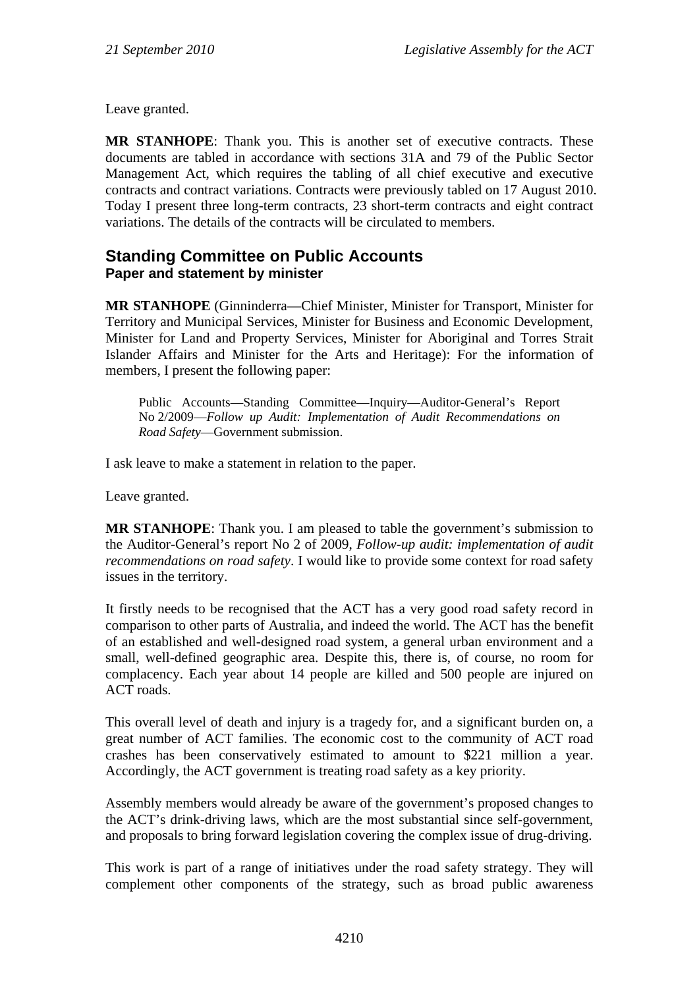Leave granted.

**MR STANHOPE**: Thank you. This is another set of executive contracts. These documents are tabled in accordance with sections 31A and 79 of the Public Sector Management Act, which requires the tabling of all chief executive and executive contracts and contract variations. Contracts were previously tabled on 17 August 2010. Today I present three long-term contracts, 23 short-term contracts and eight contract variations. The details of the contracts will be circulated to members.

## **Standing Committee on Public Accounts Paper and statement by minister**

**MR STANHOPE** (Ginninderra—Chief Minister, Minister for Transport, Minister for Territory and Municipal Services, Minister for Business and Economic Development, Minister for Land and Property Services, Minister for Aboriginal and Torres Strait Islander Affairs and Minister for the Arts and Heritage): For the information of members, I present the following paper:

Public Accounts—Standing Committee—Inquiry—Auditor-General's Report No 2/2009—*Follow up Audit: Implementation of Audit Recommendations on Road Safety*—Government submission.

I ask leave to make a statement in relation to the paper.

Leave granted.

**MR STANHOPE**: Thank you. I am pleased to table the government's submission to the Auditor-General's report No 2 of 2009, *Follow-up audit: implementation of audit recommendations on road safety*. I would like to provide some context for road safety issues in the territory.

It firstly needs to be recognised that the ACT has a very good road safety record in comparison to other parts of Australia, and indeed the world. The ACT has the benefit of an established and well-designed road system, a general urban environment and a small, well-defined geographic area. Despite this, there is, of course, no room for complacency. Each year about 14 people are killed and 500 people are injured on ACT roads.

This overall level of death and injury is a tragedy for, and a significant burden on, a great number of ACT families. The economic cost to the community of ACT road crashes has been conservatively estimated to amount to \$221 million a year. Accordingly, the ACT government is treating road safety as a key priority.

Assembly members would already be aware of the government's proposed changes to the ACT's drink-driving laws, which are the most substantial since self-government, and proposals to bring forward legislation covering the complex issue of drug-driving.

This work is part of a range of initiatives under the road safety strategy. They will complement other components of the strategy, such as broad public awareness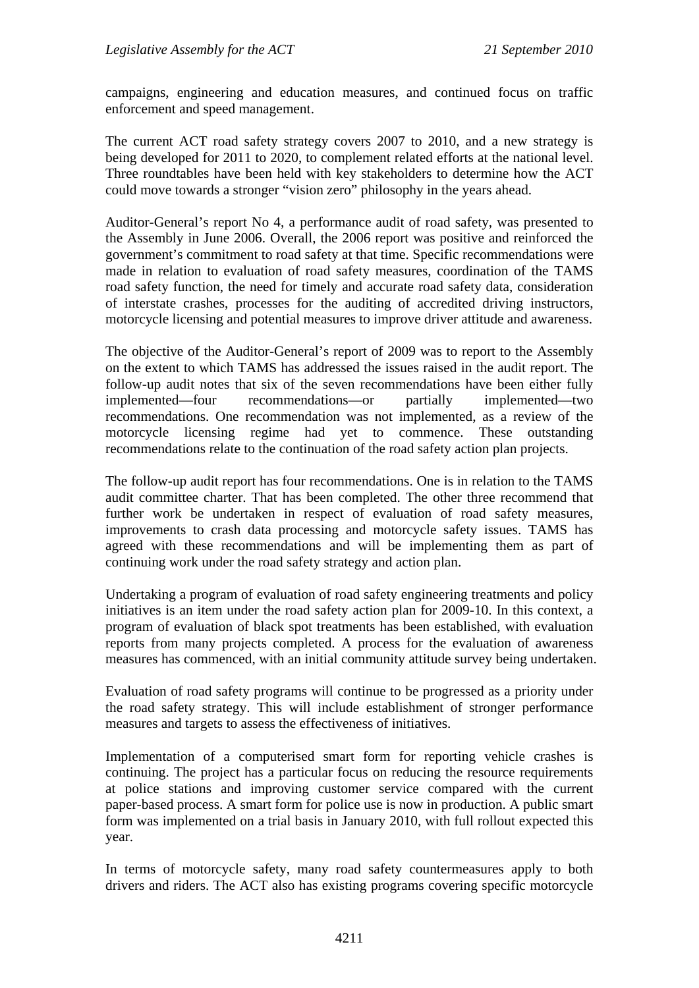campaigns, engineering and education measures, and continued focus on traffic enforcement and speed management.

The current ACT road safety strategy covers 2007 to 2010, and a new strategy is being developed for 2011 to 2020, to complement related efforts at the national level. Three roundtables have been held with key stakeholders to determine how the ACT could move towards a stronger "vision zero" philosophy in the years ahead.

Auditor-General's report No 4, a performance audit of road safety, was presented to the Assembly in June 2006. Overall, the 2006 report was positive and reinforced the government's commitment to road safety at that time. Specific recommendations were made in relation to evaluation of road safety measures, coordination of the TAMS road safety function, the need for timely and accurate road safety data, consideration of interstate crashes, processes for the auditing of accredited driving instructors, motorcycle licensing and potential measures to improve driver attitude and awareness.

The objective of the Auditor-General's report of 2009 was to report to the Assembly on the extent to which TAMS has addressed the issues raised in the audit report. The follow-up audit notes that six of the seven recommendations have been either fully implemented—four recommendations—or partially implemented—two recommendations. One recommendation was not implemented, as a review of the motorcycle licensing regime had yet to commence. These outstanding recommendations relate to the continuation of the road safety action plan projects.

The follow-up audit report has four recommendations. One is in relation to the TAMS audit committee charter. That has been completed. The other three recommend that further work be undertaken in respect of evaluation of road safety measures, improvements to crash data processing and motorcycle safety issues. TAMS has agreed with these recommendations and will be implementing them as part of continuing work under the road safety strategy and action plan.

Undertaking a program of evaluation of road safety engineering treatments and policy initiatives is an item under the road safety action plan for 2009-10. In this context, a program of evaluation of black spot treatments has been established, with evaluation reports from many projects completed. A process for the evaluation of awareness measures has commenced, with an initial community attitude survey being undertaken.

Evaluation of road safety programs will continue to be progressed as a priority under the road safety strategy. This will include establishment of stronger performance measures and targets to assess the effectiveness of initiatives.

Implementation of a computerised smart form for reporting vehicle crashes is continuing. The project has a particular focus on reducing the resource requirements at police stations and improving customer service compared with the current paper-based process. A smart form for police use is now in production. A public smart form was implemented on a trial basis in January 2010, with full rollout expected this year.

In terms of motorcycle safety, many road safety countermeasures apply to both drivers and riders. The ACT also has existing programs covering specific motorcycle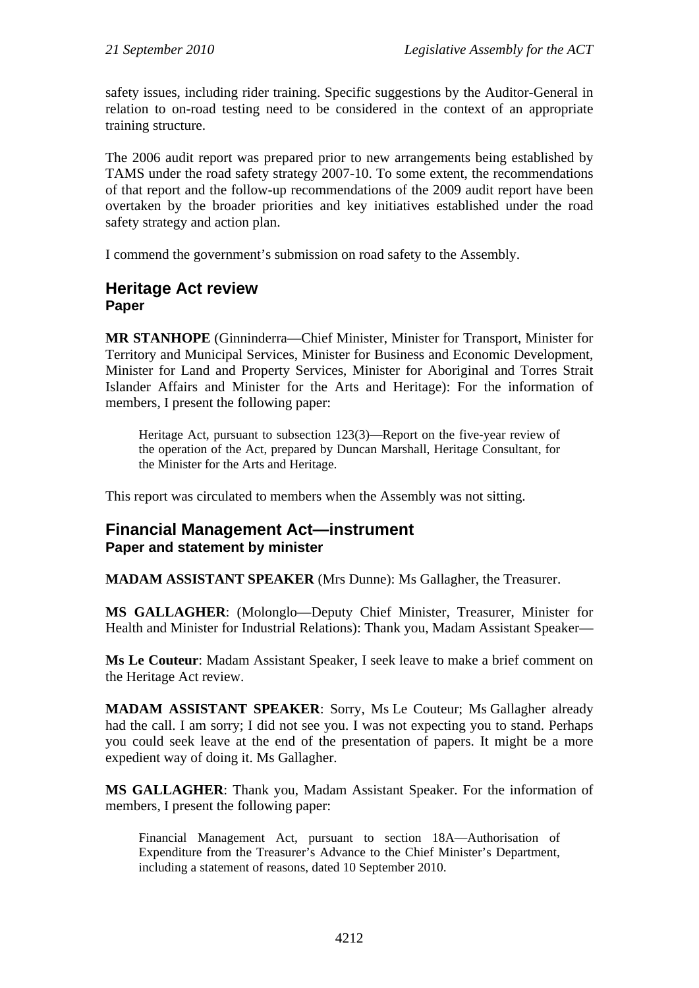safety issues, including rider training. Specific suggestions by the Auditor-General in relation to on-road testing need to be considered in the context of an appropriate training structure.

The 2006 audit report was prepared prior to new arrangements being established by TAMS under the road safety strategy 2007-10. To some extent, the recommendations of that report and the follow-up recommendations of the 2009 audit report have been overtaken by the broader priorities and key initiatives established under the road safety strategy and action plan.

I commend the government's submission on road safety to the Assembly.

## **Heritage Act review Paper**

**MR STANHOPE** (Ginninderra—Chief Minister, Minister for Transport, Minister for Territory and Municipal Services, Minister for Business and Economic Development, Minister for Land and Property Services, Minister for Aboriginal and Torres Strait Islander Affairs and Minister for the Arts and Heritage): For the information of members, I present the following paper:

Heritage Act, pursuant to subsection 123(3)—Report on the five-year review of the operation of the Act, prepared by Duncan Marshall, Heritage Consultant, for the Minister for the Arts and Heritage.

This report was circulated to members when the Assembly was not sitting.

### **Financial Management Act—instrument Paper and statement by minister**

**MADAM ASSISTANT SPEAKER** (Mrs Dunne): Ms Gallagher, the Treasurer.

**MS GALLAGHER**: (Molonglo—Deputy Chief Minister, Treasurer, Minister for Health and Minister for Industrial Relations): Thank you, Madam Assistant Speaker—

**Ms Le Couteur**: Madam Assistant Speaker, I seek leave to make a brief comment on the Heritage Act review.

**MADAM ASSISTANT SPEAKER**: Sorry, Ms Le Couteur; Ms Gallagher already had the call. I am sorry; I did not see you. I was not expecting you to stand. Perhaps you could seek leave at the end of the presentation of papers. It might be a more expedient way of doing it. Ms Gallagher.

**MS GALLAGHER**: Thank you, Madam Assistant Speaker. For the information of members, I present the following paper:

Financial Management Act, pursuant to section 18A—Authorisation of Expenditure from the Treasurer's Advance to the Chief Minister's Department, including a statement of reasons, dated 10 September 2010.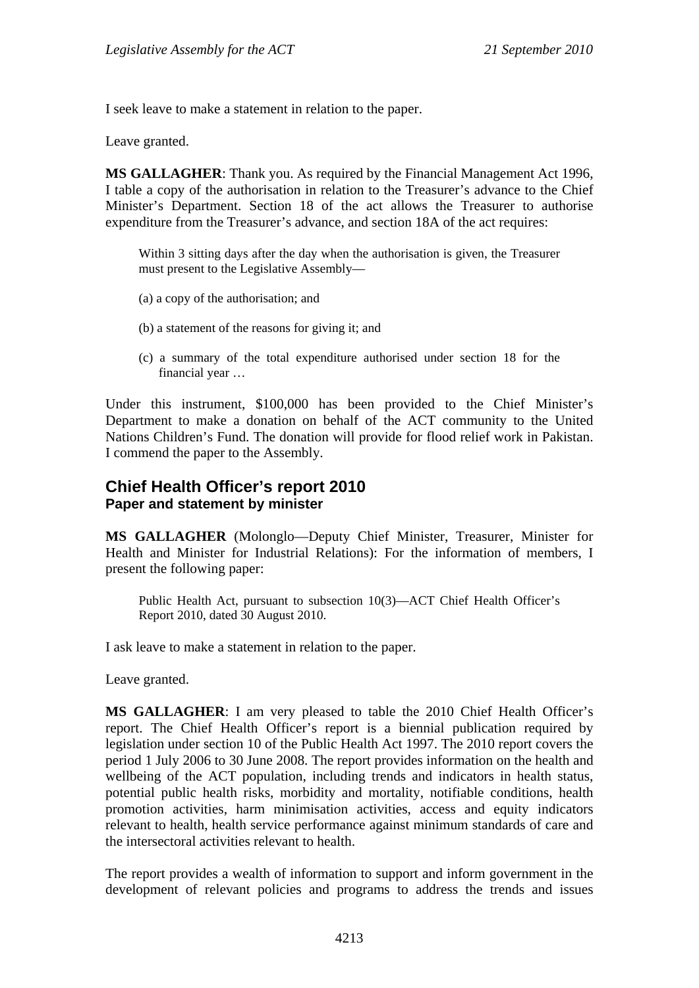I seek leave to make a statement in relation to the paper.

Leave granted.

**MS GALLAGHER**: Thank you. As required by the Financial Management Act 1996, I table a copy of the authorisation in relation to the Treasurer's advance to the Chief Minister's Department. Section 18 of the act allows the Treasurer to authorise expenditure from the Treasurer's advance, and section 18A of the act requires:

Within 3 sitting days after the day when the authorisation is given, the Treasurer must present to the Legislative Assembly—

- (a) a copy of the authorisation; and
- (b) a statement of the reasons for giving it; and
- (c) a summary of the total expenditure authorised under section 18 for the financial year …

Under this instrument, \$100,000 has been provided to the Chief Minister's Department to make a donation on behalf of the ACT community to the United Nations Children's Fund. The donation will provide for flood relief work in Pakistan. I commend the paper to the Assembly.

## **Chief Health Officer's report 2010 Paper and statement by minister**

**MS GALLAGHER** (Molonglo—Deputy Chief Minister, Treasurer, Minister for Health and Minister for Industrial Relations): For the information of members, I present the following paper:

Public Health Act, pursuant to subsection 10(3)—ACT Chief Health Officer's Report 2010, dated 30 August 2010.

I ask leave to make a statement in relation to the paper.

Leave granted.

**MS GALLAGHER**: I am very pleased to table the 2010 Chief Health Officer's report. The Chief Health Officer's report is a biennial publication required by legislation under section 10 of the Public Health Act 1997. The 2010 report covers the period 1 July 2006 to 30 June 2008. The report provides information on the health and wellbeing of the ACT population, including trends and indicators in health status, potential public health risks, morbidity and mortality, notifiable conditions, health promotion activities, harm minimisation activities, access and equity indicators relevant to health, health service performance against minimum standards of care and the intersectoral activities relevant to health.

The report provides a wealth of information to support and inform government in the development of relevant policies and programs to address the trends and issues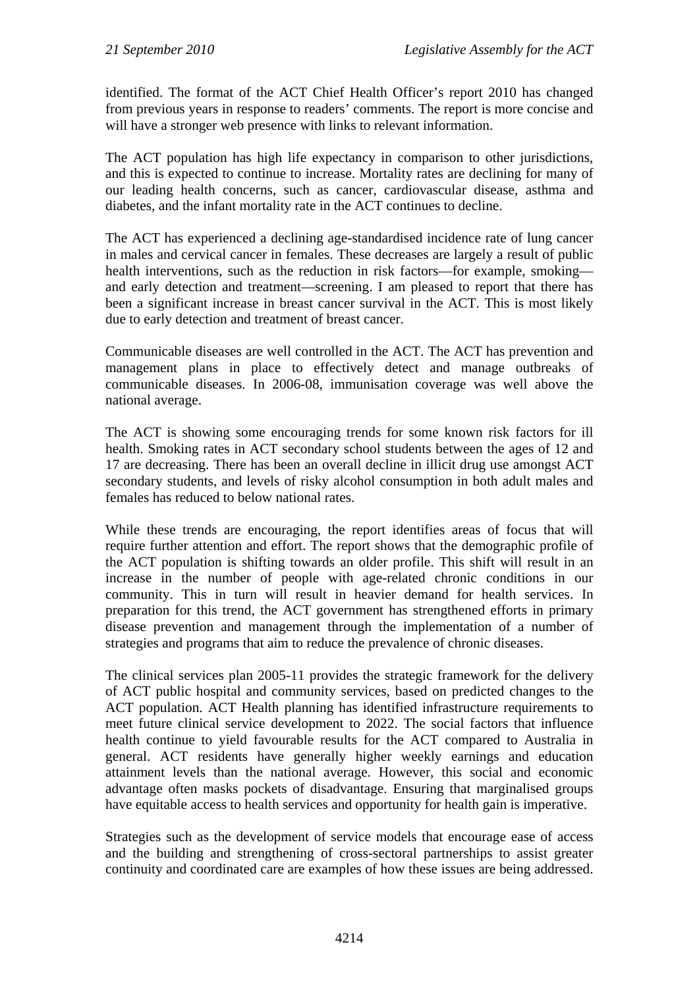identified. The format of the ACT Chief Health Officer's report 2010 has changed from previous years in response to readers' comments. The report is more concise and will have a stronger web presence with links to relevant information.

The ACT population has high life expectancy in comparison to other jurisdictions, and this is expected to continue to increase. Mortality rates are declining for many of our leading health concerns, such as cancer, cardiovascular disease, asthma and diabetes, and the infant mortality rate in the ACT continues to decline.

The ACT has experienced a declining age-standardised incidence rate of lung cancer in males and cervical cancer in females. These decreases are largely a result of public health interventions, such as the reduction in risk factors—for example, smoking and early detection and treatment—screening. I am pleased to report that there has been a significant increase in breast cancer survival in the ACT. This is most likely due to early detection and treatment of breast cancer.

Communicable diseases are well controlled in the ACT. The ACT has prevention and management plans in place to effectively detect and manage outbreaks of communicable diseases. In 2006-08, immunisation coverage was well above the national average.

The ACT is showing some encouraging trends for some known risk factors for ill health. Smoking rates in ACT secondary school students between the ages of 12 and 17 are decreasing. There has been an overall decline in illicit drug use amongst ACT secondary students, and levels of risky alcohol consumption in both adult males and females has reduced to below national rates.

While these trends are encouraging, the report identifies areas of focus that will require further attention and effort. The report shows that the demographic profile of the ACT population is shifting towards an older profile. This shift will result in an increase in the number of people with age-related chronic conditions in our community. This in turn will result in heavier demand for health services. In preparation for this trend, the ACT government has strengthened efforts in primary disease prevention and management through the implementation of a number of strategies and programs that aim to reduce the prevalence of chronic diseases.

The clinical services plan 2005-11 provides the strategic framework for the delivery of ACT public hospital and community services, based on predicted changes to the ACT population. ACT Health planning has identified infrastructure requirements to meet future clinical service development to 2022. The social factors that influence health continue to yield favourable results for the ACT compared to Australia in general. ACT residents have generally higher weekly earnings and education attainment levels than the national average. However, this social and economic advantage often masks pockets of disadvantage. Ensuring that marginalised groups have equitable access to health services and opportunity for health gain is imperative.

Strategies such as the development of service models that encourage ease of access and the building and strengthening of cross-sectoral partnerships to assist greater continuity and coordinated care are examples of how these issues are being addressed.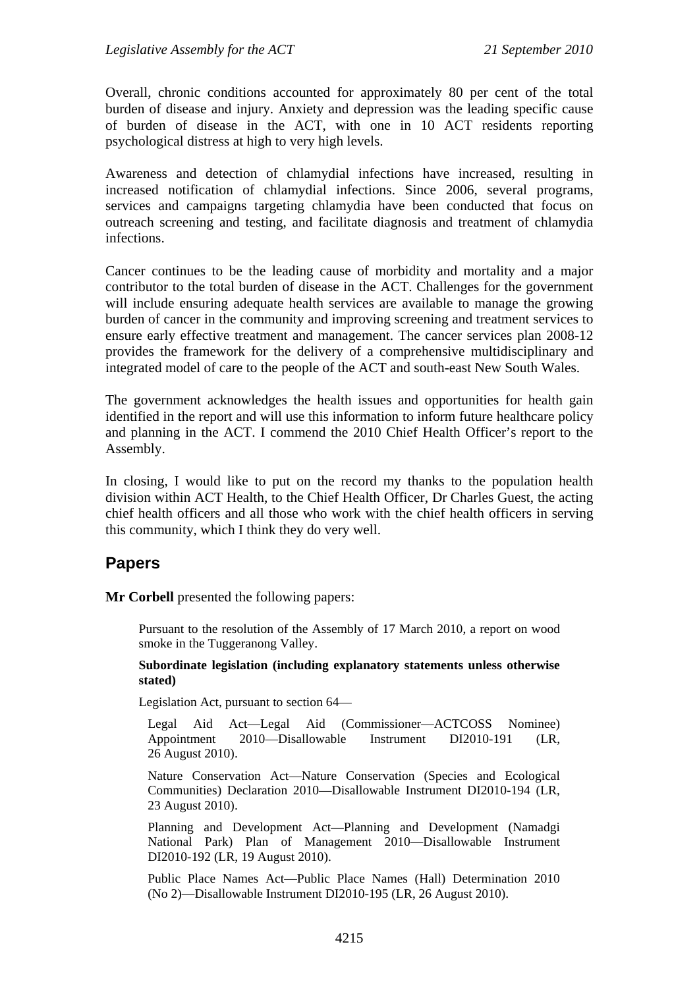Overall, chronic conditions accounted for approximately 80 per cent of the total burden of disease and injury. Anxiety and depression was the leading specific cause of burden of disease in the ACT, with one in 10 ACT residents reporting psychological distress at high to very high levels.

Awareness and detection of chlamydial infections have increased, resulting in increased notification of chlamydial infections. Since 2006, several programs, services and campaigns targeting chlamydia have been conducted that focus on outreach screening and testing, and facilitate diagnosis and treatment of chlamydia infections.

Cancer continues to be the leading cause of morbidity and mortality and a major contributor to the total burden of disease in the ACT. Challenges for the government will include ensuring adequate health services are available to manage the growing burden of cancer in the community and improving screening and treatment services to ensure early effective treatment and management. The cancer services plan 2008-12 provides the framework for the delivery of a comprehensive multidisciplinary and integrated model of care to the people of the ACT and south-east New South Wales.

The government acknowledges the health issues and opportunities for health gain identified in the report and will use this information to inform future healthcare policy and planning in the ACT. I commend the 2010 Chief Health Officer's report to the Assembly.

In closing, I would like to put on the record my thanks to the population health division within ACT Health, to the Chief Health Officer, Dr Charles Guest, the acting chief health officers and all those who work with the chief health officers in serving this community, which I think they do very well.

# **Papers**

**Mr Corbell** presented the following papers:

Pursuant to the resolution of the Assembly of 17 March 2010, a report on wood smoke in the Tuggeranong Valley.

#### **Subordinate legislation (including explanatory statements unless otherwise stated)**

Legislation Act, pursuant to section 64—

Legal Aid Act—Legal Aid (Commissioner—ACTCOSS Nominee) Appointment 2010—Disallowable Instrument DI2010-191 (LR, 26 August 2010).

Nature Conservation Act—Nature Conservation (Species and Ecological Communities) Declaration 2010—Disallowable Instrument DI2010-194 (LR, 23 August 2010).

Planning and Development Act—Planning and Development (Namadgi National Park) Plan of Management 2010—Disallowable Instrument DI2010-192 (LR, 19 August 2010).

Public Place Names Act—Public Place Names (Hall) Determination 2010 (No 2)—Disallowable Instrument DI2010-195 (LR, 26 August 2010).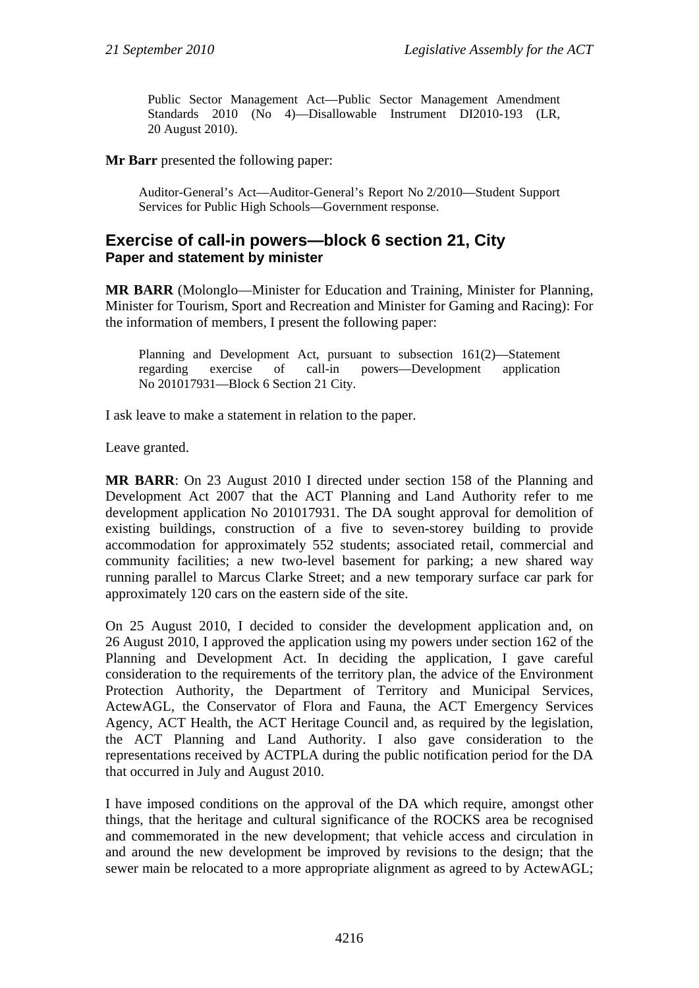Public Sector Management Act—Public Sector Management Amendment Standards 2010 (No 4)—Disallowable Instrument DI2010-193 (LR, 20 August 2010).

**Mr Barr** presented the following paper:

Auditor-General's Act—Auditor-General's Report No 2/2010—Student Support Services for Public High Schools—Government response.

## **Exercise of call-in powers—block 6 section 21, City Paper and statement by minister**

**MR BARR** (Molonglo—Minister for Education and Training, Minister for Planning, Minister for Tourism, Sport and Recreation and Minister for Gaming and Racing): For the information of members, I present the following paper:

Planning and Development Act, pursuant to subsection 161(2)—Statement regarding exercise of call-in powers—Development application No 201017931—Block 6 Section 21 City.

I ask leave to make a statement in relation to the paper.

Leave granted.

**MR BARR**: On 23 August 2010 I directed under section 158 of the Planning and Development Act 2007 that the ACT Planning and Land Authority refer to me development application No 201017931. The DA sought approval for demolition of existing buildings, construction of a five to seven-storey building to provide accommodation for approximately 552 students; associated retail, commercial and community facilities; a new two-level basement for parking; a new shared way running parallel to Marcus Clarke Street; and a new temporary surface car park for approximately 120 cars on the eastern side of the site.

On 25 August 2010, I decided to consider the development application and, on 26 August 2010, I approved the application using my powers under section 162 of the Planning and Development Act. In deciding the application, I gave careful consideration to the requirements of the territory plan, the advice of the Environment Protection Authority, the Department of Territory and Municipal Services, ActewAGL, the Conservator of Flora and Fauna, the ACT Emergency Services Agency, ACT Health, the ACT Heritage Council and, as required by the legislation, the ACT Planning and Land Authority. I also gave consideration to the representations received by ACTPLA during the public notification period for the DA that occurred in July and August 2010.

I have imposed conditions on the approval of the DA which require, amongst other things, that the heritage and cultural significance of the ROCKS area be recognised and commemorated in the new development; that vehicle access and circulation in and around the new development be improved by revisions to the design; that the sewer main be relocated to a more appropriate alignment as agreed to by ActewAGL;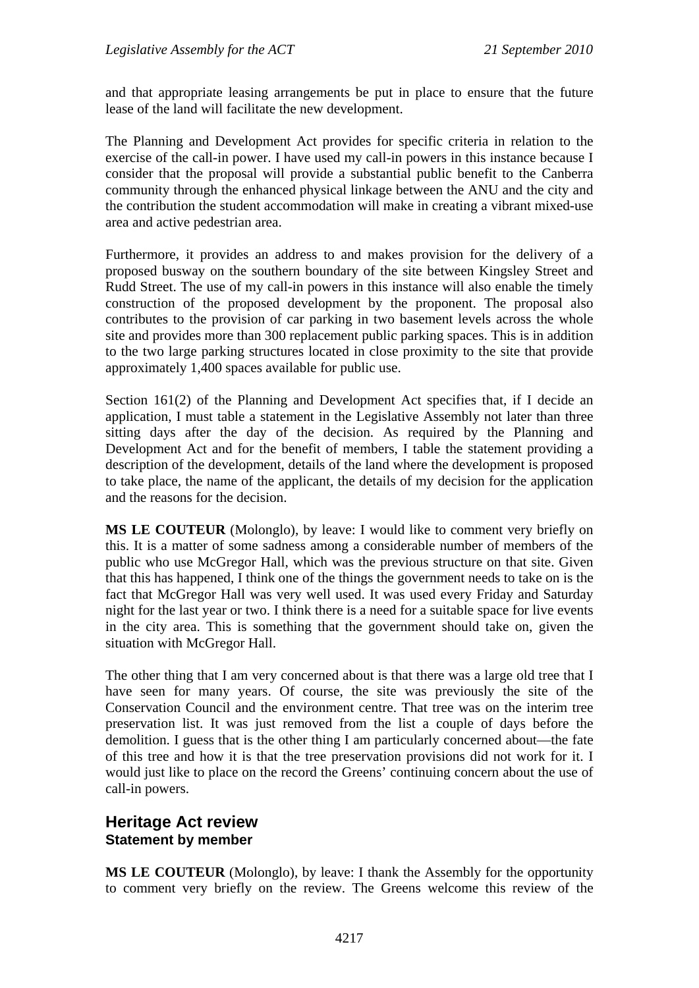and that appropriate leasing arrangements be put in place to ensure that the future lease of the land will facilitate the new development.

The Planning and Development Act provides for specific criteria in relation to the exercise of the call-in power. I have used my call-in powers in this instance because I consider that the proposal will provide a substantial public benefit to the Canberra community through the enhanced physical linkage between the ANU and the city and the contribution the student accommodation will make in creating a vibrant mixed-use area and active pedestrian area.

Furthermore, it provides an address to and makes provision for the delivery of a proposed busway on the southern boundary of the site between Kingsley Street and Rudd Street. The use of my call-in powers in this instance will also enable the timely construction of the proposed development by the proponent. The proposal also contributes to the provision of car parking in two basement levels across the whole site and provides more than 300 replacement public parking spaces. This is in addition to the two large parking structures located in close proximity to the site that provide approximately 1,400 spaces available for public use.

Section 161(2) of the Planning and Development Act specifies that, if I decide an application, I must table a statement in the Legislative Assembly not later than three sitting days after the day of the decision. As required by the Planning and Development Act and for the benefit of members, I table the statement providing a description of the development, details of the land where the development is proposed to take place, the name of the applicant, the details of my decision for the application and the reasons for the decision.

**MS LE COUTEUR** (Molonglo), by leave: I would like to comment very briefly on this. It is a matter of some sadness among a considerable number of members of the public who use McGregor Hall, which was the previous structure on that site. Given that this has happened, I think one of the things the government needs to take on is the fact that McGregor Hall was very well used. It was used every Friday and Saturday night for the last year or two. I think there is a need for a suitable space for live events in the city area. This is something that the government should take on, given the situation with McGregor Hall.

The other thing that I am very concerned about is that there was a large old tree that I have seen for many years. Of course, the site was previously the site of the Conservation Council and the environment centre. That tree was on the interim tree preservation list. It was just removed from the list a couple of days before the demolition. I guess that is the other thing I am particularly concerned about—the fate of this tree and how it is that the tree preservation provisions did not work for it. I would just like to place on the record the Greens' continuing concern about the use of call-in powers.

## **Heritage Act review Statement by member**

**MS LE COUTEUR** (Molonglo), by leave: I thank the Assembly for the opportunity to comment very briefly on the review. The Greens welcome this review of the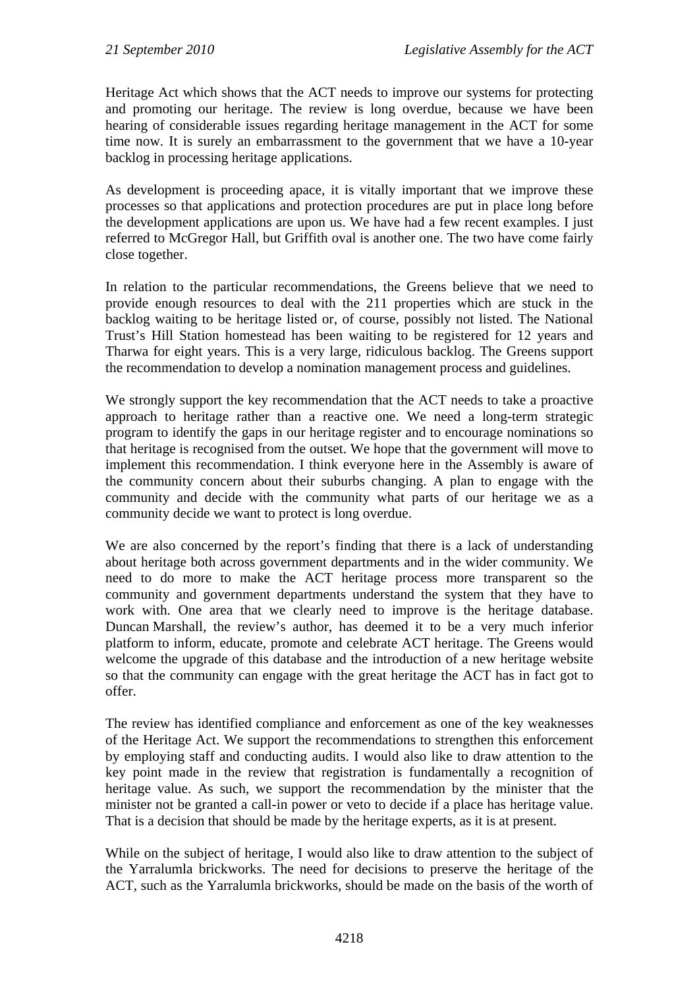Heritage Act which shows that the ACT needs to improve our systems for protecting and promoting our heritage. The review is long overdue, because we have been hearing of considerable issues regarding heritage management in the ACT for some time now. It is surely an embarrassment to the government that we have a 10-year backlog in processing heritage applications.

As development is proceeding apace, it is vitally important that we improve these processes so that applications and protection procedures are put in place long before the development applications are upon us. We have had a few recent examples. I just referred to McGregor Hall, but Griffith oval is another one. The two have come fairly close together.

In relation to the particular recommendations, the Greens believe that we need to provide enough resources to deal with the 211 properties which are stuck in the backlog waiting to be heritage listed or, of course, possibly not listed. The National Trust's Hill Station homestead has been waiting to be registered for 12 years and Tharwa for eight years. This is a very large, ridiculous backlog. The Greens support the recommendation to develop a nomination management process and guidelines.

We strongly support the key recommendation that the ACT needs to take a proactive approach to heritage rather than a reactive one. We need a long-term strategic program to identify the gaps in our heritage register and to encourage nominations so that heritage is recognised from the outset. We hope that the government will move to implement this recommendation. I think everyone here in the Assembly is aware of the community concern about their suburbs changing. A plan to engage with the community and decide with the community what parts of our heritage we as a community decide we want to protect is long overdue.

We are also concerned by the report's finding that there is a lack of understanding about heritage both across government departments and in the wider community. We need to do more to make the ACT heritage process more transparent so the community and government departments understand the system that they have to work with. One area that we clearly need to improve is the heritage database. Duncan Marshall, the review's author, has deemed it to be a very much inferior platform to inform, educate, promote and celebrate ACT heritage. The Greens would welcome the upgrade of this database and the introduction of a new heritage website so that the community can engage with the great heritage the ACT has in fact got to offer.

The review has identified compliance and enforcement as one of the key weaknesses of the Heritage Act. We support the recommendations to strengthen this enforcement by employing staff and conducting audits. I would also like to draw attention to the key point made in the review that registration is fundamentally a recognition of heritage value. As such, we support the recommendation by the minister that the minister not be granted a call-in power or veto to decide if a place has heritage value. That is a decision that should be made by the heritage experts, as it is at present.

While on the subject of heritage, I would also like to draw attention to the subject of the Yarralumla brickworks. The need for decisions to preserve the heritage of the ACT, such as the Yarralumla brickworks, should be made on the basis of the worth of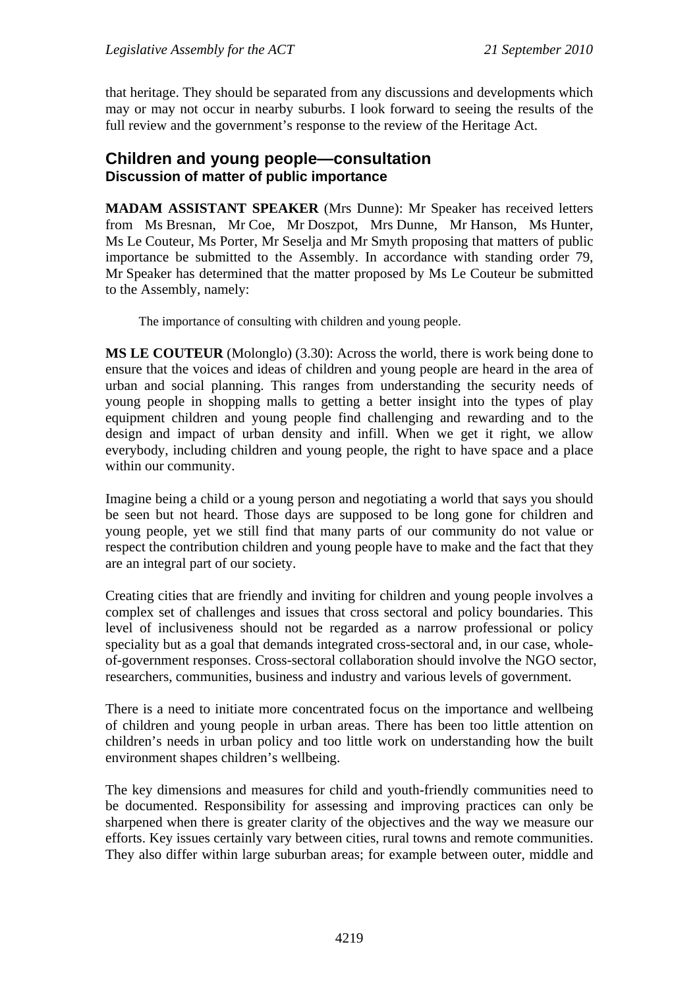that heritage. They should be separated from any discussions and developments which may or may not occur in nearby suburbs. I look forward to seeing the results of the full review and the government's response to the review of the Heritage Act.

## **Children and young people—consultation Discussion of matter of public importance**

**MADAM ASSISTANT SPEAKER** (Mrs Dunne): Mr Speaker has received letters from Ms Bresnan, Mr Coe, Mr Doszpot, Mrs Dunne, Mr Hanson, Ms Hunter, Ms Le Couteur, Ms Porter, Mr Seselja and Mr Smyth proposing that matters of public importance be submitted to the Assembly. In accordance with standing order 79, Mr Speaker has determined that the matter proposed by Ms Le Couteur be submitted to the Assembly, namely:

The importance of consulting with children and young people.

**MS LE COUTEUR** (Molonglo) (3.30): Across the world, there is work being done to ensure that the voices and ideas of children and young people are heard in the area of urban and social planning. This ranges from understanding the security needs of young people in shopping malls to getting a better insight into the types of play equipment children and young people find challenging and rewarding and to the design and impact of urban density and infill. When we get it right, we allow everybody, including children and young people, the right to have space and a place within our community.

Imagine being a child or a young person and negotiating a world that says you should be seen but not heard. Those days are supposed to be long gone for children and young people, yet we still find that many parts of our community do not value or respect the contribution children and young people have to make and the fact that they are an integral part of our society.

Creating cities that are friendly and inviting for children and young people involves a complex set of challenges and issues that cross sectoral and policy boundaries. This level of inclusiveness should not be regarded as a narrow professional or policy speciality but as a goal that demands integrated cross-sectoral and, in our case, wholeof-government responses. Cross-sectoral collaboration should involve the NGO sector, researchers, communities, business and industry and various levels of government.

There is a need to initiate more concentrated focus on the importance and wellbeing of children and young people in urban areas. There has been too little attention on children's needs in urban policy and too little work on understanding how the built environment shapes children's wellbeing.

The key dimensions and measures for child and youth-friendly communities need to be documented. Responsibility for assessing and improving practices can only be sharpened when there is greater clarity of the objectives and the way we measure our efforts. Key issues certainly vary between cities, rural towns and remote communities. They also differ within large suburban areas; for example between outer, middle and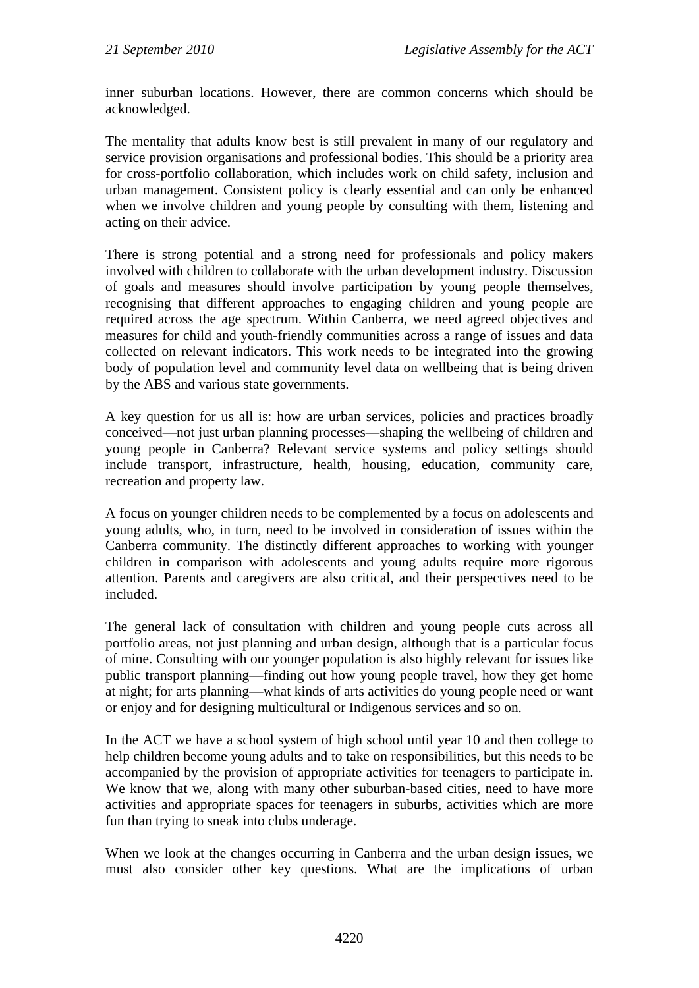inner suburban locations. However, there are common concerns which should be acknowledged.

The mentality that adults know best is still prevalent in many of our regulatory and service provision organisations and professional bodies. This should be a priority area for cross-portfolio collaboration, which includes work on child safety, inclusion and urban management. Consistent policy is clearly essential and can only be enhanced when we involve children and young people by consulting with them, listening and acting on their advice.

There is strong potential and a strong need for professionals and policy makers involved with children to collaborate with the urban development industry. Discussion of goals and measures should involve participation by young people themselves, recognising that different approaches to engaging children and young people are required across the age spectrum. Within Canberra, we need agreed objectives and measures for child and youth-friendly communities across a range of issues and data collected on relevant indicators. This work needs to be integrated into the growing body of population level and community level data on wellbeing that is being driven by the ABS and various state governments.

A key question for us all is: how are urban services, policies and practices broadly conceived—not just urban planning processes—shaping the wellbeing of children and young people in Canberra? Relevant service systems and policy settings should include transport, infrastructure, health, housing, education, community care, recreation and property law.

A focus on younger children needs to be complemented by a focus on adolescents and young adults, who, in turn, need to be involved in consideration of issues within the Canberra community. The distinctly different approaches to working with younger children in comparison with adolescents and young adults require more rigorous attention. Parents and caregivers are also critical, and their perspectives need to be included.

The general lack of consultation with children and young people cuts across all portfolio areas, not just planning and urban design, although that is a particular focus of mine. Consulting with our younger population is also highly relevant for issues like public transport planning—finding out how young people travel, how they get home at night; for arts planning—what kinds of arts activities do young people need or want or enjoy and for designing multicultural or Indigenous services and so on.

In the ACT we have a school system of high school until year 10 and then college to help children become young adults and to take on responsibilities, but this needs to be accompanied by the provision of appropriate activities for teenagers to participate in. We know that we, along with many other suburban-based cities, need to have more activities and appropriate spaces for teenagers in suburbs, activities which are more fun than trying to sneak into clubs underage.

When we look at the changes occurring in Canberra and the urban design issues, we must also consider other key questions. What are the implications of urban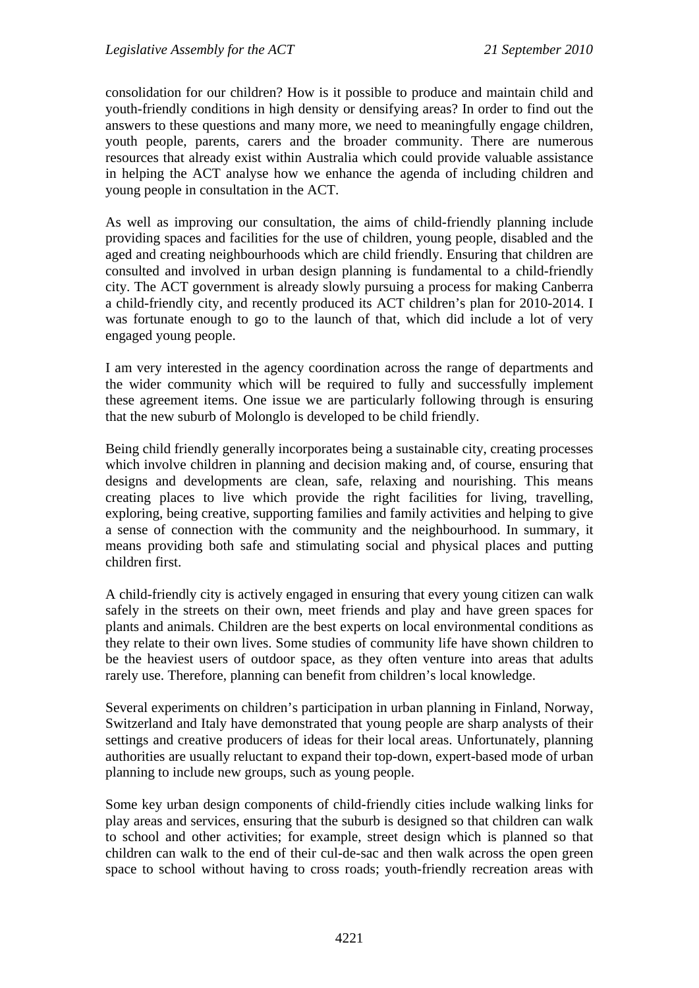consolidation for our children? How is it possible to produce and maintain child and youth-friendly conditions in high density or densifying areas? In order to find out the answers to these questions and many more, we need to meaningfully engage children, youth people, parents, carers and the broader community. There are numerous resources that already exist within Australia which could provide valuable assistance in helping the ACT analyse how we enhance the agenda of including children and young people in consultation in the ACT.

As well as improving our consultation, the aims of child-friendly planning include providing spaces and facilities for the use of children, young people, disabled and the aged and creating neighbourhoods which are child friendly. Ensuring that children are consulted and involved in urban design planning is fundamental to a child-friendly city. The ACT government is already slowly pursuing a process for making Canberra a child-friendly city, and recently produced its ACT children's plan for 2010-2014. I was fortunate enough to go to the launch of that, which did include a lot of very engaged young people.

I am very interested in the agency coordination across the range of departments and the wider community which will be required to fully and successfully implement these agreement items. One issue we are particularly following through is ensuring that the new suburb of Molonglo is developed to be child friendly.

Being child friendly generally incorporates being a sustainable city, creating processes which involve children in planning and decision making and, of course, ensuring that designs and developments are clean, safe, relaxing and nourishing. This means creating places to live which provide the right facilities for living, travelling, exploring, being creative, supporting families and family activities and helping to give a sense of connection with the community and the neighbourhood. In summary, it means providing both safe and stimulating social and physical places and putting children first.

A child-friendly city is actively engaged in ensuring that every young citizen can walk safely in the streets on their own, meet friends and play and have green spaces for plants and animals. Children are the best experts on local environmental conditions as they relate to their own lives. Some studies of community life have shown children to be the heaviest users of outdoor space, as they often venture into areas that adults rarely use. Therefore, planning can benefit from children's local knowledge.

Several experiments on children's participation in urban planning in Finland, Norway, Switzerland and Italy have demonstrated that young people are sharp analysts of their settings and creative producers of ideas for their local areas. Unfortunately, planning authorities are usually reluctant to expand their top-down, expert-based mode of urban planning to include new groups, such as young people.

Some key urban design components of child-friendly cities include walking links for play areas and services, ensuring that the suburb is designed so that children can walk to school and other activities; for example, street design which is planned so that children can walk to the end of their cul-de-sac and then walk across the open green space to school without having to cross roads; youth-friendly recreation areas with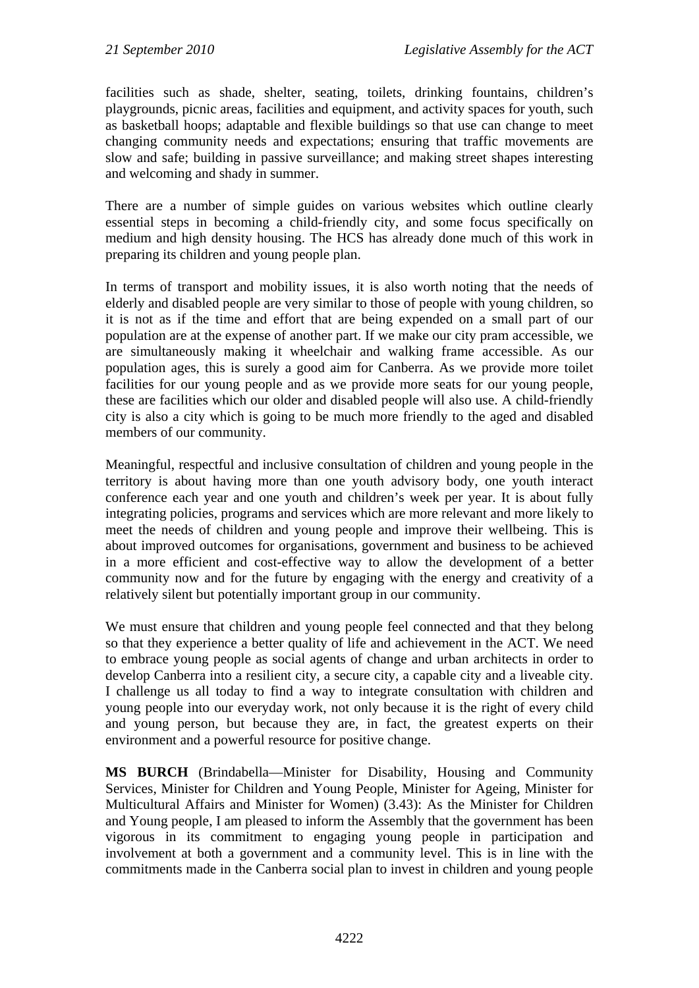facilities such as shade, shelter, seating, toilets, drinking fountains, children's playgrounds, picnic areas, facilities and equipment, and activity spaces for youth, such as basketball hoops; adaptable and flexible buildings so that use can change to meet changing community needs and expectations; ensuring that traffic movements are slow and safe; building in passive surveillance; and making street shapes interesting and welcoming and shady in summer.

There are a number of simple guides on various websites which outline clearly essential steps in becoming a child-friendly city, and some focus specifically on medium and high density housing. The HCS has already done much of this work in preparing its children and young people plan.

In terms of transport and mobility issues, it is also worth noting that the needs of elderly and disabled people are very similar to those of people with young children, so it is not as if the time and effort that are being expended on a small part of our population are at the expense of another part. If we make our city pram accessible, we are simultaneously making it wheelchair and walking frame accessible. As our population ages, this is surely a good aim for Canberra. As we provide more toilet facilities for our young people and as we provide more seats for our young people, these are facilities which our older and disabled people will also use. A child-friendly city is also a city which is going to be much more friendly to the aged and disabled members of our community.

Meaningful, respectful and inclusive consultation of children and young people in the territory is about having more than one youth advisory body, one youth interact conference each year and one youth and children's week per year. It is about fully integrating policies, programs and services which are more relevant and more likely to meet the needs of children and young people and improve their wellbeing. This is about improved outcomes for organisations, government and business to be achieved in a more efficient and cost-effective way to allow the development of a better community now and for the future by engaging with the energy and creativity of a relatively silent but potentially important group in our community.

We must ensure that children and young people feel connected and that they belong so that they experience a better quality of life and achievement in the ACT. We need to embrace young people as social agents of change and urban architects in order to develop Canberra into a resilient city, a secure city, a capable city and a liveable city. I challenge us all today to find a way to integrate consultation with children and young people into our everyday work, not only because it is the right of every child and young person, but because they are, in fact, the greatest experts on their environment and a powerful resource for positive change.

**MS BURCH** (Brindabella—Minister for Disability, Housing and Community Services, Minister for Children and Young People, Minister for Ageing, Minister for Multicultural Affairs and Minister for Women) (3.43): As the Minister for Children and Young people, I am pleased to inform the Assembly that the government has been vigorous in its commitment to engaging young people in participation and involvement at both a government and a community level. This is in line with the commitments made in the Canberra social plan to invest in children and young people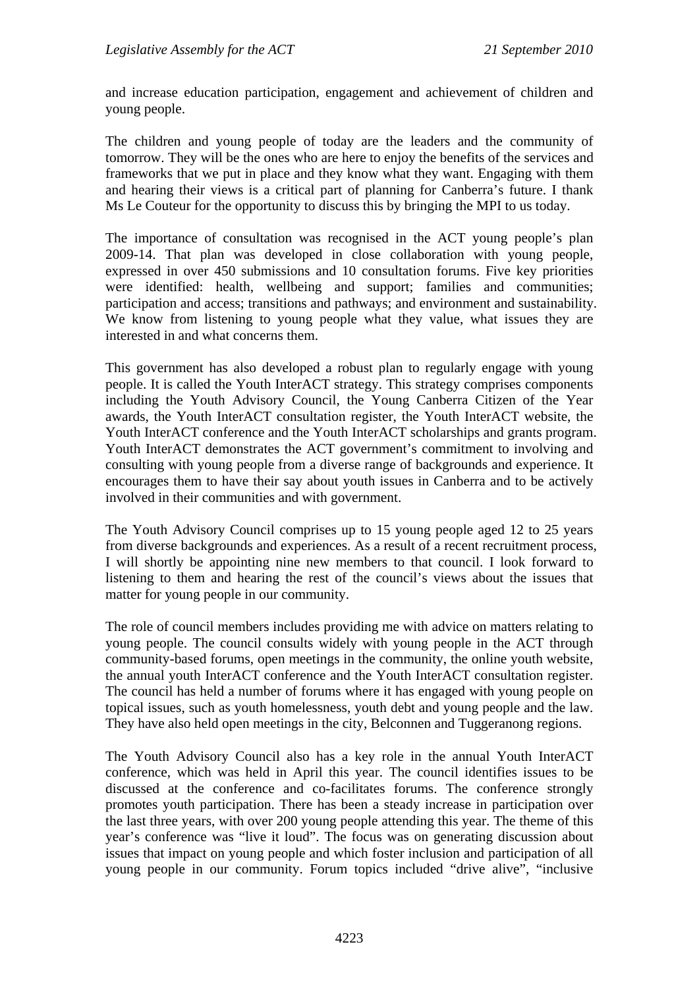and increase education participation, engagement and achievement of children and young people.

The children and young people of today are the leaders and the community of tomorrow. They will be the ones who are here to enjoy the benefits of the services and frameworks that we put in place and they know what they want. Engaging with them and hearing their views is a critical part of planning for Canberra's future. I thank Ms Le Couteur for the opportunity to discuss this by bringing the MPI to us today.

The importance of consultation was recognised in the ACT young people's plan 2009-14. That plan was developed in close collaboration with young people, expressed in over 450 submissions and 10 consultation forums. Five key priorities were identified: health, wellbeing and support; families and communities; participation and access; transitions and pathways; and environment and sustainability. We know from listening to young people what they value, what issues they are interested in and what concerns them.

This government has also developed a robust plan to regularly engage with young people. It is called the Youth InterACT strategy. This strategy comprises components including the Youth Advisory Council, the Young Canberra Citizen of the Year awards, the Youth InterACT consultation register, the Youth InterACT website, the Youth InterACT conference and the Youth InterACT scholarships and grants program. Youth InterACT demonstrates the ACT government's commitment to involving and consulting with young people from a diverse range of backgrounds and experience. It encourages them to have their say about youth issues in Canberra and to be actively involved in their communities and with government.

The Youth Advisory Council comprises up to 15 young people aged 12 to 25 years from diverse backgrounds and experiences. As a result of a recent recruitment process, I will shortly be appointing nine new members to that council. I look forward to listening to them and hearing the rest of the council's views about the issues that matter for young people in our community.

The role of council members includes providing me with advice on matters relating to young people. The council consults widely with young people in the ACT through community-based forums, open meetings in the community, the online youth website, the annual youth InterACT conference and the Youth InterACT consultation register. The council has held a number of forums where it has engaged with young people on topical issues, such as youth homelessness, youth debt and young people and the law. They have also held open meetings in the city, Belconnen and Tuggeranong regions.

The Youth Advisory Council also has a key role in the annual Youth InterACT conference, which was held in April this year. The council identifies issues to be discussed at the conference and co-facilitates forums. The conference strongly promotes youth participation. There has been a steady increase in participation over the last three years, with over 200 young people attending this year. The theme of this year's conference was "live it loud". The focus was on generating discussion about issues that impact on young people and which foster inclusion and participation of all young people in our community. Forum topics included "drive alive", "inclusive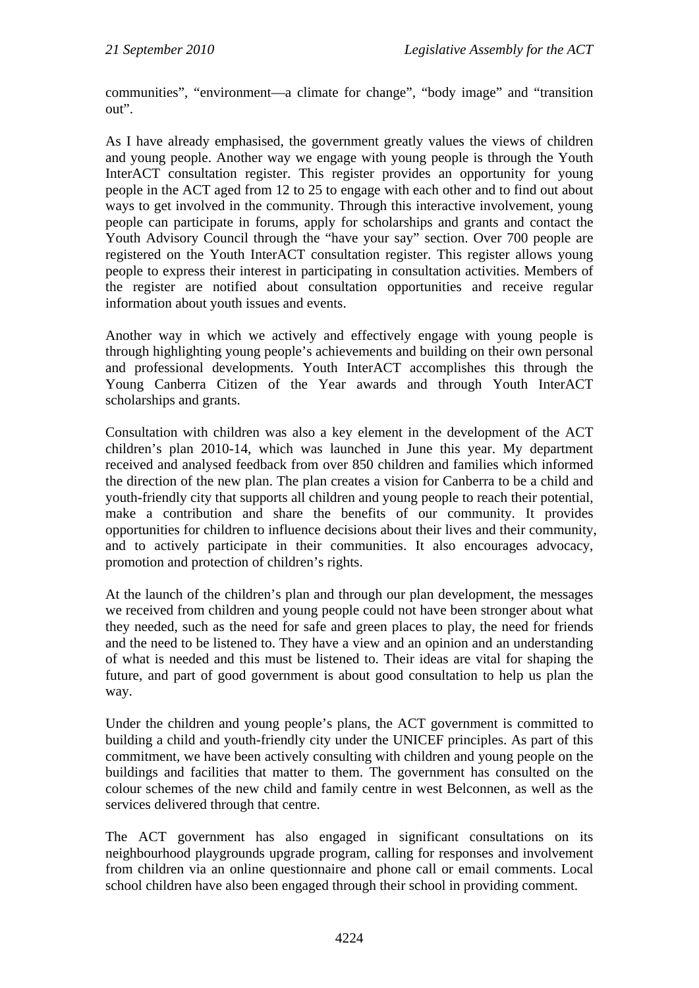communities", "environment––a climate for change", "body image" and "transition out".

As I have already emphasised, the government greatly values the views of children and young people. Another way we engage with young people is through the Youth InterACT consultation register. This register provides an opportunity for young people in the ACT aged from 12 to 25 to engage with each other and to find out about ways to get involved in the community. Through this interactive involvement, young people can participate in forums, apply for scholarships and grants and contact the Youth Advisory Council through the "have your say" section. Over 700 people are registered on the Youth InterACT consultation register. This register allows young people to express their interest in participating in consultation activities. Members of the register are notified about consultation opportunities and receive regular information about youth issues and events.

Another way in which we actively and effectively engage with young people is through highlighting young people's achievements and building on their own personal and professional developments. Youth InterACT accomplishes this through the Young Canberra Citizen of the Year awards and through Youth InterACT scholarships and grants.

Consultation with children was also a key element in the development of the ACT children's plan 2010-14, which was launched in June this year. My department received and analysed feedback from over 850 children and families which informed the direction of the new plan. The plan creates a vision for Canberra to be a child and youth-friendly city that supports all children and young people to reach their potential, make a contribution and share the benefits of our community. It provides opportunities for children to influence decisions about their lives and their community, and to actively participate in their communities. It also encourages advocacy, promotion and protection of children's rights.

At the launch of the children's plan and through our plan development, the messages we received from children and young people could not have been stronger about what they needed, such as the need for safe and green places to play, the need for friends and the need to be listened to. They have a view and an opinion and an understanding of what is needed and this must be listened to. Their ideas are vital for shaping the future, and part of good government is about good consultation to help us plan the way.

Under the children and young people's plans, the ACT government is committed to building a child and youth-friendly city under the UNICEF principles. As part of this commitment, we have been actively consulting with children and young people on the buildings and facilities that matter to them. The government has consulted on the colour schemes of the new child and family centre in west Belconnen, as well as the services delivered through that centre.

The ACT government has also engaged in significant consultations on its neighbourhood playgrounds upgrade program, calling for responses and involvement from children via an online questionnaire and phone call or email comments. Local school children have also been engaged through their school in providing comment.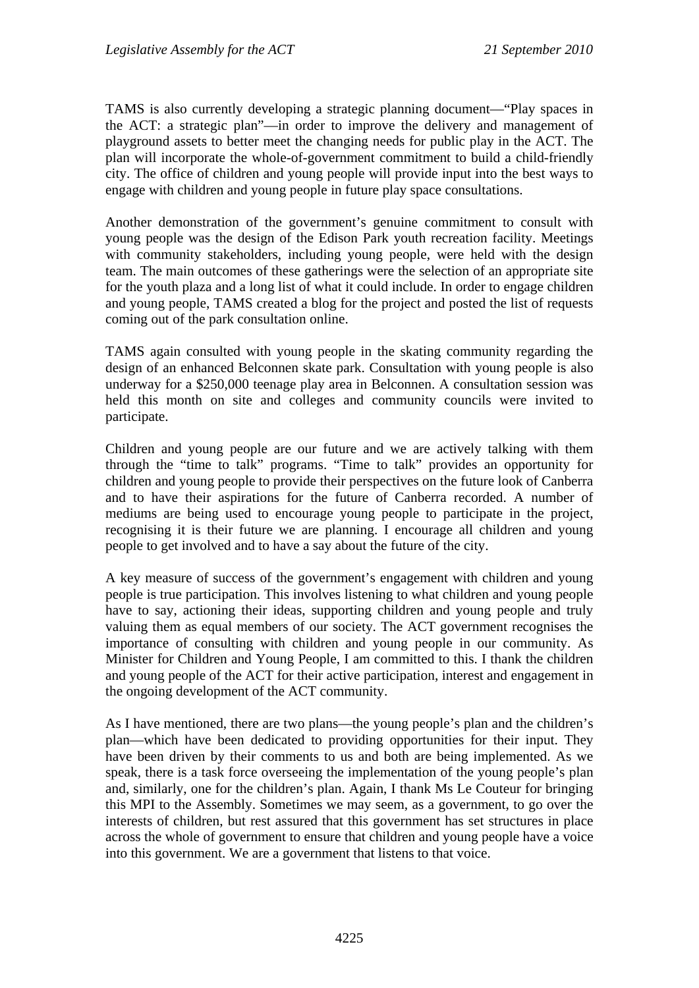TAMS is also currently developing a strategic planning document—"Play spaces in the ACT: a strategic plan"—in order to improve the delivery and management of playground assets to better meet the changing needs for public play in the ACT. The plan will incorporate the whole-of-government commitment to build a child-friendly city. The office of children and young people will provide input into the best ways to engage with children and young people in future play space consultations.

Another demonstration of the government's genuine commitment to consult with young people was the design of the Edison Park youth recreation facility. Meetings with community stakeholders, including young people, were held with the design team. The main outcomes of these gatherings were the selection of an appropriate site for the youth plaza and a long list of what it could include. In order to engage children and young people, TAMS created a blog for the project and posted the list of requests coming out of the park consultation online.

TAMS again consulted with young people in the skating community regarding the design of an enhanced Belconnen skate park. Consultation with young people is also underway for a \$250,000 teenage play area in Belconnen. A consultation session was held this month on site and colleges and community councils were invited to participate.

Children and young people are our future and we are actively talking with them through the "time to talk" programs. "Time to talk" provides an opportunity for children and young people to provide their perspectives on the future look of Canberra and to have their aspirations for the future of Canberra recorded. A number of mediums are being used to encourage young people to participate in the project, recognising it is their future we are planning. I encourage all children and young people to get involved and to have a say about the future of the city.

A key measure of success of the government's engagement with children and young people is true participation. This involves listening to what children and young people have to say, actioning their ideas, supporting children and young people and truly valuing them as equal members of our society. The ACT government recognises the importance of consulting with children and young people in our community. As Minister for Children and Young People, I am committed to this. I thank the children and young people of the ACT for their active participation, interest and engagement in the ongoing development of the ACT community.

As I have mentioned, there are two plans—the young people's plan and the children's plan—which have been dedicated to providing opportunities for their input. They have been driven by their comments to us and both are being implemented. As we speak, there is a task force overseeing the implementation of the young people's plan and, similarly, one for the children's plan. Again, I thank Ms Le Couteur for bringing this MPI to the Assembly. Sometimes we may seem, as a government, to go over the interests of children, but rest assured that this government has set structures in place across the whole of government to ensure that children and young people have a voice into this government. We are a government that listens to that voice.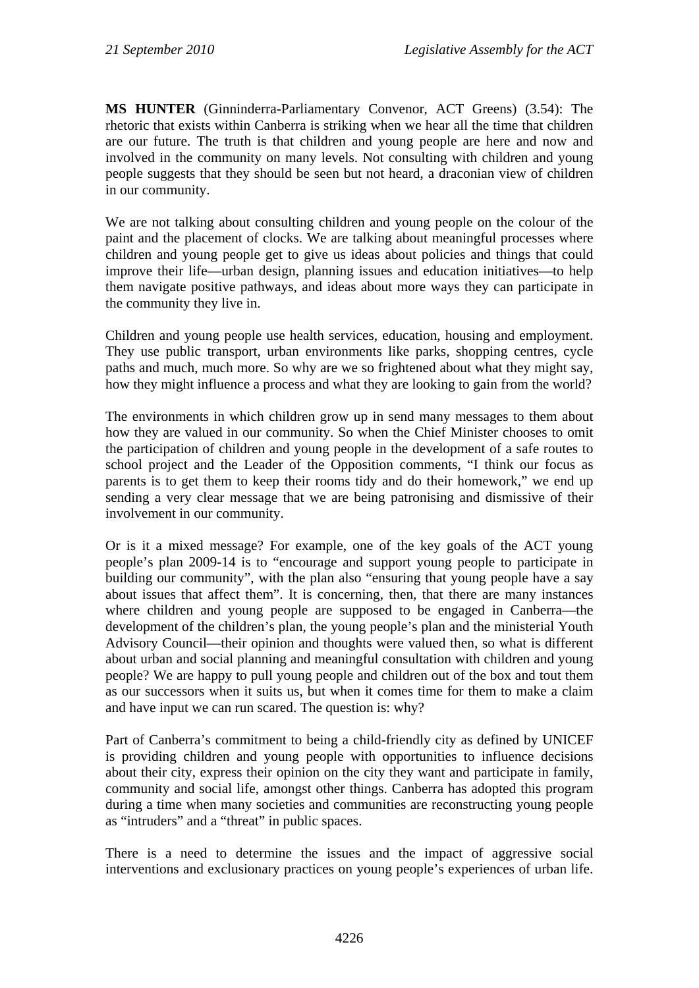**MS HUNTER** (Ginninderra-Parliamentary Convenor, ACT Greens) (3.54): The rhetoric that exists within Canberra is striking when we hear all the time that children are our future. The truth is that children and young people are here and now and involved in the community on many levels. Not consulting with children and young people suggests that they should be seen but not heard, a draconian view of children in our community.

We are not talking about consulting children and young people on the colour of the paint and the placement of clocks. We are talking about meaningful processes where children and young people get to give us ideas about policies and things that could improve their life—urban design, planning issues and education initiatives—to help them navigate positive pathways, and ideas about more ways they can participate in the community they live in.

Children and young people use health services, education, housing and employment. They use public transport, urban environments like parks, shopping centres, cycle paths and much, much more. So why are we so frightened about what they might say, how they might influence a process and what they are looking to gain from the world?

The environments in which children grow up in send many messages to them about how they are valued in our community. So when the Chief Minister chooses to omit the participation of children and young people in the development of a safe routes to school project and the Leader of the Opposition comments, "I think our focus as parents is to get them to keep their rooms tidy and do their homework," we end up sending a very clear message that we are being patronising and dismissive of their involvement in our community.

Or is it a mixed message? For example, one of the key goals of the ACT young people's plan 2009-14 is to "encourage and support young people to participate in building our community", with the plan also "ensuring that young people have a say about issues that affect them". It is concerning, then, that there are many instances where children and young people are supposed to be engaged in Canberra—the development of the children's plan, the young people's plan and the ministerial Youth Advisory Council—their opinion and thoughts were valued then, so what is different about urban and social planning and meaningful consultation with children and young people? We are happy to pull young people and children out of the box and tout them as our successors when it suits us, but when it comes time for them to make a claim and have input we can run scared. The question is: why?

Part of Canberra's commitment to being a child-friendly city as defined by UNICEF is providing children and young people with opportunities to influence decisions about their city, express their opinion on the city they want and participate in family, community and social life, amongst other things. Canberra has adopted this program during a time when many societies and communities are reconstructing young people as "intruders" and a "threat" in public spaces.

There is a need to determine the issues and the impact of aggressive social interventions and exclusionary practices on young people's experiences of urban life.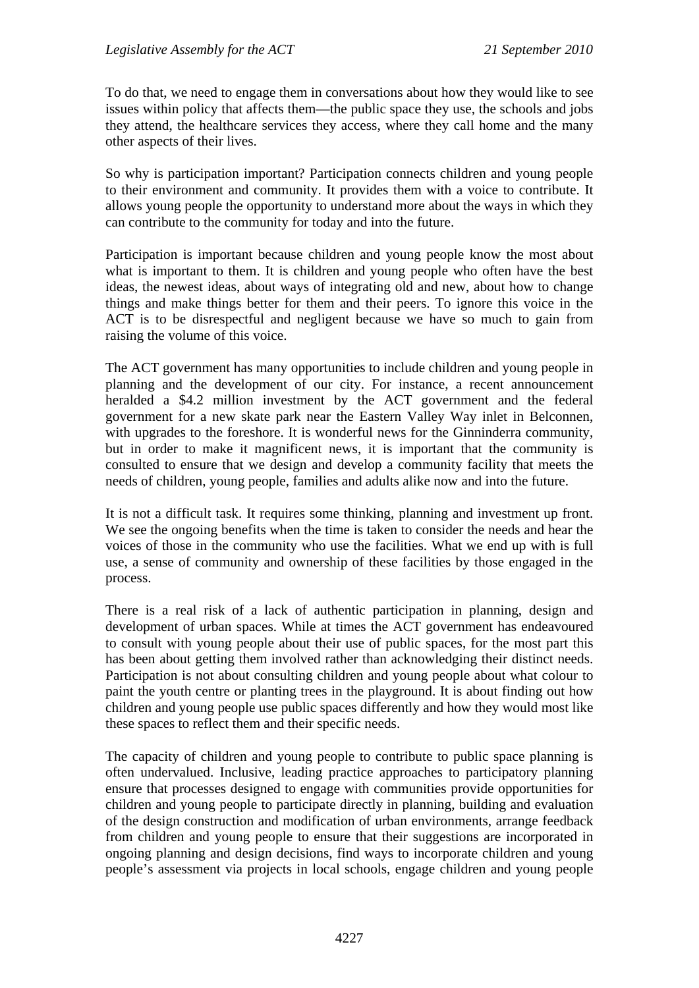To do that, we need to engage them in conversations about how they would like to see issues within policy that affects them—the public space they use, the schools and jobs they attend, the healthcare services they access, where they call home and the many other aspects of their lives.

So why is participation important? Participation connects children and young people to their environment and community. It provides them with a voice to contribute. It allows young people the opportunity to understand more about the ways in which they can contribute to the community for today and into the future.

Participation is important because children and young people know the most about what is important to them. It is children and young people who often have the best ideas, the newest ideas, about ways of integrating old and new, about how to change things and make things better for them and their peers. To ignore this voice in the ACT is to be disrespectful and negligent because we have so much to gain from raising the volume of this voice.

The ACT government has many opportunities to include children and young people in planning and the development of our city. For instance, a recent announcement heralded a \$4.2 million investment by the ACT government and the federal government for a new skate park near the Eastern Valley Way inlet in Belconnen, with upgrades to the foreshore. It is wonderful news for the Ginninderra community, but in order to make it magnificent news, it is important that the community is consulted to ensure that we design and develop a community facility that meets the needs of children, young people, families and adults alike now and into the future.

It is not a difficult task. It requires some thinking, planning and investment up front. We see the ongoing benefits when the time is taken to consider the needs and hear the voices of those in the community who use the facilities. What we end up with is full use, a sense of community and ownership of these facilities by those engaged in the process.

There is a real risk of a lack of authentic participation in planning, design and development of urban spaces. While at times the ACT government has endeavoured to consult with young people about their use of public spaces, for the most part this has been about getting them involved rather than acknowledging their distinct needs. Participation is not about consulting children and young people about what colour to paint the youth centre or planting trees in the playground. It is about finding out how children and young people use public spaces differently and how they would most like these spaces to reflect them and their specific needs.

The capacity of children and young people to contribute to public space planning is often undervalued. Inclusive, leading practice approaches to participatory planning ensure that processes designed to engage with communities provide opportunities for children and young people to participate directly in planning, building and evaluation of the design construction and modification of urban environments, arrange feedback from children and young people to ensure that their suggestions are incorporated in ongoing planning and design decisions, find ways to incorporate children and young people's assessment via projects in local schools, engage children and young people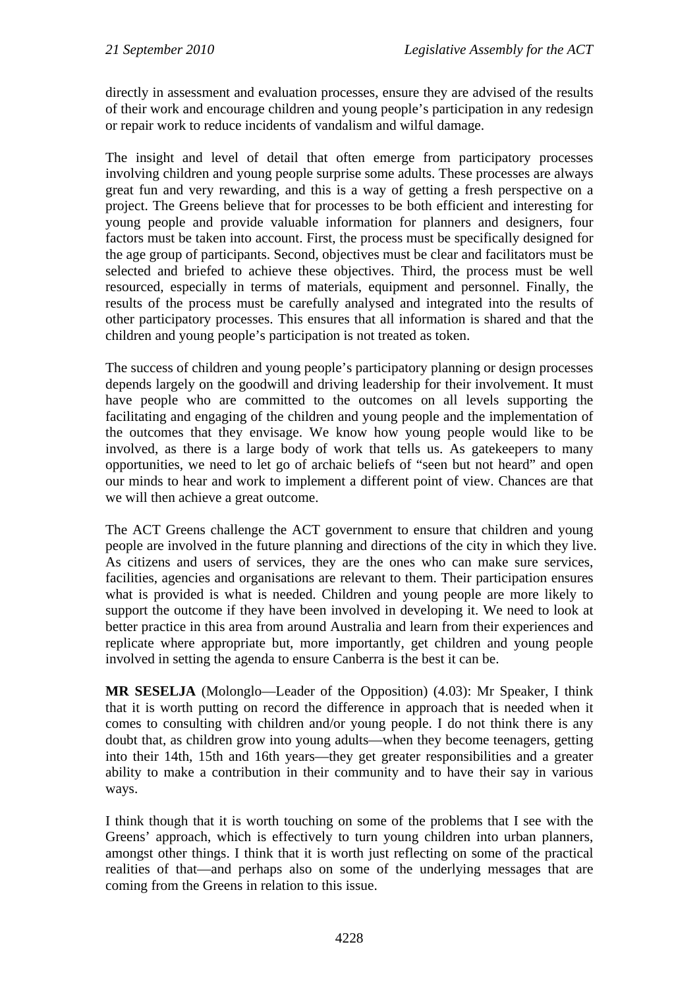directly in assessment and evaluation processes, ensure they are advised of the results of their work and encourage children and young people's participation in any redesign or repair work to reduce incidents of vandalism and wilful damage.

The insight and level of detail that often emerge from participatory processes involving children and young people surprise some adults. These processes are always great fun and very rewarding, and this is a way of getting a fresh perspective on a project. The Greens believe that for processes to be both efficient and interesting for young people and provide valuable information for planners and designers, four factors must be taken into account. First, the process must be specifically designed for the age group of participants. Second, objectives must be clear and facilitators must be selected and briefed to achieve these objectives. Third, the process must be well resourced, especially in terms of materials, equipment and personnel. Finally, the results of the process must be carefully analysed and integrated into the results of other participatory processes. This ensures that all information is shared and that the children and young people's participation is not treated as token.

The success of children and young people's participatory planning or design processes depends largely on the goodwill and driving leadership for their involvement. It must have people who are committed to the outcomes on all levels supporting the facilitating and engaging of the children and young people and the implementation of the outcomes that they envisage. We know how young people would like to be involved, as there is a large body of work that tells us. As gatekeepers to many opportunities, we need to let go of archaic beliefs of "seen but not heard" and open our minds to hear and work to implement a different point of view. Chances are that we will then achieve a great outcome.

The ACT Greens challenge the ACT government to ensure that children and young people are involved in the future planning and directions of the city in which they live. As citizens and users of services, they are the ones who can make sure services, facilities, agencies and organisations are relevant to them. Their participation ensures what is provided is what is needed. Children and young people are more likely to support the outcome if they have been involved in developing it. We need to look at better practice in this area from around Australia and learn from their experiences and replicate where appropriate but, more importantly, get children and young people involved in setting the agenda to ensure Canberra is the best it can be.

**MR SESELJA** (Molonglo—Leader of the Opposition) (4.03): Mr Speaker, I think that it is worth putting on record the difference in approach that is needed when it comes to consulting with children and/or young people. I do not think there is any doubt that, as children grow into young adults—when they become teenagers, getting into their 14th, 15th and 16th years—they get greater responsibilities and a greater ability to make a contribution in their community and to have their say in various ways.

I think though that it is worth touching on some of the problems that I see with the Greens' approach, which is effectively to turn young children into urban planners, amongst other things. I think that it is worth just reflecting on some of the practical realities of that—and perhaps also on some of the underlying messages that are coming from the Greens in relation to this issue.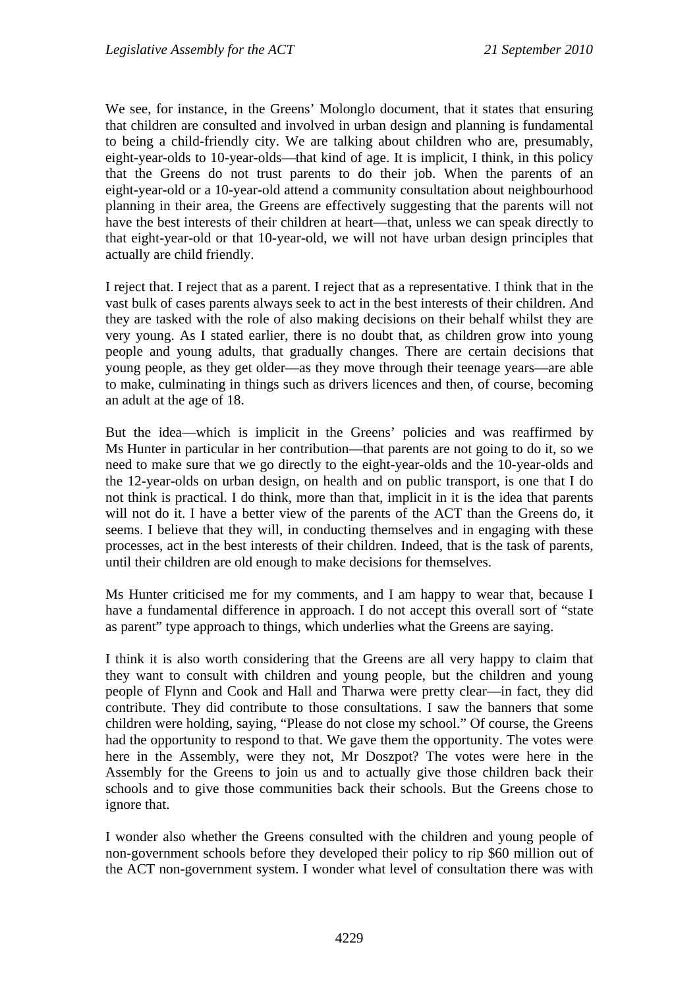We see, for instance, in the Greens' Molonglo document, that it states that ensuring that children are consulted and involved in urban design and planning is fundamental to being a child-friendly city. We are talking about children who are, presumably, eight-year-olds to 10-year-olds—that kind of age. It is implicit, I think, in this policy that the Greens do not trust parents to do their job. When the parents of an eight-year-old or a 10-year-old attend a community consultation about neighbourhood planning in their area, the Greens are effectively suggesting that the parents will not have the best interests of their children at heart—that, unless we can speak directly to that eight-year-old or that 10-year-old, we will not have urban design principles that actually are child friendly.

I reject that. I reject that as a parent. I reject that as a representative. I think that in the vast bulk of cases parents always seek to act in the best interests of their children. And they are tasked with the role of also making decisions on their behalf whilst they are very young. As I stated earlier, there is no doubt that, as children grow into young people and young adults, that gradually changes. There are certain decisions that young people, as they get older—as they move through their teenage years—are able to make, culminating in things such as drivers licences and then, of course, becoming an adult at the age of 18.

But the idea—which is implicit in the Greens' policies and was reaffirmed by Ms Hunter in particular in her contribution—that parents are not going to do it, so we need to make sure that we go directly to the eight-year-olds and the 10-year-olds and the 12-year-olds on urban design, on health and on public transport, is one that I do not think is practical. I do think, more than that, implicit in it is the idea that parents will not do it. I have a better view of the parents of the ACT than the Greens do, it seems. I believe that they will, in conducting themselves and in engaging with these processes, act in the best interests of their children. Indeed, that is the task of parents, until their children are old enough to make decisions for themselves.

Ms Hunter criticised me for my comments, and I am happy to wear that, because I have a fundamental difference in approach. I do not accept this overall sort of "state as parent" type approach to things, which underlies what the Greens are saying.

I think it is also worth considering that the Greens are all very happy to claim that they want to consult with children and young people, but the children and young people of Flynn and Cook and Hall and Tharwa were pretty clear—in fact, they did contribute. They did contribute to those consultations. I saw the banners that some children were holding, saying, "Please do not close my school." Of course, the Greens had the opportunity to respond to that. We gave them the opportunity. The votes were here in the Assembly, were they not, Mr Doszpot? The votes were here in the Assembly for the Greens to join us and to actually give those children back their schools and to give those communities back their schools. But the Greens chose to ignore that.

I wonder also whether the Greens consulted with the children and young people of non-government schools before they developed their policy to rip \$60 million out of the ACT non-government system. I wonder what level of consultation there was with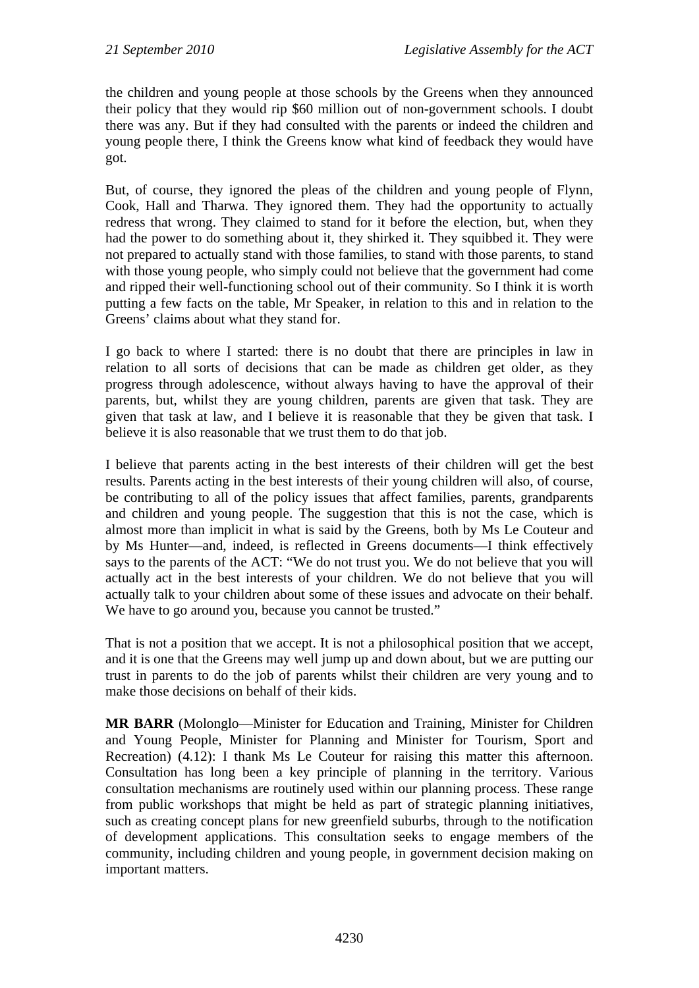the children and young people at those schools by the Greens when they announced their policy that they would rip \$60 million out of non-government schools. I doubt there was any. But if they had consulted with the parents or indeed the children and young people there, I think the Greens know what kind of feedback they would have got.

But, of course, they ignored the pleas of the children and young people of Flynn, Cook, Hall and Tharwa. They ignored them. They had the opportunity to actually redress that wrong. They claimed to stand for it before the election, but, when they had the power to do something about it, they shirked it. They squibbed it. They were not prepared to actually stand with those families, to stand with those parents, to stand with those young people, who simply could not believe that the government had come and ripped their well-functioning school out of their community. So I think it is worth putting a few facts on the table, Mr Speaker, in relation to this and in relation to the Greens' claims about what they stand for.

I go back to where I started: there is no doubt that there are principles in law in relation to all sorts of decisions that can be made as children get older, as they progress through adolescence, without always having to have the approval of their parents, but, whilst they are young children, parents are given that task. They are given that task at law, and I believe it is reasonable that they be given that task. I believe it is also reasonable that we trust them to do that job.

I believe that parents acting in the best interests of their children will get the best results. Parents acting in the best interests of their young children will also, of course, be contributing to all of the policy issues that affect families, parents, grandparents and children and young people. The suggestion that this is not the case, which is almost more than implicit in what is said by the Greens, both by Ms Le Couteur and by Ms Hunter—and, indeed, is reflected in Greens documents—I think effectively says to the parents of the ACT: "We do not trust you. We do not believe that you will actually act in the best interests of your children. We do not believe that you will actually talk to your children about some of these issues and advocate on their behalf. We have to go around you, because you cannot be trusted."

That is not a position that we accept. It is not a philosophical position that we accept, and it is one that the Greens may well jump up and down about, but we are putting our trust in parents to do the job of parents whilst their children are very young and to make those decisions on behalf of their kids.

**MR BARR** (Molonglo—Minister for Education and Training, Minister for Children and Young People, Minister for Planning and Minister for Tourism, Sport and Recreation) (4.12): I thank Ms Le Couteur for raising this matter this afternoon. Consultation has long been a key principle of planning in the territory. Various consultation mechanisms are routinely used within our planning process. These range from public workshops that might be held as part of strategic planning initiatives, such as creating concept plans for new greenfield suburbs, through to the notification of development applications. This consultation seeks to engage members of the community, including children and young people, in government decision making on important matters.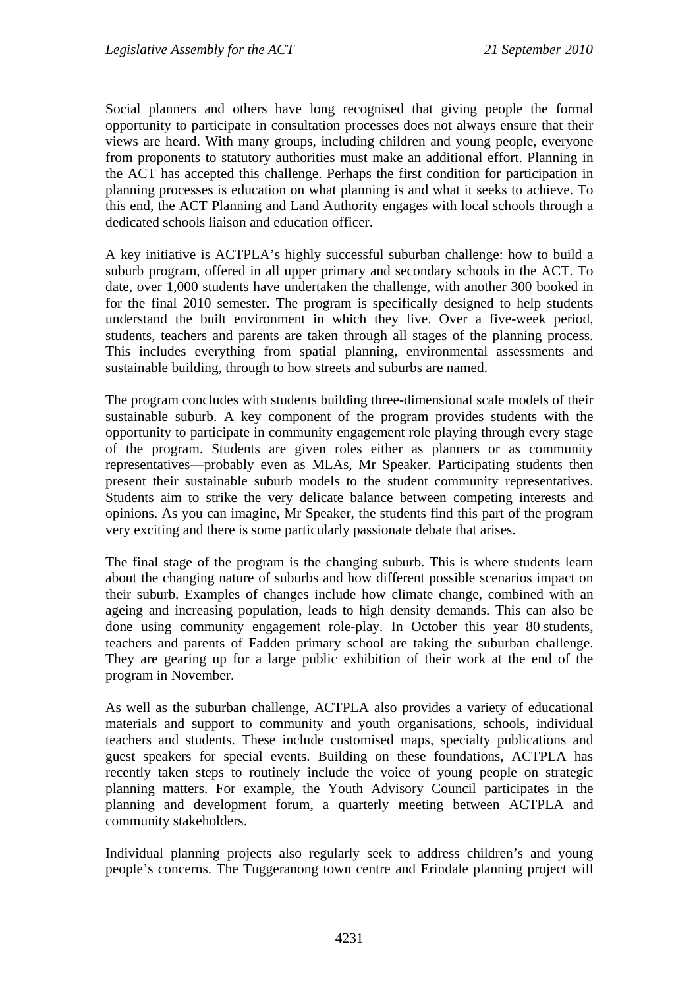Social planners and others have long recognised that giving people the formal opportunity to participate in consultation processes does not always ensure that their views are heard. With many groups, including children and young people, everyone from proponents to statutory authorities must make an additional effort. Planning in the ACT has accepted this challenge. Perhaps the first condition for participation in planning processes is education on what planning is and what it seeks to achieve. To this end, the ACT Planning and Land Authority engages with local schools through a dedicated schools liaison and education officer.

A key initiative is ACTPLA's highly successful suburban challenge: how to build a suburb program, offered in all upper primary and secondary schools in the ACT. To date, over 1,000 students have undertaken the challenge, with another 300 booked in for the final 2010 semester. The program is specifically designed to help students understand the built environment in which they live. Over a five-week period, students, teachers and parents are taken through all stages of the planning process. This includes everything from spatial planning, environmental assessments and sustainable building, through to how streets and suburbs are named.

The program concludes with students building three-dimensional scale models of their sustainable suburb. A key component of the program provides students with the opportunity to participate in community engagement role playing through every stage of the program. Students are given roles either as planners or as community representatives—probably even as MLAs, Mr Speaker. Participating students then present their sustainable suburb models to the student community representatives. Students aim to strike the very delicate balance between competing interests and opinions. As you can imagine, Mr Speaker, the students find this part of the program very exciting and there is some particularly passionate debate that arises.

The final stage of the program is the changing suburb. This is where students learn about the changing nature of suburbs and how different possible scenarios impact on their suburb. Examples of changes include how climate change, combined with an ageing and increasing population, leads to high density demands. This can also be done using community engagement role-play. In October this year 80 students, teachers and parents of Fadden primary school are taking the suburban challenge. They are gearing up for a large public exhibition of their work at the end of the program in November.

As well as the suburban challenge, ACTPLA also provides a variety of educational materials and support to community and youth organisations, schools, individual teachers and students. These include customised maps, specialty publications and guest speakers for special events. Building on these foundations, ACTPLA has recently taken steps to routinely include the voice of young people on strategic planning matters. For example, the Youth Advisory Council participates in the planning and development forum, a quarterly meeting between ACTPLA and community stakeholders.

Individual planning projects also regularly seek to address children's and young people's concerns. The Tuggeranong town centre and Erindale planning project will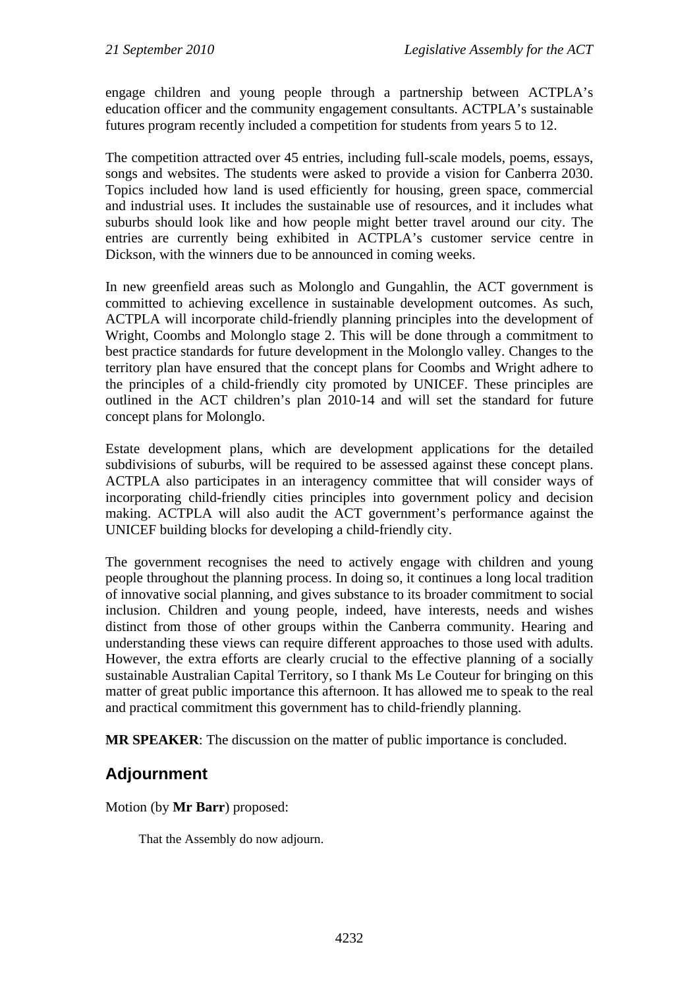engage children and young people through a partnership between ACTPLA's education officer and the community engagement consultants. ACTPLA's sustainable futures program recently included a competition for students from years 5 to 12.

The competition attracted over 45 entries, including full-scale models, poems, essays, songs and websites. The students were asked to provide a vision for Canberra 2030. Topics included how land is used efficiently for housing, green space, commercial and industrial uses. It includes the sustainable use of resources, and it includes what suburbs should look like and how people might better travel around our city. The entries are currently being exhibited in ACTPLA's customer service centre in Dickson, with the winners due to be announced in coming weeks.

In new greenfield areas such as Molonglo and Gungahlin, the ACT government is committed to achieving excellence in sustainable development outcomes. As such, ACTPLA will incorporate child-friendly planning principles into the development of Wright, Coombs and Molonglo stage 2. This will be done through a commitment to best practice standards for future development in the Molonglo valley. Changes to the territory plan have ensured that the concept plans for Coombs and Wright adhere to the principles of a child-friendly city promoted by UNICEF. These principles are outlined in the ACT children's plan 2010-14 and will set the standard for future concept plans for Molonglo.

Estate development plans, which are development applications for the detailed subdivisions of suburbs, will be required to be assessed against these concept plans. ACTPLA also participates in an interagency committee that will consider ways of incorporating child-friendly cities principles into government policy and decision making. ACTPLA will also audit the ACT government's performance against the UNICEF building blocks for developing a child-friendly city.

The government recognises the need to actively engage with children and young people throughout the planning process. In doing so, it continues a long local tradition of innovative social planning, and gives substance to its broader commitment to social inclusion. Children and young people, indeed, have interests, needs and wishes distinct from those of other groups within the Canberra community. Hearing and understanding these views can require different approaches to those used with adults. However, the extra efforts are clearly crucial to the effective planning of a socially sustainable Australian Capital Territory, so I thank Ms Le Couteur for bringing on this matter of great public importance this afternoon. It has allowed me to speak to the real and practical commitment this government has to child-friendly planning.

**MR SPEAKER**: The discussion on the matter of public importance is concluded.

# **Adjournment**

Motion (by **Mr Barr**) proposed:

That the Assembly do now adjourn.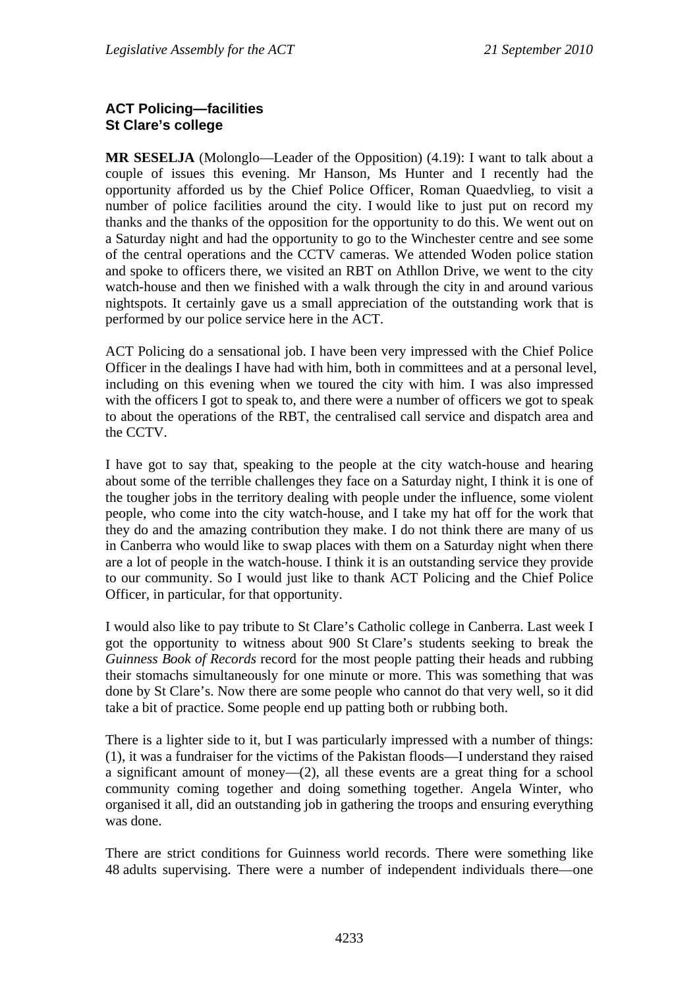### **ACT Policing—facilities St Clare's college**

**MR SESELJA** (Molonglo—Leader of the Opposition) (4.19): I want to talk about a couple of issues this evening. Mr Hanson, Ms Hunter and I recently had the opportunity afforded us by the Chief Police Officer, Roman Quaedvlieg, to visit a number of police facilities around the city. I would like to just put on record my thanks and the thanks of the opposition for the opportunity to do this. We went out on a Saturday night and had the opportunity to go to the Winchester centre and see some of the central operations and the CCTV cameras. We attended Woden police station and spoke to officers there, we visited an RBT on Athllon Drive, we went to the city watch-house and then we finished with a walk through the city in and around various nightspots. It certainly gave us a small appreciation of the outstanding work that is performed by our police service here in the ACT.

ACT Policing do a sensational job. I have been very impressed with the Chief Police Officer in the dealings I have had with him, both in committees and at a personal level, including on this evening when we toured the city with him. I was also impressed with the officers I got to speak to, and there were a number of officers we got to speak to about the operations of the RBT, the centralised call service and dispatch area and the CCTV.

I have got to say that, speaking to the people at the city watch-house and hearing about some of the terrible challenges they face on a Saturday night, I think it is one of the tougher jobs in the territory dealing with people under the influence, some violent people, who come into the city watch-house, and I take my hat off for the work that they do and the amazing contribution they make. I do not think there are many of us in Canberra who would like to swap places with them on a Saturday night when there are a lot of people in the watch-house. I think it is an outstanding service they provide to our community. So I would just like to thank ACT Policing and the Chief Police Officer, in particular, for that opportunity.

I would also like to pay tribute to St Clare's Catholic college in Canberra. Last week I got the opportunity to witness about 900 St Clare's students seeking to break the *Guinness Book of Records* record for the most people patting their heads and rubbing their stomachs simultaneously for one minute or more. This was something that was done by St Clare's. Now there are some people who cannot do that very well, so it did take a bit of practice. Some people end up patting both or rubbing both.

There is a lighter side to it, but I was particularly impressed with a number of things: (1), it was a fundraiser for the victims of the Pakistan floods—I understand they raised a significant amount of money—(2), all these events are a great thing for a school community coming together and doing something together. Angela Winter, who organised it all, did an outstanding job in gathering the troops and ensuring everything was done.

There are strict conditions for Guinness world records. There were something like 48 adults supervising. There were a number of independent individuals there—one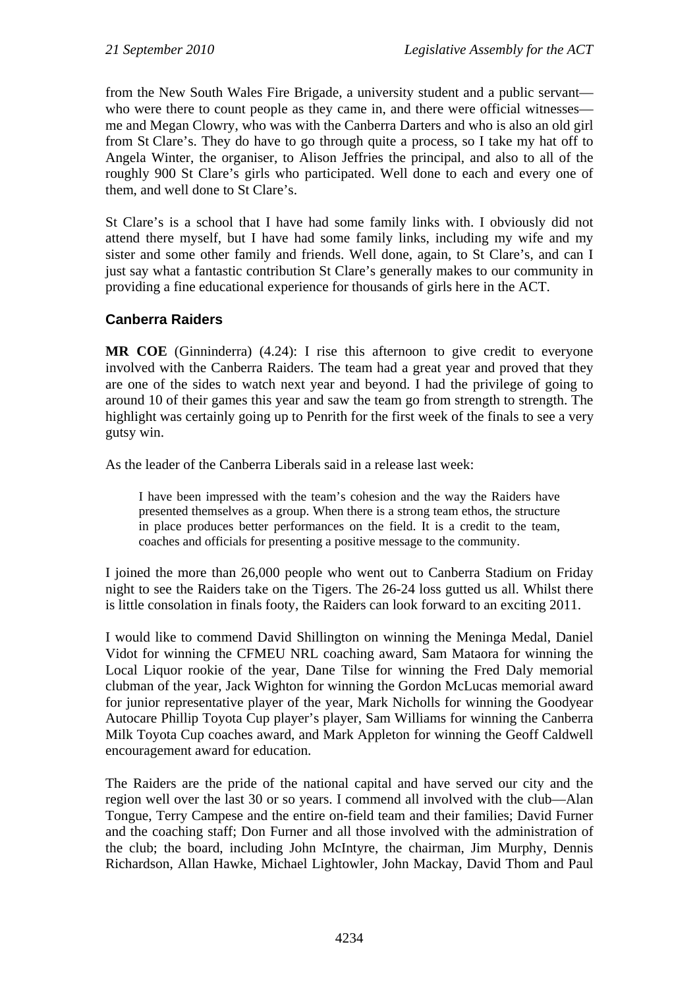from the New South Wales Fire Brigade, a university student and a public servant who were there to count people as they came in, and there were official witnesses me and Megan Clowry, who was with the Canberra Darters and who is also an old girl from St Clare's. They do have to go through quite a process, so I take my hat off to Angela Winter, the organiser, to Alison Jeffries the principal, and also to all of the roughly 900 St Clare's girls who participated. Well done to each and every one of them, and well done to St Clare's.

St Clare's is a school that I have had some family links with. I obviously did not attend there myself, but I have had some family links, including my wife and my sister and some other family and friends. Well done, again, to St Clare's, and can I just say what a fantastic contribution St Clare's generally makes to our community in providing a fine educational experience for thousands of girls here in the ACT.

## **Canberra Raiders**

**MR COE** (Ginninderra) (4.24): I rise this afternoon to give credit to everyone involved with the Canberra Raiders. The team had a great year and proved that they are one of the sides to watch next year and beyond. I had the privilege of going to around 10 of their games this year and saw the team go from strength to strength. The highlight was certainly going up to Penrith for the first week of the finals to see a very gutsy win.

As the leader of the Canberra Liberals said in a release last week:

I have been impressed with the team's cohesion and the way the Raiders have presented themselves as a group. When there is a strong team ethos, the structure in place produces better performances on the field. It is a credit to the team, coaches and officials for presenting a positive message to the community.

I joined the more than 26,000 people who went out to Canberra Stadium on Friday night to see the Raiders take on the Tigers. The 26-24 loss gutted us all. Whilst there is little consolation in finals footy, the Raiders can look forward to an exciting 2011.

I would like to commend David Shillington on winning the Meninga Medal, Daniel Vidot for winning the CFMEU NRL coaching award, Sam Mataora for winning the Local Liquor rookie of the year, Dane Tilse for winning the Fred Daly memorial clubman of the year, Jack Wighton for winning the Gordon McLucas memorial award for junior representative player of the year, Mark Nicholls for winning the Goodyear Autocare Phillip Toyota Cup player's player, Sam Williams for winning the Canberra Milk Toyota Cup coaches award, and Mark Appleton for winning the Geoff Caldwell encouragement award for education.

The Raiders are the pride of the national capital and have served our city and the region well over the last 30 or so years. I commend all involved with the club—Alan Tongue, Terry Campese and the entire on-field team and their families; David Furner and the coaching staff; Don Furner and all those involved with the administration of the club; the board, including John McIntyre, the chairman, Jim Murphy, Dennis Richardson, Allan Hawke, Michael Lightowler, John Mackay, David Thom and Paul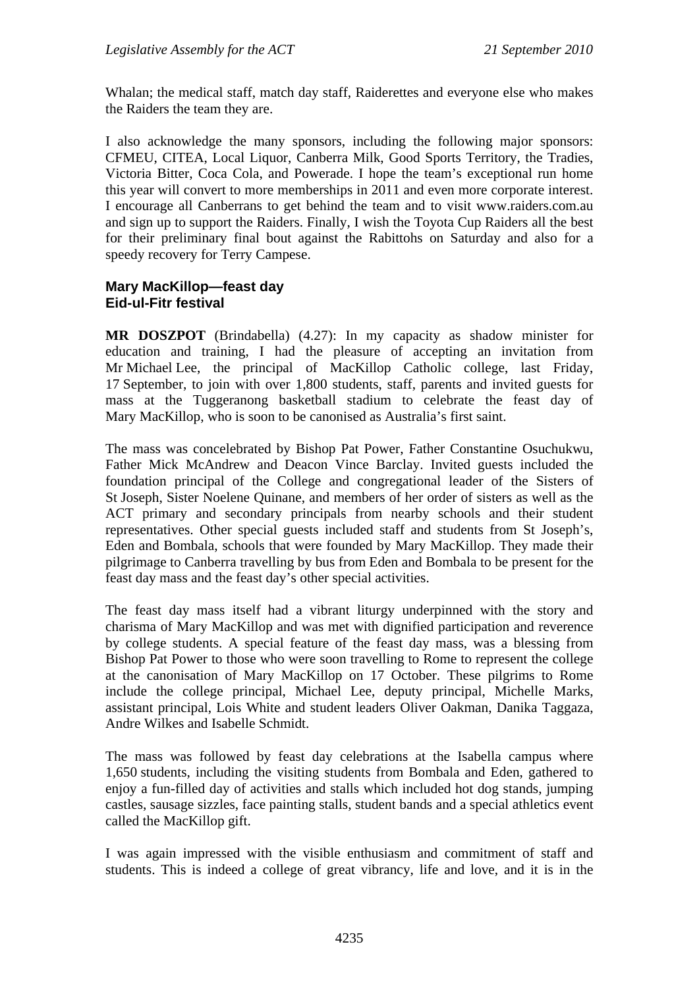Whalan; the medical staff, match day staff, Raiderettes and everyone else who makes the Raiders the team they are.

I also acknowledge the many sponsors, including the following major sponsors: CFMEU, CITEA, Local Liquor, Canberra Milk, Good Sports Territory, the Tradies, Victoria Bitter, Coca Cola, and Powerade. I hope the team's exceptional run home this year will convert to more memberships in 2011 and even more corporate interest. I encourage all Canberrans to get behind the team and to visit [www.raiders.com.au](http://www.raiders.com.au/) and sign up to support the Raiders. Finally, I wish the Toyota Cup Raiders all the best for their preliminary final bout against the Rabittohs on Saturday and also for a speedy recovery for Terry Campese.

#### **Mary MacKillop—feast day Eid-ul-Fitr festival**

**MR DOSZPOT** (Brindabella) (4.27): In my capacity as shadow minister for education and training, I had the pleasure of accepting an invitation from Mr Michael Lee, the principal of MacKillop Catholic college, last Friday, 17 September, to join with over 1,800 students, staff, parents and invited guests for mass at the Tuggeranong basketball stadium to celebrate the feast day of Mary MacKillop, who is soon to be canonised as Australia's first saint.

The mass was concelebrated by Bishop Pat Power, Father Constantine Osuchukwu, Father Mick McAndrew and Deacon Vince Barclay. Invited guests included the foundation principal of the College and congregational leader of the Sisters of St Joseph, Sister Noelene Quinane, and members of her order of sisters as well as the ACT primary and secondary principals from nearby schools and their student representatives. Other special guests included staff and students from St Joseph's, Eden and Bombala, schools that were founded by Mary MacKillop. They made their pilgrimage to Canberra travelling by bus from Eden and Bombala to be present for the feast day mass and the feast day's other special activities.

The feast day mass itself had a vibrant liturgy underpinned with the story and charisma of Mary MacKillop and was met with dignified participation and reverence by college students. A special feature of the feast day mass, was a blessing from Bishop Pat Power to those who were soon travelling to Rome to represent the college at the canonisation of Mary MacKillop on 17 October. These pilgrims to Rome include the college principal, Michael Lee, deputy principal, Michelle Marks, assistant principal, Lois White and student leaders Oliver Oakman, Danika Taggaza, Andre Wilkes and Isabelle Schmidt.

The mass was followed by feast day celebrations at the Isabella campus where 1,650 students, including the visiting students from Bombala and Eden, gathered to enjoy a fun-filled day of activities and stalls which included hot dog stands, jumping castles, sausage sizzles, face painting stalls, student bands and a special athletics event called the MacKillop gift.

I was again impressed with the visible enthusiasm and commitment of staff and students. This is indeed a college of great vibrancy, life and love, and it is in the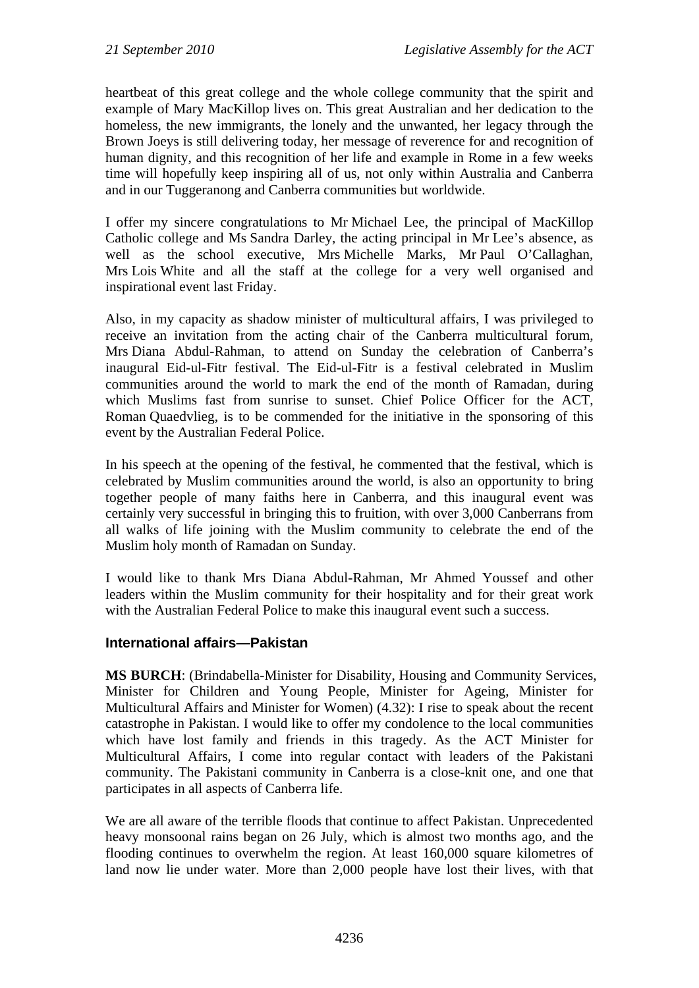heartbeat of this great college and the whole college community that the spirit and example of Mary MacKillop lives on. This great Australian and her dedication to the homeless, the new immigrants, the lonely and the unwanted, her legacy through the Brown Joeys is still delivering today, her message of reverence for and recognition of human dignity, and this recognition of her life and example in Rome in a few weeks time will hopefully keep inspiring all of us, not only within Australia and Canberra and in our Tuggeranong and Canberra communities but worldwide.

I offer my sincere congratulations to Mr Michael Lee, the principal of MacKillop Catholic college and Ms Sandra Darley, the acting principal in Mr Lee's absence, as well as the school executive, Mrs Michelle Marks, Mr Paul O'Callaghan, Mrs Lois White and all the staff at the college for a very well organised and inspirational event last Friday.

Also, in my capacity as shadow minister of multicultural affairs, I was privileged to receive an invitation from the acting chair of the Canberra multicultural forum, Mrs Diana Abdul-Rahman, to attend on Sunday the celebration of Canberra's inaugural Eid-ul-Fitr festival. The Eid-ul-Fitr is a festival celebrated in Muslim communities around the world to mark the end of the month of Ramadan, during which Muslims fast from sunrise to sunset. Chief Police Officer for the ACT, Roman Quaedvlieg, is to be commended for the initiative in the sponsoring of this event by the Australian Federal Police.

In his speech at the opening of the festival, he commented that the festival, which is celebrated by Muslim communities around the world, is also an opportunity to bring together people of many faiths here in Canberra, and this inaugural event was certainly very successful in bringing this to fruition, with over 3,000 Canberrans from all walks of life joining with the Muslim community to celebrate the end of the Muslim holy month of Ramadan on Sunday.

I would like to thank Mrs Diana Abdul-Rahman, Mr Ahmed Youssef and other leaders within the Muslim community for their hospitality and for their great work with the Australian Federal Police to make this inaugural event such a success.

### **International affairs—Pakistan**

**MS BURCH**: (Brindabella-Minister for Disability, Housing and Community Services, Minister for Children and Young People, Minister for Ageing, Minister for Multicultural Affairs and Minister for Women) (4.32): I rise to speak about the recent catastrophe in Pakistan. I would like to offer my condolence to the local communities which have lost family and friends in this tragedy. As the ACT Minister for Multicultural Affairs, I come into regular contact with leaders of the Pakistani community. The Pakistani community in Canberra is a close-knit one, and one that participates in all aspects of Canberra life.

We are all aware of the terrible floods that continue to affect Pakistan. Unprecedented heavy monsoonal rains began on 26 July, which is almost two months ago, and the flooding continues to overwhelm the region. At least 160,000 square kilometres of land now lie under water. More than 2,000 people have lost their lives, with that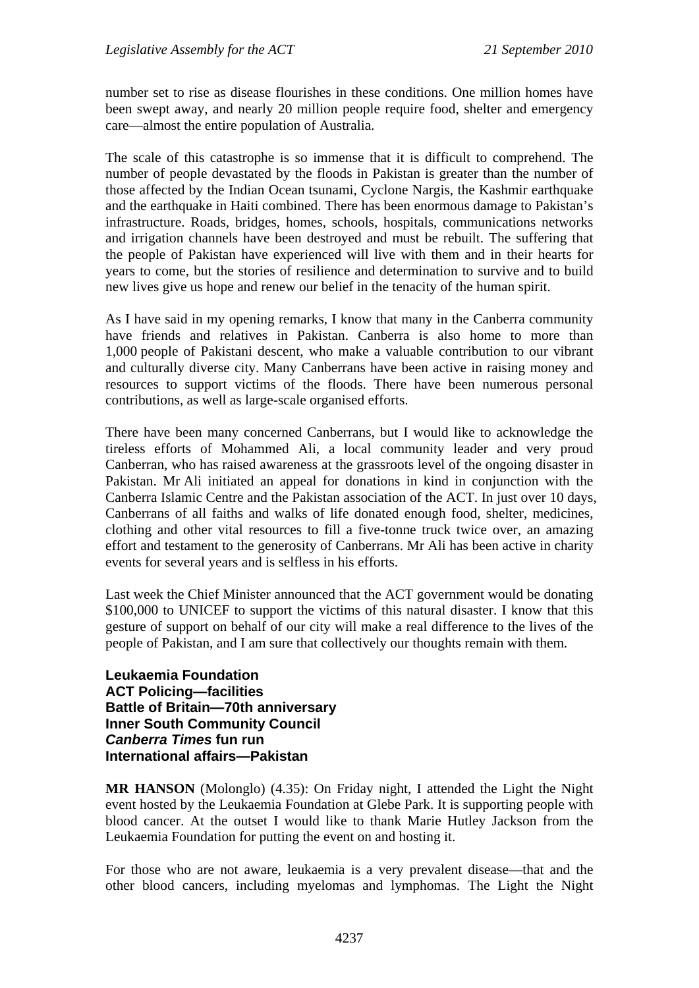number set to rise as disease flourishes in these conditions. One million homes have been swept away, and nearly 20 million people require food, shelter and emergency care—almost the entire population of Australia.

The scale of this catastrophe is so immense that it is difficult to comprehend. The number of people devastated by the floods in Pakistan is greater than the number of those affected by the Indian Ocean tsunami, Cyclone Nargis, the Kashmir earthquake and the earthquake in Haiti combined. There has been enormous damage to Pakistan's infrastructure. Roads, bridges, homes, schools, hospitals, communications networks and irrigation channels have been destroyed and must be rebuilt. The suffering that the people of Pakistan have experienced will live with them and in their hearts for years to come, but the stories of resilience and determination to survive and to build new lives give us hope and renew our belief in the tenacity of the human spirit.

As I have said in my opening remarks, I know that many in the Canberra community have friends and relatives in Pakistan. Canberra is also home to more than 1,000 people of Pakistani descent, who make a valuable contribution to our vibrant and culturally diverse city. Many Canberrans have been active in raising money and resources to support victims of the floods. There have been numerous personal contributions, as well as large-scale organised efforts.

There have been many concerned Canberrans, but I would like to acknowledge the tireless efforts of Mohammed Ali, a local community leader and very proud Canberran, who has raised awareness at the grassroots level of the ongoing disaster in Pakistan. Mr Ali initiated an appeal for donations in kind in conjunction with the Canberra Islamic Centre and the Pakistan association of the ACT. In just over 10 days, Canberrans of all faiths and walks of life donated enough food, shelter, medicines, clothing and other vital resources to fill a five-tonne truck twice over, an amazing effort and testament to the generosity of Canberrans. Mr Ali has been active in charity events for several years and is selfless in his efforts.

Last week the Chief Minister announced that the ACT government would be donating \$100,000 to UNICEF to support the victims of this natural disaster. I know that this gesture of support on behalf of our city will make a real difference to the lives of the people of Pakistan, and I am sure that collectively our thoughts remain with them.

**Leukaemia Foundation ACT Policing—facilities Battle of Britain—70th anniversary Inner South Community Council**  *Canberra Times* **fun run International affairs—Pakistan** 

**MR HANSON** (Molonglo) (4.35): On Friday night, I attended the Light the Night event hosted by the Leukaemia Foundation at Glebe Park. It is supporting people with blood cancer. At the outset I would like to thank Marie Hutley Jackson from the Leukaemia Foundation for putting the event on and hosting it.

For those who are not aware, leukaemia is a very prevalent disease—that and the other blood cancers, including myelomas and lymphomas. The Light the Night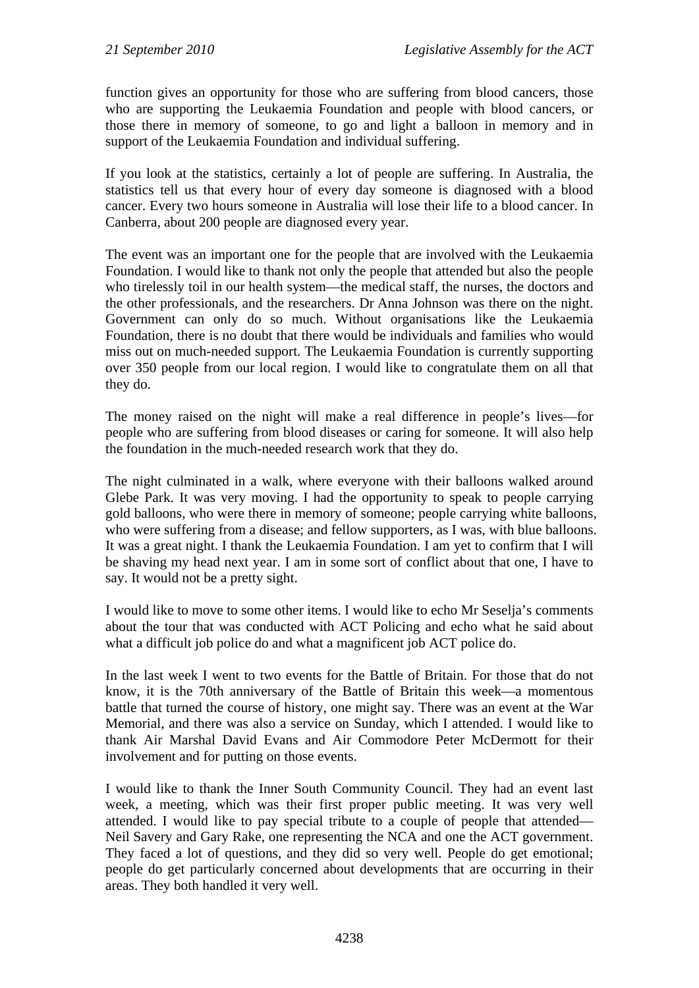function gives an opportunity for those who are suffering from blood cancers, those who are supporting the Leukaemia Foundation and people with blood cancers, or those there in memory of someone, to go and light a balloon in memory and in support of the Leukaemia Foundation and individual suffering.

If you look at the statistics, certainly a lot of people are suffering. In Australia, the statistics tell us that every hour of every day someone is diagnosed with a blood cancer. Every two hours someone in Australia will lose their life to a blood cancer. In Canberra, about 200 people are diagnosed every year.

The event was an important one for the people that are involved with the Leukaemia Foundation. I would like to thank not only the people that attended but also the people who tirelessly toil in our health system—the medical staff, the nurses, the doctors and the other professionals, and the researchers. Dr Anna Johnson was there on the night. Government can only do so much. Without organisations like the Leukaemia Foundation, there is no doubt that there would be individuals and families who would miss out on much-needed support. The Leukaemia Foundation is currently supporting over 350 people from our local region. I would like to congratulate them on all that they do.

The money raised on the night will make a real difference in people's lives—for people who are suffering from blood diseases or caring for someone. It will also help the foundation in the much-needed research work that they do.

The night culminated in a walk, where everyone with their balloons walked around Glebe Park. It was very moving. I had the opportunity to speak to people carrying gold balloons, who were there in memory of someone; people carrying white balloons, who were suffering from a disease; and fellow supporters, as I was, with blue balloons. It was a great night. I thank the Leukaemia Foundation. I am yet to confirm that I will be shaving my head next year. I am in some sort of conflict about that one, I have to say. It would not be a pretty sight.

I would like to move to some other items. I would like to echo Mr Seselja's comments about the tour that was conducted with ACT Policing and echo what he said about what a difficult job police do and what a magnificent job ACT police do.

In the last week I went to two events for the Battle of Britain. For those that do not know, it is the 70th anniversary of the Battle of Britain this week—a momentous battle that turned the course of history, one might say. There was an event at the War Memorial, and there was also a service on Sunday, which I attended. I would like to thank Air Marshal David Evans and Air Commodore Peter McDermott for their involvement and for putting on those events.

I would like to thank the Inner South Community Council. They had an event last week, a meeting, which was their first proper public meeting. It was very well attended. I would like to pay special tribute to a couple of people that attended— Neil Savery and Gary Rake, one representing the NCA and one the ACT government. They faced a lot of questions, and they did so very well. People do get emotional; people do get particularly concerned about developments that are occurring in their areas. They both handled it very well.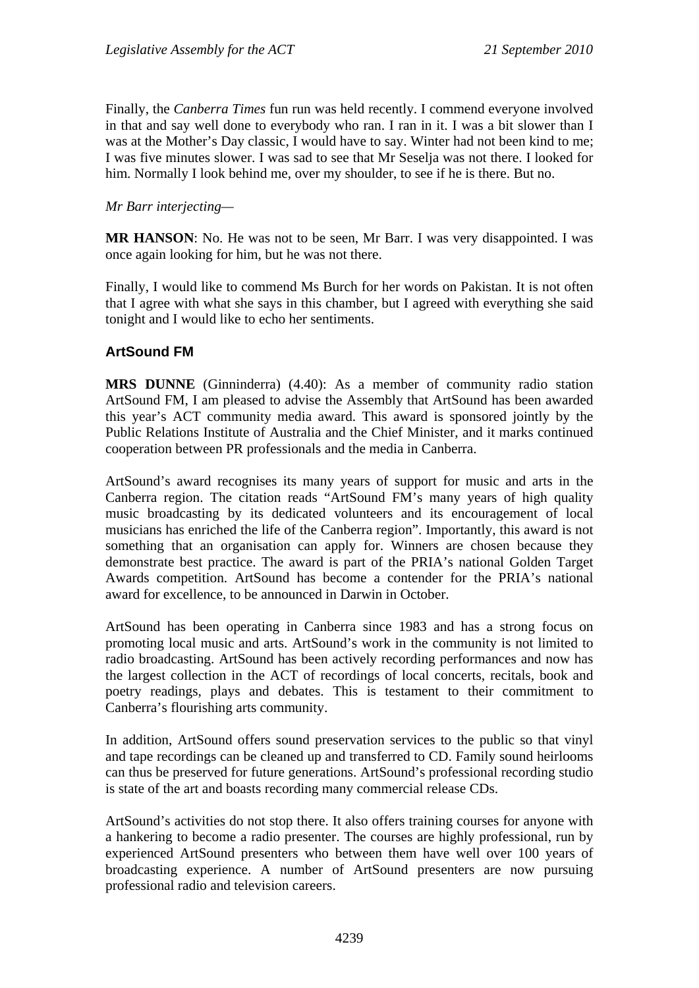Finally, the *Canberra Times* fun run was held recently. I commend everyone involved in that and say well done to everybody who ran. I ran in it. I was a bit slower than I was at the Mother's Day classic, I would have to say. Winter had not been kind to me; I was five minutes slower. I was sad to see that Mr Seselja was not there. I looked for him. Normally I look behind me, over my shoulder, to see if he is there. But no.

#### *Mr Barr interjecting—*

**MR HANSON**: No. He was not to be seen, Mr Barr. I was very disappointed. I was once again looking for him, but he was not there.

Finally, I would like to commend Ms Burch for her words on Pakistan. It is not often that I agree with what she says in this chamber, but I agreed with everything she said tonight and I would like to echo her sentiments.

### **ArtSound FM**

**MRS DUNNE** (Ginninderra) (4.40): As a member of community radio station ArtSound FM, I am pleased to advise the Assembly that ArtSound has been awarded this year's ACT community media award. This award is sponsored jointly by the Public Relations Institute of Australia and the Chief Minister, and it marks continued cooperation between PR professionals and the media in Canberra.

ArtSound's award recognises its many years of support for music and arts in the Canberra region. The citation reads "ArtSound FM's many years of high quality music broadcasting by its dedicated volunteers and its encouragement of local musicians has enriched the life of the Canberra region". Importantly, this award is not something that an organisation can apply for. Winners are chosen because they demonstrate best practice. The award is part of the PRIA's national Golden Target Awards competition. ArtSound has become a contender for the PRIA's national award for excellence, to be announced in Darwin in October.

ArtSound has been operating in Canberra since 1983 and has a strong focus on promoting local music and arts. ArtSound's work in the community is not limited to radio broadcasting. ArtSound has been actively recording performances and now has the largest collection in the ACT of recordings of local concerts, recitals, book and poetry readings, plays and debates. This is testament to their commitment to Canberra's flourishing arts community.

In addition, ArtSound offers sound preservation services to the public so that vinyl and tape recordings can be cleaned up and transferred to CD. Family sound heirlooms can thus be preserved for future generations. ArtSound's professional recording studio is state of the art and boasts recording many commercial release CDs.

ArtSound's activities do not stop there. It also offers training courses for anyone with a hankering to become a radio presenter. The courses are highly professional, run by experienced ArtSound presenters who between them have well over 100 years of broadcasting experience. A number of ArtSound presenters are now pursuing professional radio and television careers.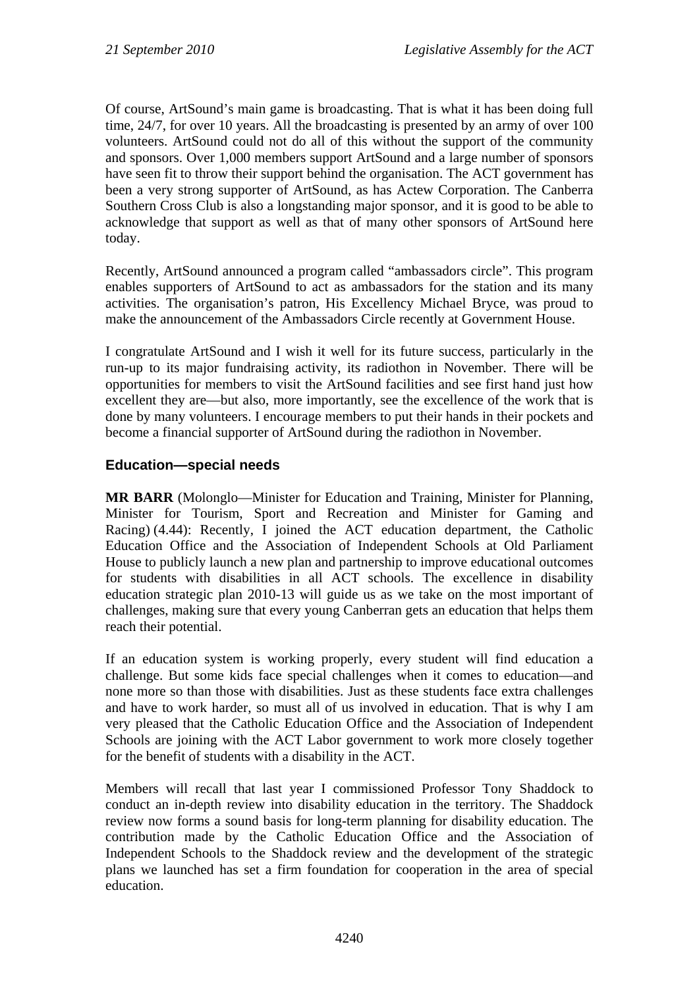Of course, ArtSound's main game is broadcasting. That is what it has been doing full time, 24/7, for over 10 years. All the broadcasting is presented by an army of over 100 volunteers. ArtSound could not do all of this without the support of the community and sponsors. Over 1,000 members support ArtSound and a large number of sponsors have seen fit to throw their support behind the organisation. The ACT government has been a very strong supporter of ArtSound, as has Actew Corporation. The Canberra Southern Cross Club is also a longstanding major sponsor, and it is good to be able to acknowledge that support as well as that of many other sponsors of ArtSound here today.

Recently, ArtSound announced a program called "ambassadors circle". This program enables supporters of ArtSound to act as ambassadors for the station and its many activities. The organisation's patron, His Excellency Michael Bryce, was proud to make the announcement of the Ambassadors Circle recently at Government House.

I congratulate ArtSound and I wish it well for its future success, particularly in the run-up to its major fundraising activity, its radiothon in November. There will be opportunities for members to visit the ArtSound facilities and see first hand just how excellent they are—but also, more importantly, see the excellence of the work that is done by many volunteers. I encourage members to put their hands in their pockets and become a financial supporter of ArtSound during the radiothon in November.

### **Education—special needs**

**MR BARR** (Molonglo—Minister for Education and Training, Minister for Planning, Minister for Tourism, Sport and Recreation and Minister for Gaming and Racing) (4.44): Recently, I joined the ACT education department, the Catholic Education Office and the Association of Independent Schools at Old Parliament House to publicly launch a new plan and partnership to improve educational outcomes for students with disabilities in all ACT schools. The excellence in disability education strategic plan 2010-13 will guide us as we take on the most important of challenges, making sure that every young Canberran gets an education that helps them reach their potential.

If an education system is working properly, every student will find education a challenge. But some kids face special challenges when it comes to education—and none more so than those with disabilities. Just as these students face extra challenges and have to work harder, so must all of us involved in education. That is why I am very pleased that the Catholic Education Office and the Association of Independent Schools are joining with the ACT Labor government to work more closely together for the benefit of students with a disability in the ACT.

Members will recall that last year I commissioned Professor Tony Shaddock to conduct an in-depth review into disability education in the territory. The Shaddock review now forms a sound basis for long-term planning for disability education. The contribution made by the Catholic Education Office and the Association of Independent Schools to the Shaddock review and the development of the strategic plans we launched has set a firm foundation for cooperation in the area of special education.